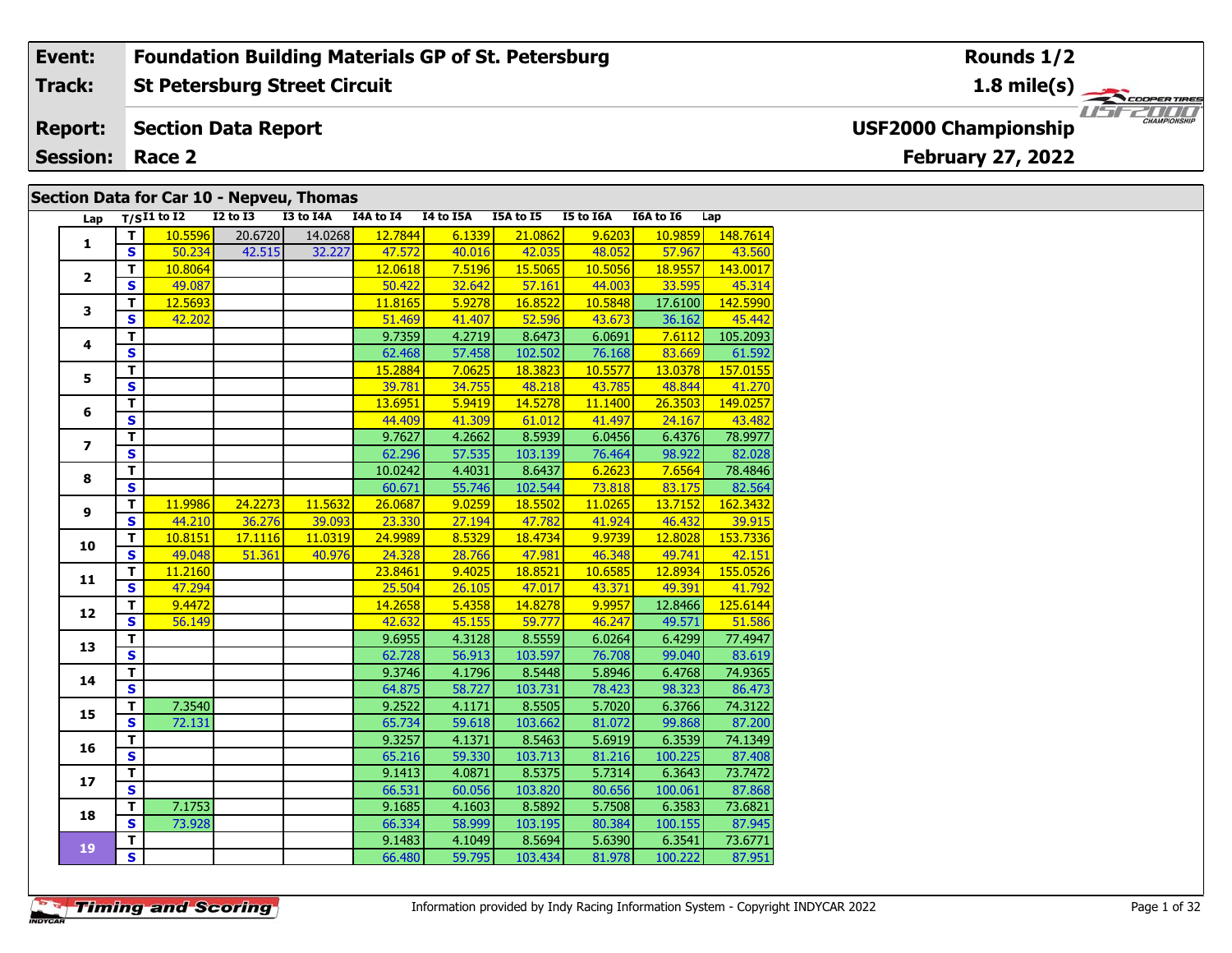#### **Event: Foundation Building Materials GP of St. Petersburg Rounds 1/2St Petersburg Street Circuit 1.8 mile(s) Track:** THE COOPER TIRES **Report: Section Data Report USF2000 Championship February 27, 2022 Session: Race 2**

### **Section Data for Car 10 - Nepveu, Thomas**

| Lap            |                         | $T/SI1$ to $I2$ | <b>I2 to I3</b> | I3 to I4A | I4A to I4 | I4 to I5A | I5A to I5 | I5 to I6A | I6A to I6 | Lap      |
|----------------|-------------------------|-----------------|-----------------|-----------|-----------|-----------|-----------|-----------|-----------|----------|
| $\mathbf{1}$   | T.                      | 10.5596         | 20.6720         | 14.0268   | 12.7844   | 6.1339    | 21.0862   | 9.6203    | 10.9859   | 148.7614 |
|                | $\overline{\mathbf{s}}$ | 50.234          | 42.515          | 32.227    | 47.572    | 40.016    | 42.035    | 48.052    | 57.967    | 43.560   |
| $\mathbf{2}$   | $\mathbf T$             | 10.8064         |                 |           | 12.0618   | 7.5196    | 15.5065   | 10.5056   | 18.9557   | 143.0017 |
|                | $\mathbf{s}$            | 49.087          |                 |           | 50.422    | 32.642    | 57.161    | 44.003    | 33.595    | 45.314   |
| 3              | $\overline{\mathsf{r}}$ | 12.5693         |                 |           | 11.8165   | 5.9278    | 16.8522   | 10.5848   | 17.6100   | 142.5990 |
|                | $\mathbf{s}$            | 42.202          |                 |           | 51.469    | 41.407    | 52.596    | 43.673    | 36.162    | 45.442   |
|                | T                       |                 |                 |           | 9.7359    | 4.2719    | 8.6473    | 6.0691    | 7.6112    | 105.2093 |
| 4              | $\overline{\mathbf{s}}$ |                 |                 |           | 62.468    | 57.458    | 102.502   | 76.168    | 83.669    | 61.592   |
| 5              | $\overline{\mathsf{r}}$ |                 |                 |           | 15.2884   | 7.0625    | 18.3823   | 10.5577   | 13.0378   | 157.0155 |
|                | $\mathbf{s}$            |                 |                 |           | 39.781    | 34.755    | 48.218    | 43.785    | 48.844    | 41.270   |
|                | $\overline{\mathsf{r}}$ |                 |                 |           | 13.6951   | 5.9419    | 14.5278   | 11.1400   | 26.3503   | 149.0257 |
| 6              | $\overline{\mathbf{s}}$ |                 |                 |           | 44.409    | 41.309    | 61.012    | 41.497    | 24.167    | 43.482   |
|                | T                       |                 |                 |           | 9.7627    | 4.2662    | 8.5939    | 6.0456    | 6.4376    | 78.9977  |
| $\overline{ }$ | S                       |                 |                 |           | 62.296    | 57.535    | 103.139   | 76.464    | 98.922    | 82.028   |
|                | $\overline{\mathsf{T}}$ |                 |                 |           | 10.0242   | 4.4031    | 8.6437    | 6.2623    | 7.6564    | 78.4846  |
| 8              | $\overline{\mathbf{s}}$ |                 |                 |           | 60.671    | 55.746    | 102.544   | 73.818    | 83.175    | 82.564   |
|                | T.                      | 11.9986         | 24.2273         | 11.5632   | 26.0687   | 9.0259    | 18.5502   | 11.0265   | 13.7152   | 162.3432 |
| 9              | $\mathbf{s}$            | 44.210          | 36.276          | 39.093    | 23.330    | 27.194    | 47.782    | 41.924    | 46.432    | 39.915   |
|                | T                       | 10.8151         | 17.1116         | 11.0319   | 24.9989   | 8.5329    | 18.4734   | 9.9739    | 12.8028   | 153.7336 |
| 10             | $\overline{\mathbf{s}}$ | 49.048          | 51.361          | 40.976    | 24.328    | 28.766    | 47.981    | 46.348    | 49.741    | 42.151   |
| 11             | $\overline{\mathsf{T}}$ | 11.2160         |                 |           | 23.8461   | 9.4025    | 18.8521   | 10.6585   | 12.8934   | 155.0526 |
|                | $\mathbf{s}$            | 47.294          |                 |           | 25.504    | 26.105    | 47.017    | 43.371    | 49.391    | 41.792   |
|                | $\mathbf T$             | 9.4472          |                 |           | 14.2658   | 5.4358    | 14.8278   | 9.9957    | 12.8466   | 125.6144 |
| 12             | $\overline{\mathbf{s}}$ | 56.149          |                 |           | 42.632    | 45.155    | 59.777    | 46.247    | 49.571    | 51.586   |
| 13             | $\mathbf T$             |                 |                 |           | 9.6955    | 4.3128    | 8.5559    | 6.0264    | 6.4299    | 77.4947  |
|                | $\mathbf{s}$            |                 |                 |           | 62.728    | 56.913    | 103.597   | 76.708    | 99.040    | 83.619   |
| 14             | T                       |                 |                 |           | 9.3746    | 4.1796    | 8.5448    | 5.8946    | 6.4768    | 74.9365  |
|                | $\overline{\mathbf{s}}$ |                 |                 |           | 64.875    | 58.727    | 103.731   | 78.423    | 98.323    | 86.473   |
| 15             | T                       | 7.3540          |                 |           | 9.2522    | 4.1171    | 8.5505    | 5.7020    | 6.3766    | 74.3122  |
|                | $\overline{\mathbf{s}}$ | 72.131          |                 |           | 65.734    | 59.618    | 103.662   | 81.072    | 99.868    | 87.200   |
| 16             | T.                      |                 |                 |           | 9.3257    | 4.1371    | 8.5463    | 5.6919    | 6.3539    | 74.1349  |
|                | $\overline{\mathbf{s}}$ |                 |                 |           | 65.216    | 59.330    | 103.713   | 81.216    | 100.225   | 87.408   |
| 17             | T                       |                 |                 |           | 9.1413    | 4.0871    | 8.5375    | 5.7314    | 6.3643    | 73.7472  |
|                | $\overline{\mathbf{s}}$ |                 |                 |           | 66.531    | 60.056    | 103.820   | 80.656    | 100.061   | 87.868   |
| 18             | T.                      | 7.1753          |                 |           | 9.1685    | 4.1603    | 8.5892    | 5.7508    | 6.3583    | 73.6821  |
|                | $\overline{\mathbf{s}}$ | 73.928          |                 |           | 66.334    | 58.999    | 103.195   | 80.384    | 100.155   | 87.945   |
| 19             | $\mathbf T$             |                 |                 |           | 9.1483    | 4.1049    | 8.5694    | 5.6390    | 6.3541    | 73.6771  |
|                | $\overline{\mathbf{s}}$ |                 |                 |           | 66.480    | 59.795    | 103.434   | 81.978    | 100.222   | 87.951   |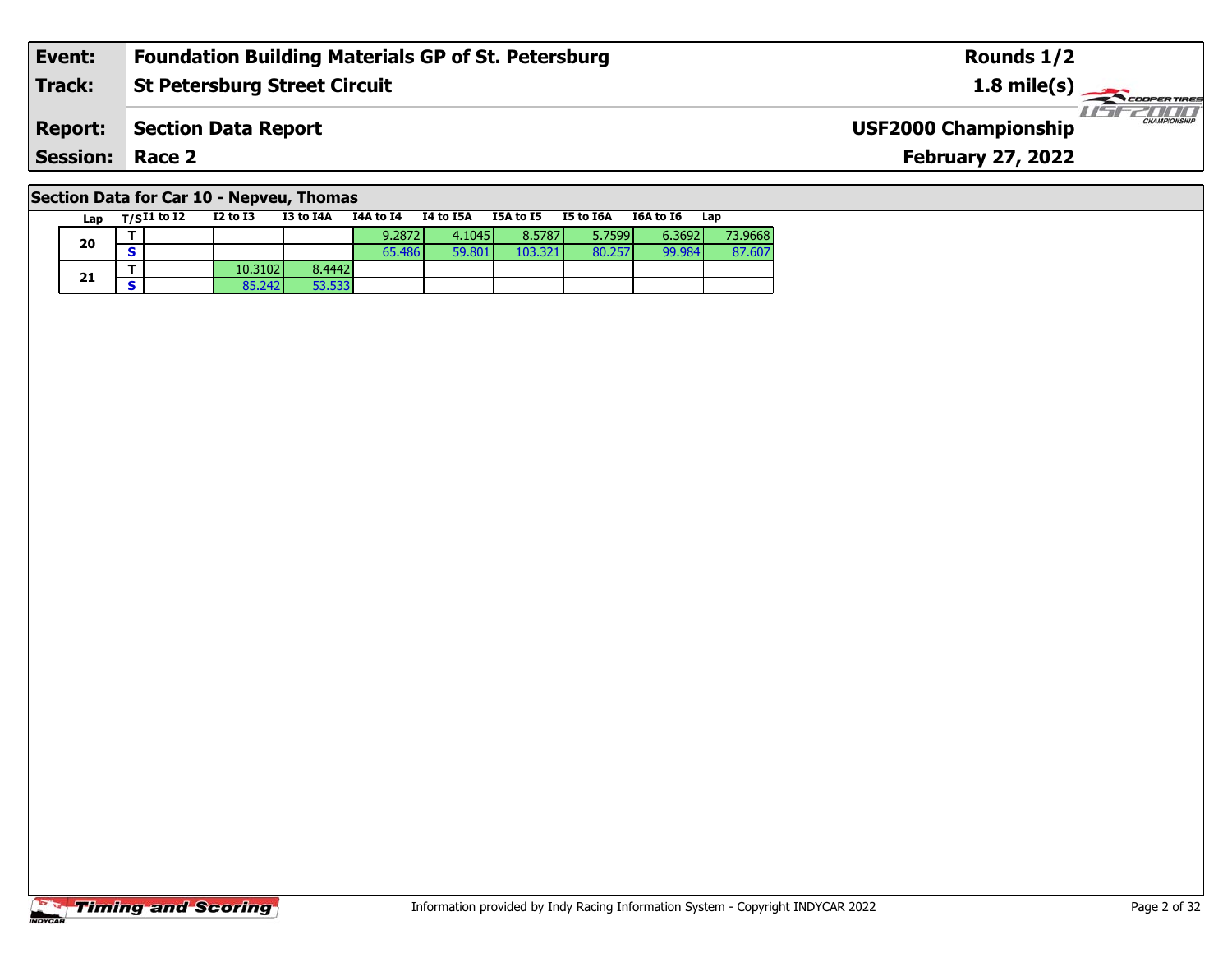| Event:                 | <b>Foundation Building Materials GP of St. Petersburg</b> | Rounds 1/2                                         |
|------------------------|-----------------------------------------------------------|----------------------------------------------------|
| Track:                 | <b>St Petersburg Street Circuit</b>                       | $1.8 \text{ mile(s)}$                              |
| <b>Report:</b>         | Section Data Report                                       | <b>CHAMPIONSHIP</b><br><b>USF2000 Championship</b> |
| <b>Session: Race 2</b> |                                                           | <b>February 27, 2022</b>                           |
|                        |                                                           |                                                    |

# **Section Data for Car 10 - Nepveu, Thomas**

|  | Lap | $T/SI1$ to $I2$ | <b>I2 to I3</b> | I3 to I4A | I4A to I4 | I4 to I5A | I5A to I5 | I5 to I6A | <b>I6A to I6</b> | Lan     |
|--|-----|-----------------|-----------------|-----------|-----------|-----------|-----------|-----------|------------------|---------|
|  | 20  |                 |                 |           | 9.2872    | 4.1045    | 8.5787    | 5.7599    | 6.3692           | 73.9668 |
|  |     |                 |                 |           | 65.486    | 59.801    | 103.321   | 80.257    | 99.984           | 87.607  |
|  |     |                 | 10.3102         | 8.4442    |           |           |           |           |                  |         |
|  | 21  |                 | 85.242          | 53.533    |           |           |           |           |                  |         |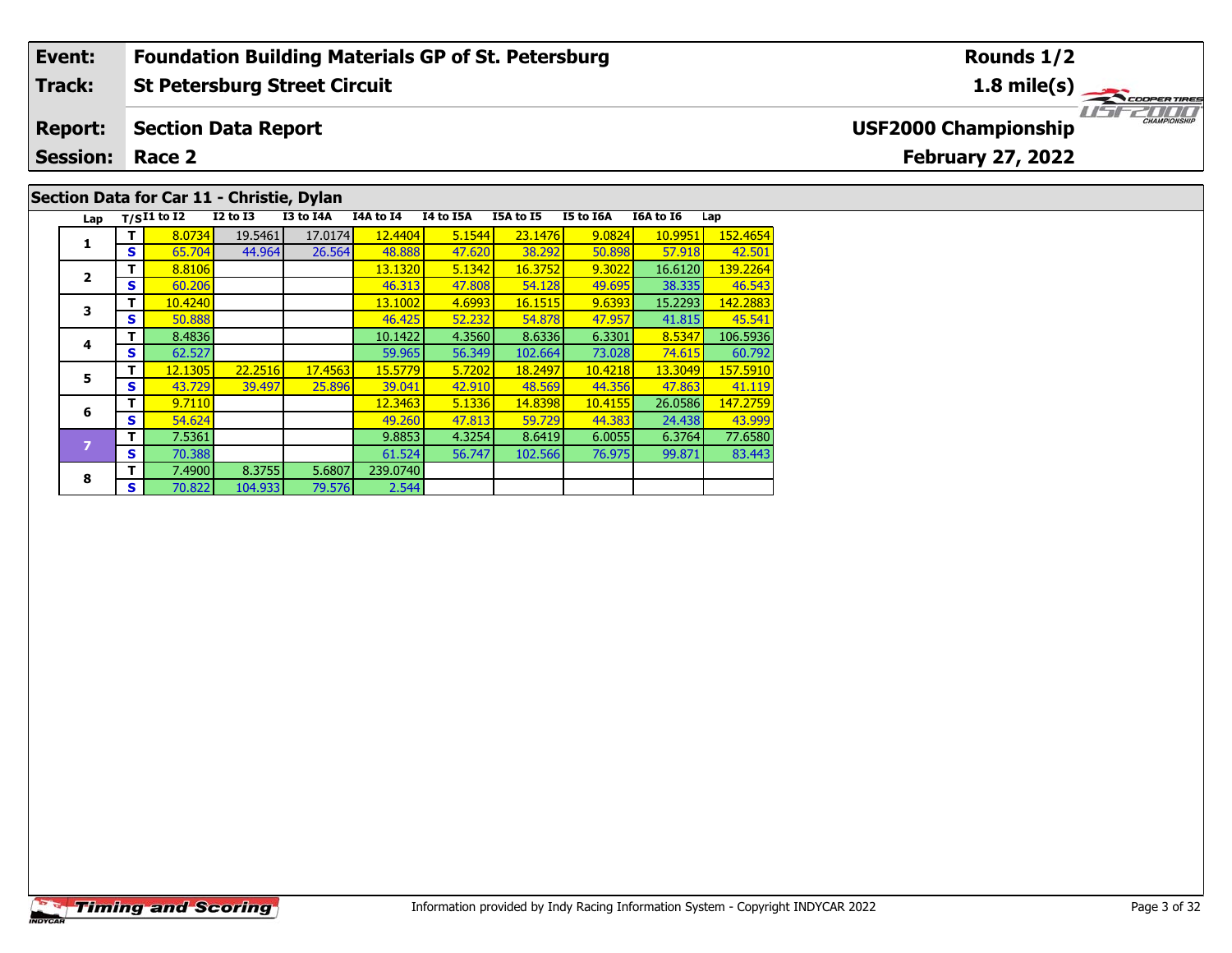### **Event: Foundation Building Materials GP of St. Petersburg Rounds 1/2Track:St Petersburg Street Circuit 1.8 mile(s)** 11515211111 **Report: Section Data Report USF2000 Championship February 27, 2022 Session: Race 2Section Data for Car 11 - Christie, Dylan Lap T/SI1 to I2 I2 to I3 I3 to I4A I4A to I4 I4 to I5A I5A to I5 I5 to I6A I6A to I6 Lap**

60.792

**<sup>T</sup>** 8.0734 19.5461 17.0174 12.4404 5.1544 23.1476 9.0824 10.9951 152.4654 **<sup>S</sup>** 65.704 44.964 26.564 48.888 47.620 38.292 50.898 57.918 42.501

**T** 8.8106 139.2264 13.1320 5.1342 16.3752 9.3022 16.6120 139.2264<br>S 60.206 46.543 47.808 54.128 49.695 38.335 46.543

**<sup>T</sup>** 10.4240 13.1002 4.6993 16.1515 9.6393 15.2293 142.2883 **<sup>S</sup>** 50.888 46.425 52.232 54.878 47.957 41.815 45.541

**T** 8.4836 10.1422 4.3560 8.6336 6.3301 8.5347 106.5936 **S** 62.527 59.965 56.349 102.664 73.028 74.615

**<sup>T</sup>** 12.1305 22.2516 17.4563 15.5779 5.7202 18.2497 10.4218 13.3049 157.5910 **<sup>S</sup>** 43.729 39.497 25.896 39.041 42.910 48.569 44.356 47.863 41.119

**<sup>T</sup>** 9.7110 12.3463 5.1336 14.8398 10.4155 26.0586 147.2759 **<sup>S</sup>** 54.624 49.260 47.813 59.729 44.383 24.438 43.999

**<sup>T</sup>** 7.5361 9.8853 4.3254 8.6419 6.0055 6.3764 77.6580 **<sup>S</sup>** 70.388 61.524 56.747 102.566 76.975 99.871 83.443

|  | <b>Timing and Scoring</b> |
|--|---------------------------|
|  |                           |

**1**

**2**

**3**

**4**

**5**

**6**

**8**

**<sup>T</sup>** 7.4900 8.3755 5.6807 239.0740 **<sup>S</sup>** 70.822 104.933 79.576 2.544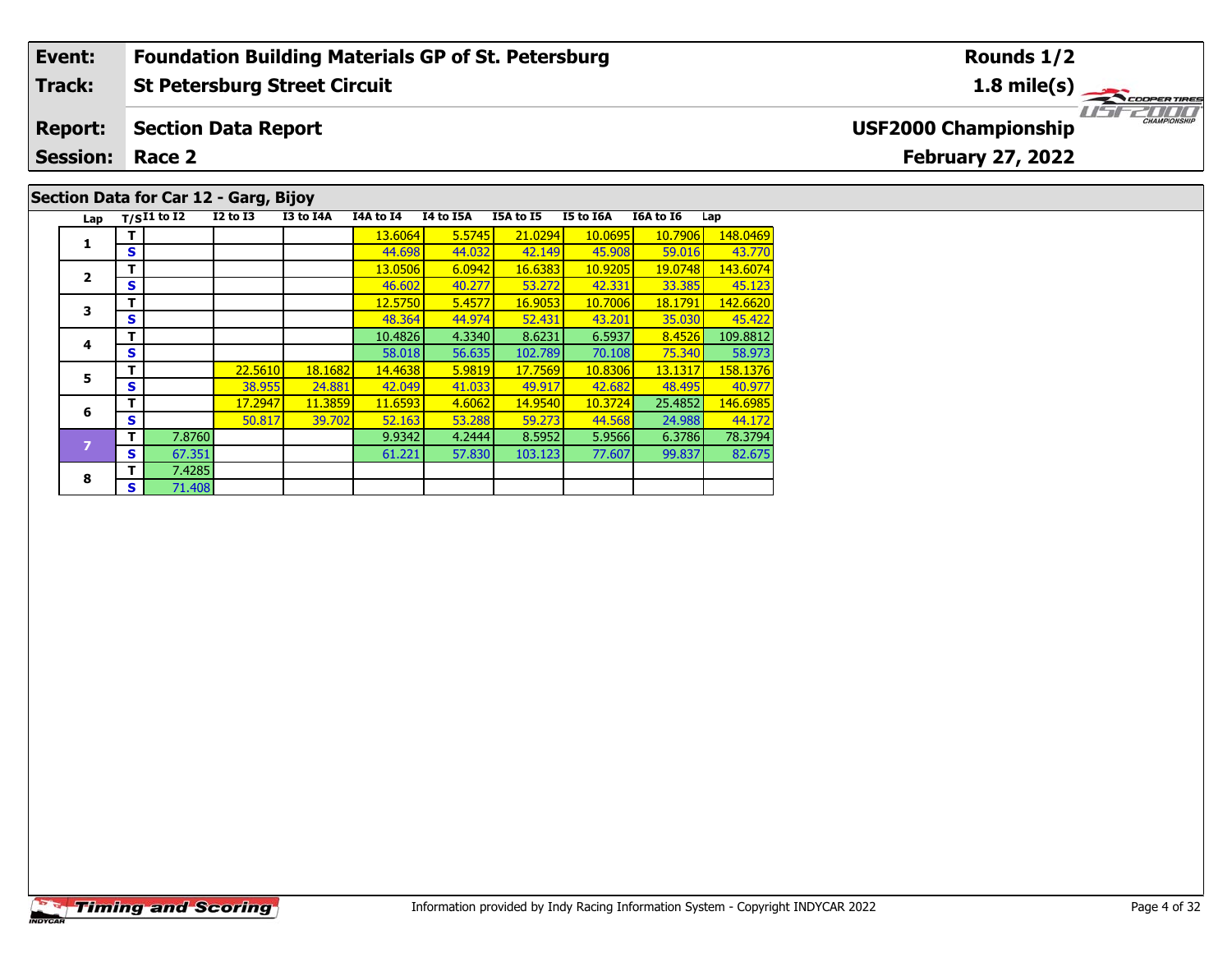### **Event: Foundation Building Materials GP of St. Petersburg Rounds 1/2Track:St Petersburg Street Circuit 1.8 mile(s)** 15152000 **Report: Section Data Report USF2000 Championship February 27, 2022 Session: Race 2 Section Data for Car 12 - Garg, Bijoy** Lap **T**/S<sup>I1</sup> to I2 **I2** to I3 **I3** to I4A **I4A** to I4 **I4** to I5A **I5A** to I5 **I5** to I6A **I6A** to I6 Lap  $\Box$

|                | т |        |         |         | 13.6064 | 5.5745 | 21.0294 | 10.0695 | 10.7906 | 148.0469 |
|----------------|---|--------|---------|---------|---------|--------|---------|---------|---------|----------|
| 1              | S |        |         |         | 44.698  | 44.032 | 42.149  | 45.908  | 59.016  | 43.770   |
| 2              | т |        |         |         | 13.0506 | 6.0942 | 16.6383 | 10.9205 | 19.0748 | 143.6074 |
|                | S |        |         |         | 46.602  | 40.277 | 53.272  | 42.331  | 33.385  | 45.123   |
| 3              | T |        |         |         | 12.5750 | 5.4577 | 16.9053 | 10.7006 | 18.1791 | 142.6620 |
|                | S |        |         |         | 48.364  | 44.974 | 52.431  | 43.201  | 35.030  | 45.422   |
|                | т |        |         |         | 10.4826 | 4.3340 | 8.6231  | 6.5937  | 8.4526  | 109.8812 |
| 4              | S |        |         |         | 58.018  | 56.635 | 102.789 | 70.108  | 75.340  | 58.973   |
| 5              | т |        | 22.5610 | 18.1682 | 14.4638 | 5.9819 | 17.7569 | 10.8306 | 13.1317 | 158.1376 |
|                | S |        | 38.955  | 24.881  | 42.049  | 41.033 | 49.917  | 42.682  | 48.495  | 40.977   |
| 6              | т |        | 17.2947 | 11.3859 | 11.6593 | 4.6062 | 14.9540 | 10.3724 | 25.4852 | 146.6985 |
|                | S |        | 50.817  | 39.702  | 52.163  | 53.288 | 59.273  | 44.568  | 24.988  | 44.172   |
| $\overline{z}$ | т | 7.8760 |         |         | 9.9342  | 4.2444 | 8.5952  | 5.9566  | 6.3786  | 78.3794  |
|                | S | 67.351 |         |         | 61.221  | 57,830 | 103.123 | 77.607  | 99.837  | 82.675   |
| 8              | т | 7.4285 |         |         |         |        |         |         |         |          |
|                | S | 71.408 |         |         |         |        |         |         |         |          |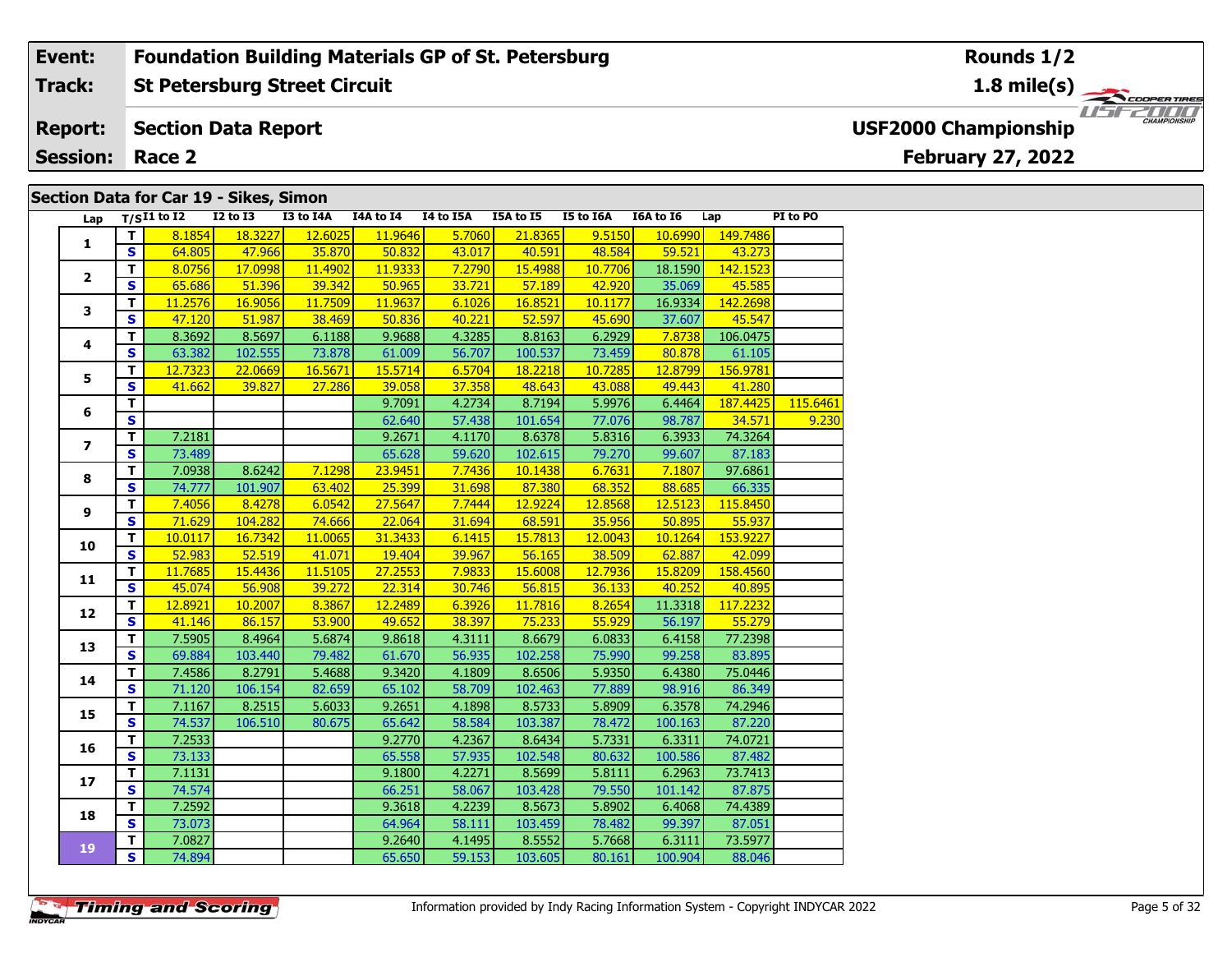#### **Event:Foundation Building Materials GP of St. Petersburg**

#### **St Petersburg Street Circuit Track:**

#### **Section Data Report Report:**

**Session: Race 2**

### **Section Data for Car 19 - Sikes, Simon**

| Lap            |                         | $T/SI1$ to I2 | <b>I2 to I3</b> | I3 to I4A | I4A to I4 | <b>I4 to I5A</b> | I5A to I5 | I5 to I6A | I6A to I6 | Lap      | PI to PO |
|----------------|-------------------------|---------------|-----------------|-----------|-----------|------------------|-----------|-----------|-----------|----------|----------|
| $\mathbf{1}$   | T.                      | 8.1854        | 18.3227         | 12.6025   | 11.9646   | 5.7060           | 21.8365   | 9.5150    | 10.6990   | 149.7486 |          |
|                | $\overline{\mathbf{s}}$ | 64.805        | 47.966          | 35.870    | 50.832    | 43.017           | 40.591    | 48.584    | 59.521    | 43.273   |          |
| $\overline{2}$ | $\overline{\mathsf{r}}$ | 8.0756        | 17.0998         | 11.4902   | 11.9333   | 7.2790           | 15.4988   | 10.7706   | 18.1590   | 142.1523 |          |
|                | $\overline{\mathbf{s}}$ | 65.686        | 51.396          | 39.342    | 50.965    | 33.721           | 57.189    | 42.920    | 35.069    | 45.585   |          |
| 3              | T.                      | 11.2576       | 16.9056         | 11.7509   | 11,9637   | 6.1026           | 16.8521   | 10.1177   | 16.9334   | 142.2698 |          |
|                | S                       | 47.120        | 51.987          | 38.469    | 50.836    | 40.221           | 52.597    | 45.690    | 37.607    | 45.547   |          |
| 4              | T                       | 8.3692        | 8.5697          | 6.1188    | 9.9688    | 4.3285           | 8.8163    | 6.2929    | 7.8738    | 106.0475 |          |
|                | $\overline{\mathbf{s}}$ | 63.382        | 102.555         | 73.878    | 61.009    | 56.707           | 100.537   | 73.459    | 80.878    | 61.105   |          |
| 5              | T.                      | 12.7323       | 22.0669         | 16.5671   | 15.5714   | 6.5704           | 18.2218   | 10.7285   | 12.8799   | 156.9781 |          |
|                | $\overline{\mathbf{s}}$ | 41.662        | 39.827          | 27.286    | 39.058    | 37.358           | 48.643    | 43.088    | 49.443    | 41.280   |          |
| 6              | T.                      |               |                 |           | 9.7091    | 4.2734           | 8.7194    | 5.9976    | 6.4464    | 187.4425 | 115.6461 |
|                | $\overline{\mathbf{s}}$ |               |                 |           | 62.640    | 57.438           | 101.654   | 77.076    | 98.787    | 34.571   | 9.230    |
| $\overline{7}$ | T.                      | 7.2181        |                 |           | 9.2671    | 4.1170           | 8.6378    | 5.8316    | 6.3933    | 74.3264  |          |
|                | $\overline{\mathbf{s}}$ | 73.489        |                 |           | 65.628    | 59.620           | 102.615   | 79.270    | 99.607    | 87.183   |          |
| 8              | T.                      | 7.0938        | 8.6242          | 7.1298    | 23.9451   | 7.7436           | 10.1438   | 6.7631    | 7.1807    | 97.6861  |          |
|                | $\overline{\mathbf{s}}$ | 74.777        | 101.907         | 63.402    | 25.399    | 31.698           | 87.380    | 68.352    | 88.685    | 66.335   |          |
| 9              | $\mathbf T$             | 7.4056        | 8.4278          | 6.0542    | 27.5647   | 7.7444           | 12.9224   | 12.8568   | 12.5123   | 115.8450 |          |
|                | $\mathbf{s}$            | 71.629        | 104.282         | 74.666    | 22.064    | 31.694           | 68.591    | 35.956    | 50.895    | 55.937   |          |
| 10             | T.                      | 10.0117       | 16.7342         | 11.0065   | 31.3433   | 6.1415           | 15.7813   | 12.0043   | 10.1264   | 153,9227 |          |
|                | $\overline{\mathbf{s}}$ | 52.983        | 52.519          | 41.071    | 19.404    | 39.967           | 56.165    | 38.509    | 62.887    | 42.099   |          |
| 11             | T.                      | 11.7685       | 15.4436         | 11.5105   | 27.2553   | 7.9833           | 15.6008   | 12.7936   | 15.8209   | 158,4560 |          |
|                | $\overline{\mathbf{s}}$ | 45.074        | 56.908          | 39.272    | 22.314    | 30.746           | 56.815    | 36.133    | 40.252    | 40.895   |          |
| 12             | T.                      | 12.8921       | 10.2007         | 8.3867    | 12.2489   | 6.3926           | 11.7816   | 8.2654    | 11.3318   | 117.2232 |          |
|                | $\overline{\mathbf{s}}$ | 41.146        | 86.157          | 53.900    | 49.652    | 38.397           | 75.233    | 55.929    | 56.197    | 55.279   |          |
| 13             | $\overline{\mathbf{r}}$ | 7.5905        | 8.4964          | 5.6874    | 9.8618    | 4.3111           | 8.6679    | 6.0833    | 6.4158    | 77.2398  |          |
|                | $\overline{\mathbf{s}}$ | 69.884        | 103.440         | 79.482    | 61.670    | 56.935           | 102.258   | 75.990    | 99.258    | 83.895   |          |
| 14             | T.                      | 7.4586        | 8.2791          | 5.4688    | 9.3420    | 4.1809           | 8.6506    | 5.9350    | 6.4380    | 75.0446  |          |
|                | $\overline{\mathbf{s}}$ | 71.120        | 106.154         | 82.659    | 65.102    | 58.709           | 102.463   | 77.889    | 98.916    | 86.349   |          |
| 15             | $\overline{\mathsf{T}}$ | 7.1167        | 8.2515          | 5.6033    | 9.2651    | 4.1898           | 8.5733    | 5.8909    | 6.3578    | 74.2946  |          |
|                | $\mathbf{s}$            | 74.537        | 106.510         | 80.675    | 65.642    | 58.584           | 103.387   | 78.472    | 100.163   | 87.220   |          |
| 16             | $\overline{\mathsf{T}}$ | 7.2533        |                 |           | 9.2770    | 4.2367           | 8.6434    | 5.7331    | 6.3311    | 74.0721  |          |
|                | S                       | 73.133        |                 |           | 65.558    | 57.935           | 102.548   | 80.632    | 100.586   | 87.482   |          |
| 17             | T.                      | 7.1131        |                 |           | 9.1800    | 4.2271           | 8.5699    | 5.8111    | 6.2963    | 73.7413  |          |
|                | S                       | 74.574        |                 |           | 66.251    | 58.067           | 103.428   | 79.550    | 101.142   | 87.875   |          |
| 18             | T.                      | 7.2592        |                 |           | 9.3618    | 4.2239           | 8.5673    | 5.8902    | 6.4068    | 74.4389  |          |
|                | $\overline{\mathbf{s}}$ | 73.073        |                 |           | 64.964    | 58.111           | 103.459   | 78.482    | 99.397    | 87.051   |          |
| 19             | $\overline{\mathsf{r}}$ | 7.0827        |                 |           | 9.2640    | 4.1495           | 8.5552    | 5.7668    | 6.3111    | 73.5977  |          |
|                | $\overline{\mathbf{s}}$ | 74.894        |                 |           | 65.650    | 59.153           | 103.605   | 80.161    | 100.904   | 88.046   |          |

**Rounds 1/2**

**1.8 mile(s)**



**USF2000 Championship**

# **February 27, 2022**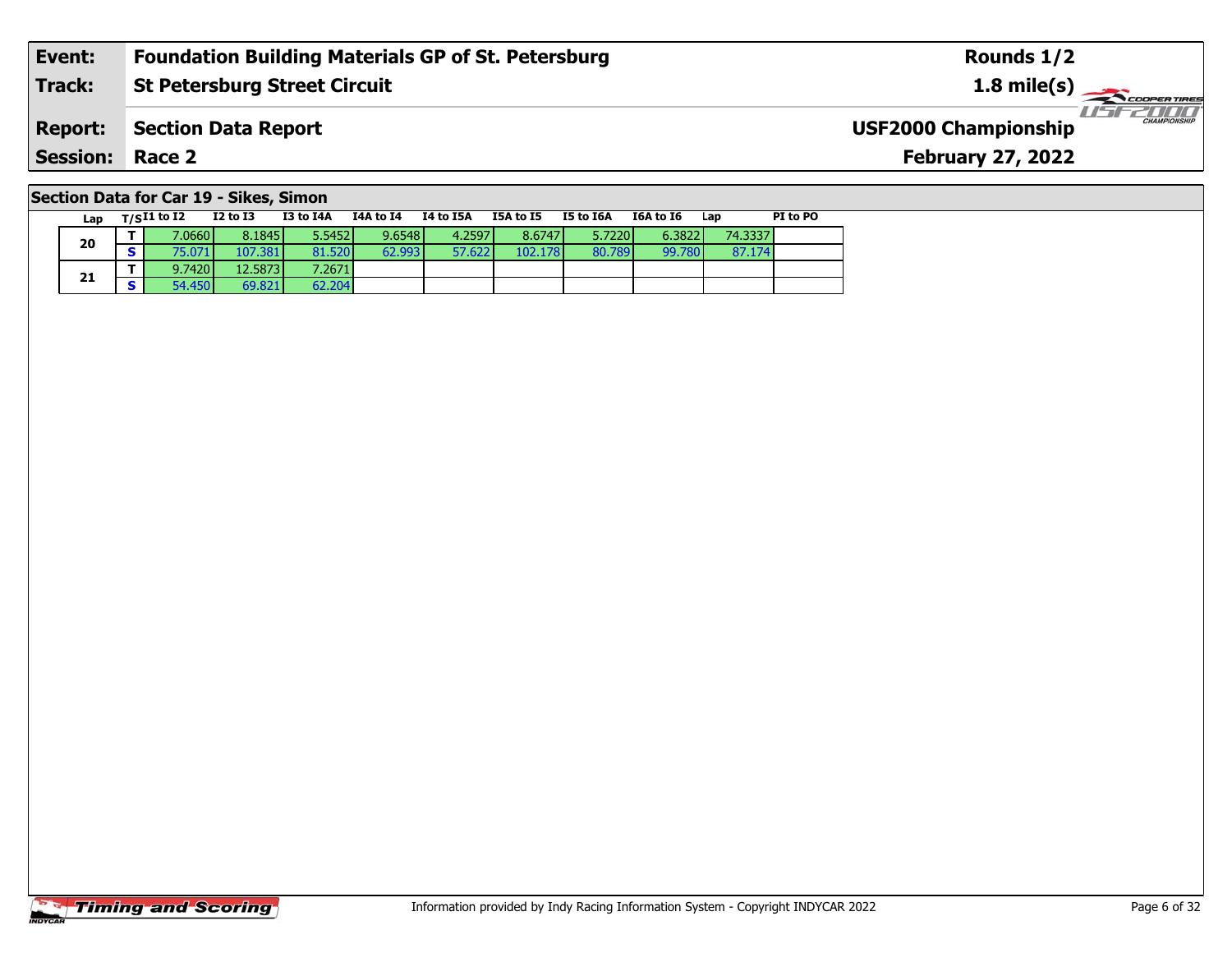#### **Event: Foundation Building Materials GP of St. Petersburg Rounds 1/2St Petersburg Street Circuit 1.8 mile(s) Track:** THE COOPERTIRES **Report: Section Data Report USF2000 Championship February 27, 2022 Session: Race 2**

# **Section Data for Car 19 - Sikes, Simon**

| Lap | $T/SI1$ to $I2$ | $I2$ to $I3$ | I3 to I4A | I4A to I4 | I4 to I5A | <b>I5A to I5</b> | I5 to I6A | <b>I6A to I6</b> | Lap     | PI to PO |
|-----|-----------------|--------------|-----------|-----------|-----------|------------------|-----------|------------------|---------|----------|
|     | 7.0660 <b>1</b> | 8.1845       | 5.5452    | 9.6548    | 4.2597    | 8.6747           | 5.7220    | 6.38221          | 74.3337 |          |
| 20  | 75.071          | 107.381      | 81.520    | 62.993    | 57.622    | 102.178          | 80.789    | 99.780           | 87.174  |          |
|     | 9.7420          | 12.5873      | 7.2671    |           |           |                  |           |                  |         |          |
| 21  | 54.450          | 69.821       | 62.204    |           |           |                  |           |                  |         |          |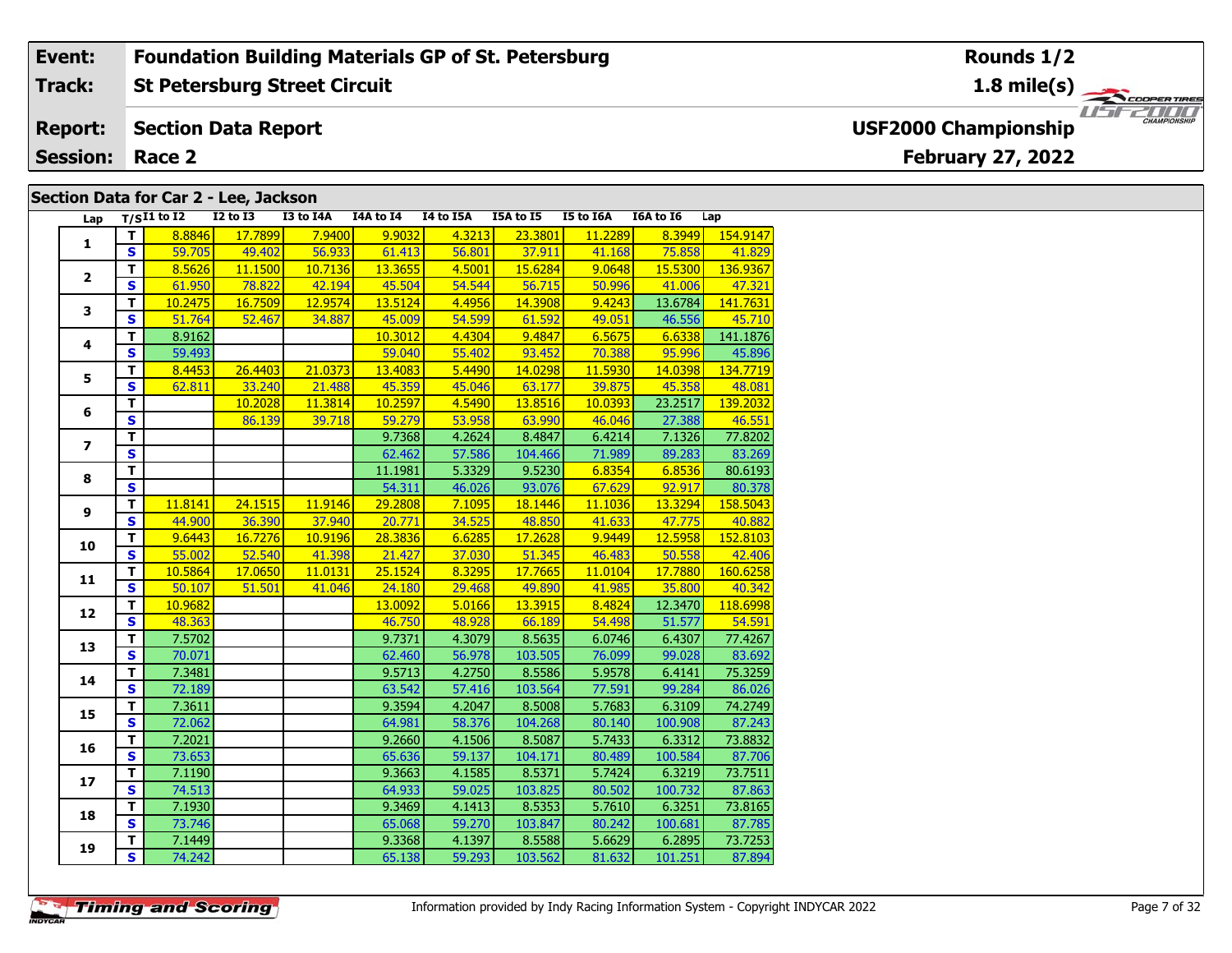#### **Event: Foundation Building Materials GP of St. Petersburg Rounds 1/2St Petersburg Street Circuit 1.8 mile(s) Track:** THE COOPERTIRES **Section Data Report USF2000 Championship Report: February 27, 2022 Session: Race 2 Section Data for Car 2 - Lee, Jackson**

| Lap                     |                         | $T/SI1$ to $I2$ | <b>I2 to I3</b> | <b>I3 to I4A</b> | I4A to I4 | I4 to I5A | I5A to I5 | <b>I5 to I6A</b> | I6A to I6 | Lap      |
|-------------------------|-------------------------|-----------------|-----------------|------------------|-----------|-----------|-----------|------------------|-----------|----------|
|                         | т                       | 8.8846          | 17.7899         | 7.9400           | 9.9032    | 4.3213    | 23.3801   | 11.2289          | 8.3949    | 154.9147 |
| 1                       | S                       | 59.705          | 49.402          | 56.933           | 61.413    | 56.801    | 37.911    | 41.168           | 75.858    | 41.829   |
|                         | T.                      | 8.5626          | 11.1500         | 10.7136          | 13.3655   | 4.5001    | 15.6284   | 9.0648           | 15.5300   | 136.9367 |
| $\overline{\mathbf{2}}$ | $\overline{\mathbf{s}}$ | 61.950          | 78.822          | 42.194           | 45.504    | 54.544    | 56.715    | 50.996           | 41.006    | 47.321   |
|                         | $\mathbf{T}$            | 10.2475         | 16.7509         | 12.9574          | 13.5124   | 4.4956    | 14.3908   | 9.4243           | 13.6784   | 141.7631 |
| 3                       | $\overline{\mathbf{s}}$ | 51.764          | 52.467          | 34.887           | 45.009    | 54.599    | 61.592    | 49.051           | 46.556    | 45.710   |
|                         | T                       | 8.9162          |                 |                  | 10.3012   | 4.4304    | 9.4847    | 6.5675           | 6.6338    | 141.1876 |
| $\overline{\mathbf{4}}$ | $\overline{\mathbf{s}}$ | 59.493          |                 |                  | 59.040    | 55.402    | 93.452    | 70.388           | 95.996    | 45.896   |
|                         | $\mathbf T$             | 8.4453          | 26.4403         | 21.0373          | 13.4083   | 5.4490    | 14.0298   | 11.5930          | 14.0398   | 134.7719 |
| 5                       | S                       | 62.811          | 33.240          | 21.488           | 45.359    | 45.046    | 63.177    | 39.875           | 45.358    | 48.081   |
|                         | T                       |                 | 10.2028         | 11.3814          | 10.2597   | 4.5490    | 13.8516   | 10.0393          | 23.2517   | 139.2032 |
| 6                       | $\overline{\mathbf{s}}$ |                 | 86.139          | 39.718           | 59.279    | 53.958    | 63.990    | 46.046           | 27.388    | 46.551   |
|                         | $\mathbf{T}$            |                 |                 |                  | 9.7368    | 4.2624    | 8.4847    | 6.4214           | 7.1326    | 77.8202  |
| 7                       | $\overline{\mathbf{s}}$ |                 |                 |                  | 62.462    | 57.586    | 104.466   | 71.989           | 89.283    | 83.269   |
|                         | $\overline{\mathsf{r}}$ |                 |                 |                  | 11.1981   | 5.3329    | 9.5230    | 6.8354           | 6.8536    | 80.6193  |
| 8                       | $\overline{\mathbf{s}}$ |                 |                 |                  | 54.311    | 46.026    | 93.076    | 67.629           | 92.917    | 80.378   |
|                         | T                       | 11.8141         | 24.1515         | 11.9146          | 29.2808   | 7.1095    | 18.1446   | 11.1036          | 13.3294   | 158.5043 |
| 9                       | $\overline{\mathbf{s}}$ | 44.900          | 36.390          | 37.940           | 20.771    | 34.525    | 48.850    | 41.633           | 47.775    | 40.882   |
|                         | $\mathbf T$             | 9.6443          | 16.7276         | 10.9196          | 28.3836   | 6.6285    | 17.2628   | 9.9449           | 12.5958   | 152.8103 |
| 10                      | S                       | 55.002          | 52.540          | 41.398           | 21.427    | 37.030    | 51.345    | 46.483           | 50.558    | 42,406   |
|                         | T                       | 10.5864         | 17.0650         | 11.0131          | 25.1524   | 8.3295    | 17.7665   | 11.0104          | 17.7880   | 160.6258 |
| 11                      | $\mathbf{s}$            | 50.107          | 51.501          | 41.046           | 24.180    | 29.468    | 49.890    | 41.985           | 35.800    | 40.342   |
|                         | T                       | 10.9682         |                 |                  | 13.0092   | 5.0166    | 13.3915   | 8.4824           | 12.3470   | 118.6998 |
| 12                      | S                       | 48.363          |                 |                  | 46.750    | 48.928    | 66.189    | 54.498           | 51.577    | 54.591   |
|                         | T                       | 7.5702          |                 |                  | 9.7371    | 4.3079    | 8.5635    | 6.0746           | 6.4307    | 77.4267  |
| 13                      | $\overline{\mathbf{s}}$ | 70.071          |                 |                  | 62.460    | 56.978    | 103.505   | 76.099           | 99.028    | 83.692   |
|                         | $\overline{\mathsf{r}}$ | 7.3481          |                 |                  | 9.5713    | 4.2750    | 8.5586    | 5.9578           | 6.4141    | 75.3259  |
| 14                      | $\overline{\mathbf{s}}$ | 72.189          |                 |                  | 63.542    | 57.416    | 103.564   | 77.591           | 99.284    | 86.026   |
|                         | $\overline{\mathsf{r}}$ | 7.3611          |                 |                  | 9.3594    | 4.2047    | 8.5008    | 5.7683           | 6.3109    | 74.2749  |
| 15                      | $\overline{\mathbf{s}}$ | 72.062          |                 |                  | 64.981    | 58.376    | 104.268   | 80.140           | 100.908   | 87.243   |
|                         | T                       | 7.2021          |                 |                  | 9.2660    | 4.1506    | 8.5087    | 5.7433           | 6.3312    | 73.8832  |
| 16                      | $\mathbf{s}$            | 73.653          |                 |                  | 65.636    | 59.137    | 104.171   | 80.489           | 100.584   | 87.706   |
|                         | T                       | 7.1190          |                 |                  | 9.3663    | 4.1585    | 8.5371    | 5.7424           | 6.3219    | 73.7511  |
| 17                      | $\mathbf{s}$            | 74.513          |                 |                  | 64.933    | 59.025    | 103.825   | 80.502           | 100.732   | 87.863   |
|                         | $\overline{\mathsf{r}}$ | 7.1930          |                 |                  | 9.3469    | 4.1413    | 8.5353    | 5.7610           | 6.3251    | 73.8165  |
| 18                      | $\overline{\mathbf{s}}$ | 73.746          |                 |                  | 65.068    | 59.270    | 103.847   | 80.242           | 100.681   | 87.785   |
|                         | т                       | 7.1449          |                 |                  | 9.3368    | 4.1397    | 8.5588    | 5.6629           | 6.2895    | 73.7253  |
| 19                      | S.                      | 74.242          |                 |                  | 65.138    | 59.293    | 103.562   | 81.632           | 101.251   | 87.894   |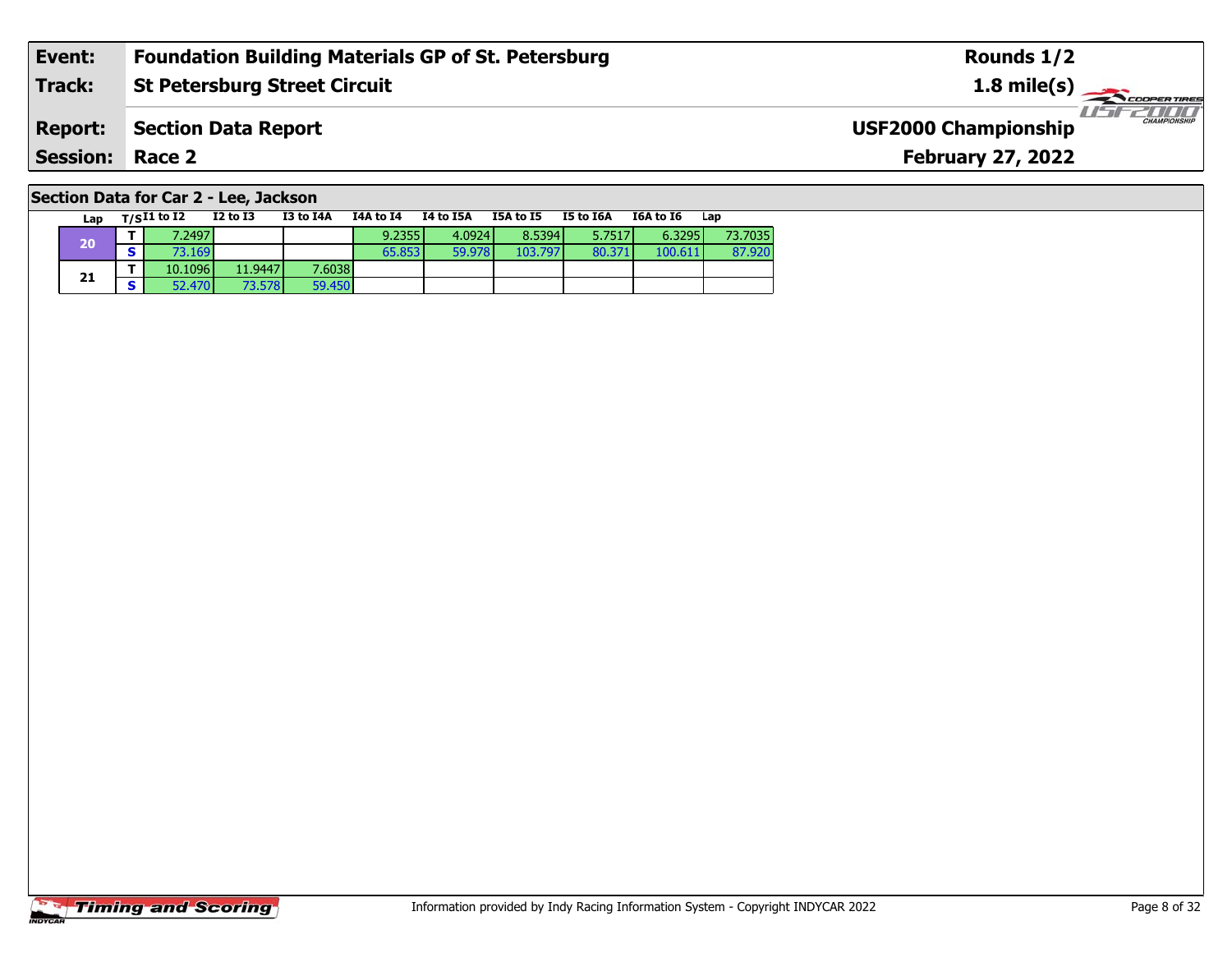| Event:                 | <b>Foundation Building Materials GP of St. Petersburg</b> | Rounds 1/2                                         |
|------------------------|-----------------------------------------------------------|----------------------------------------------------|
| <b>Track:</b>          | <b>St Petersburg Street Circuit</b>                       | $1.8 \text{ mile(s)}$                              |
| <b>Report:</b>         | Section Data Report                                       | <b>CHAMPIONSHIP</b><br><b>USF2000 Championship</b> |
| <b>Session: Race 2</b> |                                                           | <b>February 27, 2022</b>                           |
|                        |                                                           |                                                    |

# **Section Data for Car 2 - Lee, Jackson**

| Lap | $T/SI1$ to $I2$ | $I2$ to $I3$ | I3 to I4A | I4A to I4 | I4 to I5A | I5A to I5 | I5 to I6A | I6A to I6 | Lap     |
|-----|-----------------|--------------|-----------|-----------|-----------|-----------|-----------|-----------|---------|
|     | 7.2497          |              |           | 9.2355    | 4.0924    | 8.5394    | 5.7517    | 6.3295    | 73.7035 |
| 20  | 73.169          |              |           | 65.853    | 59.978    | 103.797   | 80.371    | 100.611   | 87,920  |
|     | 10.1096         | 11.9447      | 7,6038    |           |           |           |           |           |         |
| 21  | 52.470          | 73.578       | 59.450    |           |           |           |           |           |         |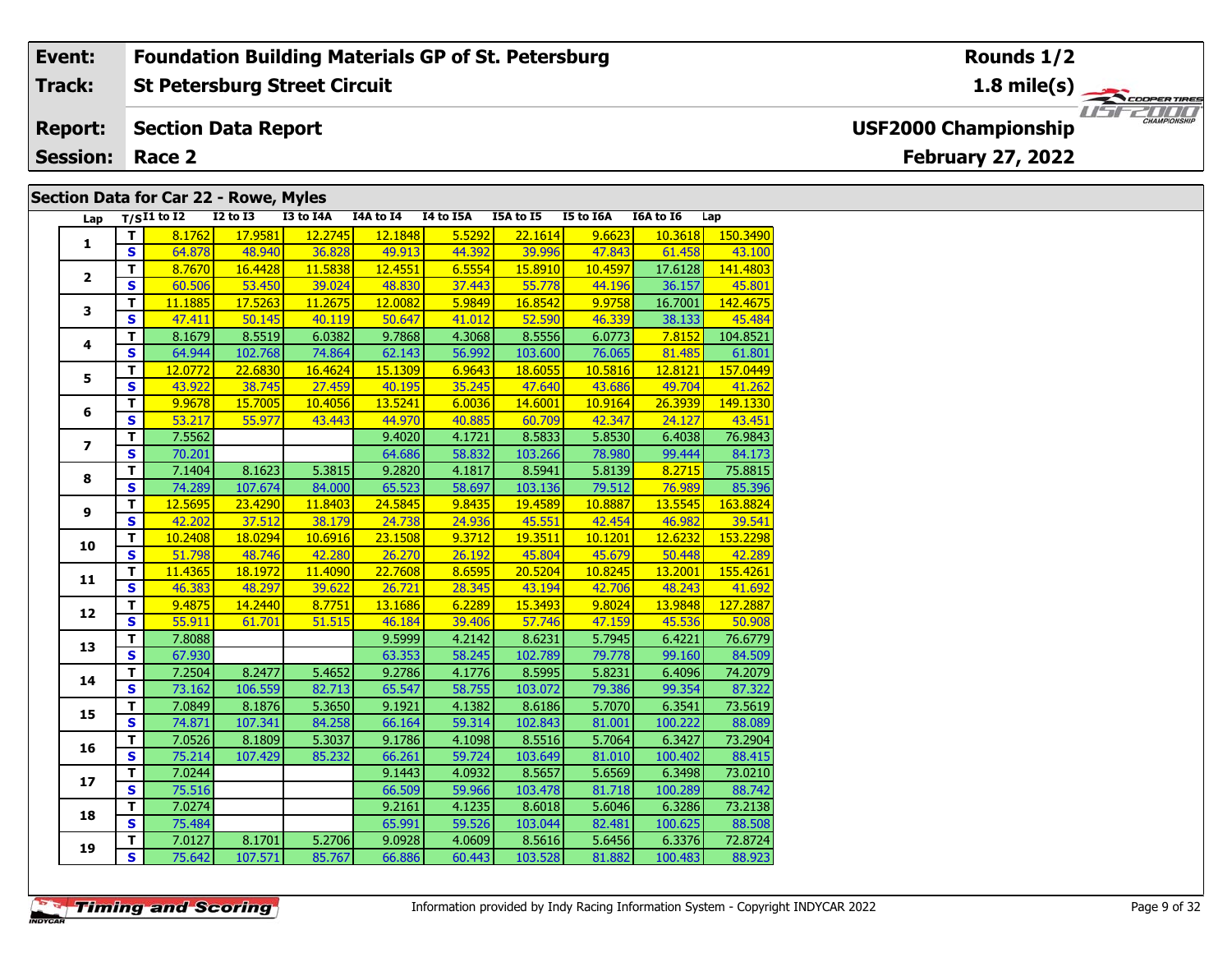#### **Event: Foundation Building Materials GP of St. Petersburg Rounds 1/2St Petersburg Street Circuit 1.8 mile(s) Track:** THE COOPERTIRES **Report: Section Data Report USF2000 Championship February 27, 2022 Session: Race 2 Section Data for Car 22 - Rowe, Myles**

| Lap                      |                         | $T/SI1$ to I2 | $I2$ to $I3$ | I3 to I4A | I4A to I4 | I4 to I5A | I5A to I5 | <b>I5 to I6A</b> | I6A to I6 | Lap      |
|--------------------------|-------------------------|---------------|--------------|-----------|-----------|-----------|-----------|------------------|-----------|----------|
|                          | T                       | 8.1762        | 17.9581      | 12.2745   | 12.1848   | 5.5292    | 22.1614   | 9.6623           | 10.3618   | 150.3490 |
| $\mathbf{1}$             | $\overline{\mathbf{s}}$ | 64.878        | 48.940       | 36.828    | 49.913    | 44.392    | 39.996    | 47.843           | 61.458    | 43.100   |
|                          | T                       | 8.7670        | 16.4428      | 11.5838   | 12.4551   | 6.5554    | 15.8910   | 10.4597          | 17.6128   | 141.4803 |
| $\overline{2}$           | $\overline{\mathbf{s}}$ | 60.506        | 53.450       | 39.024    | 48.830    | 37.443    | 55.778    | 44.196           | 36.157    | 45.801   |
|                          | T.                      | 11.1885       | 17.5263      | 11.2675   | 12.0082   | 5.9849    | 16.8542   | 9.9758           | 16.7001   | 142.4675 |
| 3                        | $\overline{\mathbf{s}}$ |               |              |           |           |           |           |                  |           |          |
|                          | Ŧ                       | 47.411        | 50.145       | 40.119    | 50.647    | 41.012    | 52.590    | 46.339           | 38.133    | 45.484   |
| $\overline{\mathbf{4}}$  |                         | 8.1679        | 8.5519       | 6.0382    | 9.7868    | 4.3068    | 8.5556    | 6.0773           | 7.8152    | 104.8521 |
|                          | $\overline{\mathbf{s}}$ | 64.944        | 102.768      | 74.864    | 62.143    | 56.992    | 103.600   | 76.065           | 81.485    | 61.801   |
| 5                        | $\overline{\mathsf{r}}$ | 12.0772       | 22.6830      | 16.4624   | 15.1309   | 6.9643    | 18.6055   | 10.5816          | 12.8121   | 157.0449 |
|                          | $\mathbf{s}$            | 43.922        | 38.745       | 27.459    | 40.195    | 35.245    | 47.640    | 43.686           | 49.704    | 41.262   |
| 6                        | T                       | 9.9678        | 15.7005      | 10.4056   | 13.5241   | 6.0036    | 14.6001   | 10.9164          | 26.3939   | 149.1330 |
|                          | $\overline{\mathbf{s}}$ | 53.217        | 55.977       | 43.443    | 44.970    | 40.885    | 60.709    | 42.347           | 24.127    | 43.451   |
| $\overline{\phantom{a}}$ | T                       | 7.5562        |              |           | 9.4020    | 4.1721    | 8.5833    | 5.8530           | 6.4038    | 76.9843  |
|                          | $\overline{\mathbf{s}}$ | 70.201        |              |           | 64.686    | 58.832    | 103.266   | 78.980           | 99.444    | 84.173   |
| 8                        | T.                      | 7.1404        | 8.1623       | 5.3815    | 9.2820    | 4.1817    | 8.5941    | 5.8139           | 8.2715    | 75.8815  |
|                          | $\overline{\mathbf{s}}$ | 74.289        | 107.674      | 84.000    | 65.523    | 58.697    | 103.136   | 79.512           | 76.989    | 85.396   |
| $\mathbf{9}$             | $\overline{\mathsf{r}}$ | 12.5695       | 23.4290      | 11.8403   | 24.5845   | 9.8435    | 19.4589   | 10.8887          | 13.5545   | 163.8824 |
|                          | $\overline{\mathbf{s}}$ | 42.202        | 37.512       | 38.179    | 24.738    | 24.936    | 45.551    | 42.454           | 46.982    | 39.541   |
| 10                       | $\overline{\mathsf{T}}$ | 10.2408       | 18.0294      | 10.6916   | 23.1508   | 9.3712    | 19.3511   | 10.1201          | 12.6232   | 153.2298 |
|                          | $\mathbf{s}$            | 51.798        | 48.746       | 42.280    | 26.270    | 26.192    | 45.804    | 45.679           | 50.448    | 42.289   |
| 11                       | T                       | 11.4365       | 18.1972      | 11.4090   | 22.7608   | 8.6595    | 20.5204   | 10.8245          | 13.2001   | 155.4261 |
|                          | $\overline{\mathbf{s}}$ | 46.383        | 48.297       | 39.622    | 26.721    | 28.345    | 43.194    | 42.706           | 48.243    | 41.692   |
| 12                       | T                       | 9.4875        | 14.2440      | 8.7751    | 13.1686   | 6.2289    | 15.3493   | 9.8024           | 13.9848   | 127.2887 |
|                          | $\overline{\mathbf{s}}$ | 55.911        | 61.701       | 51.515    | 46.184    | 39.406    | 57.746    | 47.159           | 45.536    | 50.908   |
| 13                       | T.                      | 7.8088        |              |           | 9.5999    | 4.2142    | 8.6231    | 5.7945           | 6.4221    | 76.6779  |
|                          | $\overline{\mathbf{s}}$ | 67.930        |              |           | 63.353    | 58.245    | 102.789   | 79.778           | 99.160    | 84.509   |
| 14                       | $\overline{\mathsf{r}}$ | 7.2504        | 8.2477       | 5.4652    | 9.2786    | 4.1776    | 8.5995    | 5.8231           | 6.4096    | 74.2079  |
|                          | $\overline{\mathbf{s}}$ | 73.162        | 106.559      | 82.713    | 65.547    | 58.755    | 103.072   | 79.386           | 99.354    | 87.322   |
| 15                       | $\overline{\mathsf{r}}$ | 7.0849        | 8.1876       | 5.3650    | 9.1921    | 4.1382    | 8.6186    | 5.7070           | 6.3541    | 73.5619  |
|                          | $\overline{\mathbf{s}}$ | 74.871        | 107.341      | 84.258    | 66.164    | 59.314    | 102.843   | 81.001           | 100.222   | 88.089   |
| 16                       | T                       | 7.0526        | 8.1809       | 5.3037    | 9.1786    | 4.1098    | 8.5516    | 5.7064           | 6.3427    | 73.2904  |
|                          | $\overline{\mathbf{s}}$ | 75.214        | 107.429      | 85.232    | 66.261    | 59.724    | 103.649   | 81.010           | 100.402   | 88.415   |
|                          | T                       | 7.0244        |              |           | 9.1443    | 4.0932    | 8.5657    | 5.6569           | 6.3498    | 73.0210  |
| 17                       | $\overline{\mathbf{s}}$ | 75.516        |              |           | 66.509    | 59.966    | 103.478   | 81.718           | 100.289   | 88.742   |
|                          | T.                      | 7.0274        |              |           | 9.2161    | 4.1235    | 8.6018    | 5.6046           | 6.3286    | 73.2138  |
| 18                       | $\overline{\mathbf{s}}$ | 75.484        |              |           | 65.991    | 59.526    | 103.044   | 82.481           | 100.625   | 88.508   |
|                          | $\overline{\mathsf{r}}$ | 7.0127        | 8.1701       | 5.2706    | 9.0928    | 4.0609    | 8.5616    | 5.6456           | 6.3376    | 72.8724  |
| 19                       | $\overline{\mathbf{s}}$ | 75.642        | 107.571      | 85.767    | 66.886    | 60.443    | 103.528   | 81.882           | 100.483   | 88.923   |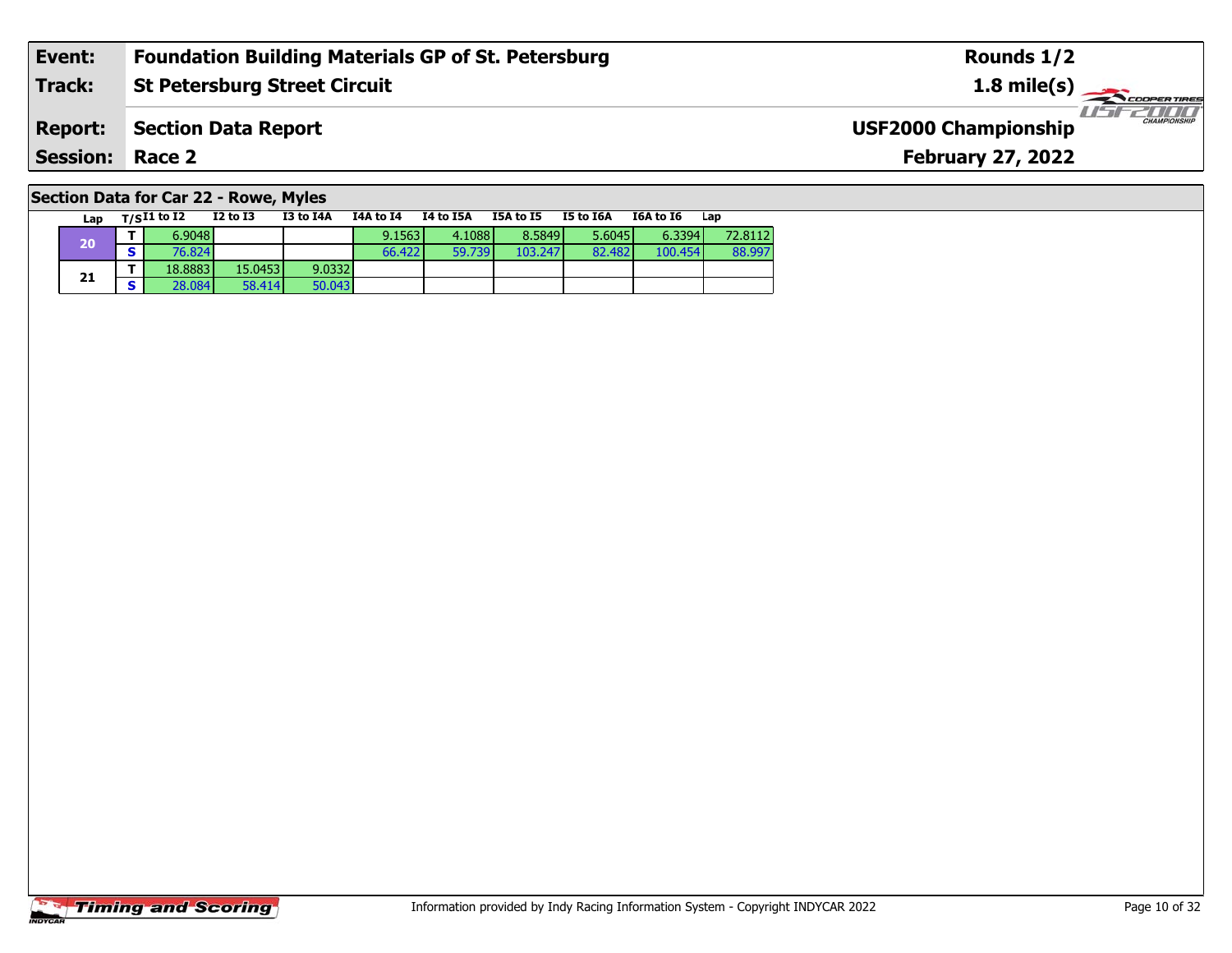| Event:                 | <b>Foundation Building Materials GP of St. Petersburg</b> | Rounds 1/2                                  |
|------------------------|-----------------------------------------------------------|---------------------------------------------|
| Track:                 | <b>St Petersburg Street Circuit</b>                       | $1.8 \text{ mile(s)}$                       |
| <b>Report:</b>         | Section Data Report                                       | CHAMPIONSHIP<br><b>USF2000 Championship</b> |
| <b>Session: Race 2</b> |                                                           | <b>February 27, 2022</b>                    |
|                        |                                                           |                                             |

# **Section Data for Car 22 - Rowe, Myles**

| Lap | $T/SI1$ to $I2$ | <b>I2 to I3</b> | I3 to I4A | I4A to I4 | I4 to I5A | I5A to I5 | I5 to I6A | <b>I6A to I6</b> | Lan     |
|-----|-----------------|-----------------|-----------|-----------|-----------|-----------|-----------|------------------|---------|
| 20  | 6.9048          |                 |           | 9.1563    | 4.1088    | 8.5849    | 5.6045    | 6.3394           | 72.8112 |
|     | 76.824          |                 |           | 66.422    | 59.739    | 103.247   | 82.482    | 100.454          | 88.997  |
| 21  | 18.8883         | 15.0453         | 9.0332    |           |           |           |           |                  |         |
|     | 28.084          | 58.414          | 50.043    |           |           |           |           |                  |         |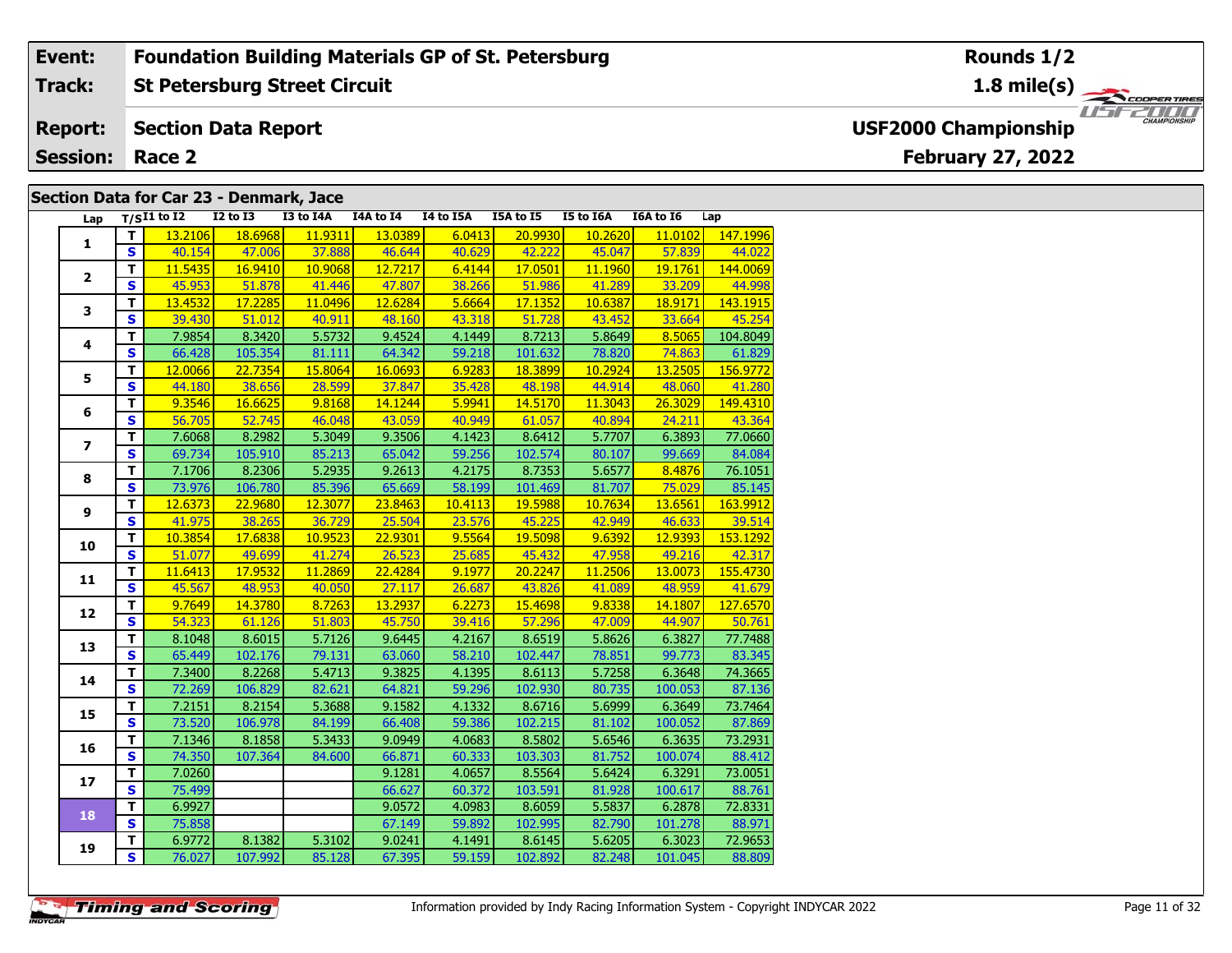#### **Event: Foundation Building Materials GP of St. Petersburg Rounds 1/2St Petersburg Street Circuit 1.8 mile(s) Track:** THE COOPERTIRES **Section Data Report USF2000 Championship Report: February 27, 2022 Session: Race 2 Section Data for Car 23 - Denmark, Jace**

| Lap                     |                         | $T/SI1$ to I2 | <b>I2 to I3</b> | <b>I3 to I4A</b> | I4A to I4 | I4 to I5A | I5A to I5 | <b>I5 to I6A</b> | I6A to I6 | Lap      |
|-------------------------|-------------------------|---------------|-----------------|------------------|-----------|-----------|-----------|------------------|-----------|----------|
|                         | T.                      | 13.2106       | 18.6968         | 11.9311          | 13.0389   | 6.0413    | 20.9930   | 10.2620          | 11.0102   | 147.1996 |
| 1                       | S.                      | 40.154        | 47.006          | 37.888           | 46.644    | 40.629    | 42.222    | 45.047           | 57.839    | 44.022   |
|                         | т                       | 11.5435       | 16.9410         | 10.9068          | 12.7217   | 6.4144    | 17.0501   | 11.1960          | 19.1761   | 144.0069 |
| $\overline{\mathbf{2}}$ | $\mathbf{s}$            | 45.953        | 51.878          | 41.446           | 47.807    | 38.266    | 51.986    | 41.289           | 33.209    | 44.998   |
|                         | T.                      | 13.4532       | 17.2285         | 11.0496          | 12.6284   | 5.6664    | 17.1352   | 10.6387          | 18.9171   | 143.1915 |
| 3                       | $\overline{\mathbf{s}}$ | 39.430        | 51.012          | 40.911           | 48.160    | 43.318    | 51.728    | 43.452           | 33.664    | 45.254   |
|                         | T                       | 7.9854        | 8.3420          | 5.5732           | 9.4524    | 4.1449    | 8.7213    | 5.8649           | 8.5065    | 104.8049 |
| 4                       | $\mathbf{s}$            | 66.428        | 105.354         | 81.111           | 64.342    | 59.218    | 101.632   | 78.820           | 74.863    | 61.829   |
|                         | T                       | 12.0066       | 22.7354         | 15.8064          | 16.0693   | 6.9283    | 18.3899   | 10.2924          | 13.2505   | 156.9772 |
| 5                       | $\mathbf{s}$            | 44.180        | 38.656          | 28.599           | 37.847    | 35.428    | 48.198    | 44.914           | 48.060    | 41.280   |
|                         | T                       | 9.3546        | 16.6625         | 9.8168           | 14.1244   | 5.9941    | 14.5170   | 11.3043          | 26.3029   | 149.4310 |
| 6                       | S                       | 56.705        | 52.745          | 46.048           | 43.059    | 40.949    | 61.057    | 40.894           | 24.211    | 43.364   |
|                         | т                       | 7.6068        | 8.2982          | 5.3049           | 9.3506    | 4.1423    | 8.6412    | 5.7707           | 6.3893    | 77.0660  |
| 7                       | $\overline{\mathbf{s}}$ | 69.734        | 105.910         | 85.213           | 65.042    | 59.256    | 102.574   | 80.107           | 99.669    | 84.084   |
|                         | T.                      | 7.1706        | 8.2306          | 5.2935           | 9.2613    | 4.2175    | 8.7353    | 5.6577           | 8.4876    | 76.1051  |
| 8                       | $\mathbf s$             | 73.976        | 106.780         | 85.396           | 65.669    | 58.199    | 101.469   | 81.707           | 75.029    | 85.145   |
|                         | T.                      | 12.6373       | 22.9680         | 12.3077          | 23.8463   | 10.4113   | 19.5988   | 10.7634          | 13.6561   | 163.9912 |
| 9                       | $\mathbf{s}$            | 41.975        | 38.265          | 36.729           | 25.504    | 23.576    | 45.225    | 42.949           | 46.633    | 39.514   |
|                         | T                       | 10.3854       | 17.6838         | 10.9523          | 22.9301   | 9.5564    | 19.5098   | 9.6392           | 12.9393   | 153.1292 |
| 10                      | $\mathbf{s}$            | 51.077        | 49.699          | 41.274           | 26.523    | 25.685    | 45.432    | 47.958           | 49.216    | 42.317   |
| 11                      | T                       | 11.6413       | 17.9532         | 11.2869          | 22.4284   | 9.1977    | 20.2247   | 11.2506          | 13.0073   | 155.4730 |
|                         | $\mathbf{s}$            | 45.567        | 48.953          | 40.050           | 27.117    | 26.687    | 43.826    | 41.089           | 48.959    | 41.679   |
| 12                      | T.                      | 9.7649        | 14.3780         | 8.7263           | 13.2937   | 6.2273    | 15.4698   | 9.8338           | 14.1807   | 127.6570 |
|                         | $\overline{\mathbf{s}}$ | 54.323        | 61.126          | 51.803           | 45.750    | 39.416    | 57.296    | 47.009           | 44.907    | 50.761   |
| 13                      | T                       | 8.1048        | 8.6015          | 5.7126           | 9.6445    | 4.2167    | 8.6519    | 5.8626           | 6.3827    | 77.7488  |
|                         | $\mathbf{s}$            | 65.449        | 102.176         | 79.131           | 63.060    | 58.210    | 102.447   | 78.851           | 99.773    | 83.345   |
| 14                      | $\overline{\mathsf{r}}$ | 7.3400        | 8.2268          | 5.4713           | 9.3825    | 4.1395    | 8.6113    | 5.7258           | 6.3648    | 74.3665  |
|                         | $\overline{\mathbf{s}}$ | 72.269        | 106.829         | 82.621           | 64.821    | 59.296    | 102.930   | 80.735           | 100.053   | 87.136   |
| 15                      | T                       | 7.2151        | 8.2154          | 5.3688           | 9.1582    | 4.1332    | 8.6716    | 5.6999           | 6.3649    | 73.7464  |
|                         | $\overline{\mathbf{s}}$ | 73.520        | 106.978         | 84.199           | 66.408    | 59.386    | 102.215   | 81.102           | 100.052   | 87.869   |
| 16                      | T                       | 7.1346        | 8.1858          | 5.3433           | 9.0949    | 4.0683    | 8.5802    | 5.6546           | 6.3635    | 73.2931  |
|                         | $\overline{\mathbf{s}}$ | 74.350        | 107.364         | 84.600           | 66.871    | 60.333    | 103.303   | 81.752           | 100.074   | 88.412   |
| 17                      | T.                      | 7.0260        |                 |                  | 9.1281    | 4.0657    | 8.5564    | 5.6424           | 6.3291    | 73.0051  |
|                         | $\overline{\mathbf{s}}$ | 75.499        |                 |                  | 66.627    | 60.372    | 103.591   | 81.928           | 100.617   | 88.761   |
| 18                      | T                       | 6.9927        |                 |                  | 9.0572    | 4.0983    | 8.6059    | 5.5837           | 6.2878    | 72.8331  |
|                         | $\overline{\mathbf{s}}$ | 75.858        |                 |                  | 67.149    | 59.892    | 102.995   | 82.790           | 101.278   | 88.971   |
| 19                      | T                       | 6.9772        | 8.1382          | 5.3102           | 9.0241    | 4.1491    | 8.6145    | 5.6205           | 6.3023    | 72.9653  |
|                         | $\overline{\mathbf{s}}$ | 76.027        | 107.992         | 85.128           | 67.395    | 59.159    | 102.892   | 82.248           | 101.045   | 88.809   |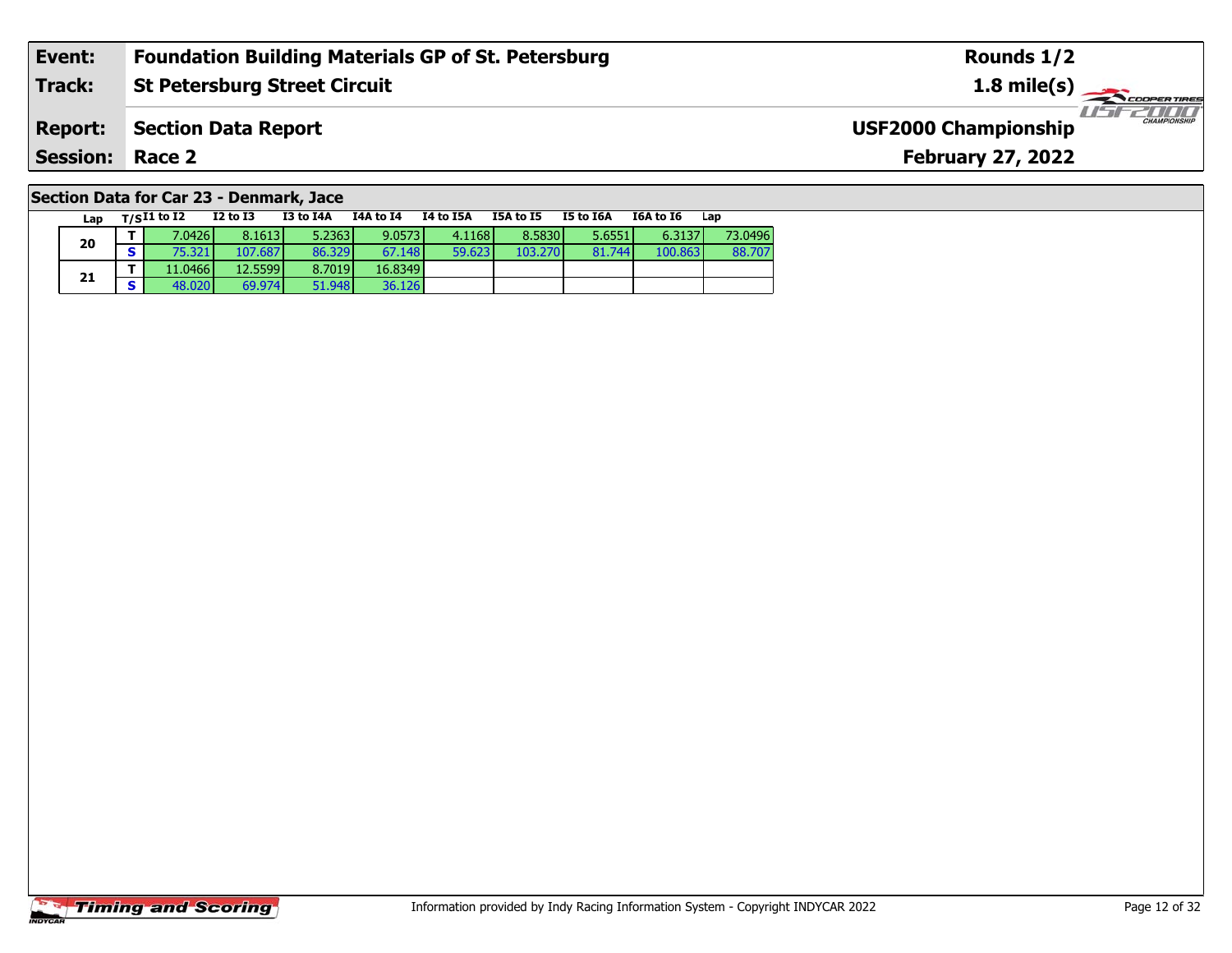| Event:                 | <b>Foundation Building Materials GP of St. Petersburg</b> | Rounds 1/2                                         |
|------------------------|-----------------------------------------------------------|----------------------------------------------------|
| Track:                 | <b>St Petersburg Street Circuit</b>                       | $1.8 \text{ mile(s)}$                              |
| <b>Report:</b>         | Section Data Report                                       | <b>CHAMPIONSHIP</b><br><b>USF2000 Championship</b> |
| <b>Session: Race 2</b> |                                                           | <b>February 27, 2022</b>                           |
|                        |                                                           |                                                    |

# **Section Data for Car 23 - Denmark, Jace**

| Lap | $T/SI1$ to $I2$ | $I2$ to $I3$ | I3 to I4A | I4A to I4 | <b>I4 to I5A</b> | I5A to I5 | I5 to I6A | I6A to I6 | Lap     |
|-----|-----------------|--------------|-----------|-----------|------------------|-----------|-----------|-----------|---------|
| 20  | 7.0426          | 8.1613       | 5.2363    | 9.0573    | 4.1168           | 8.5830    | 5.6551    | 6.3137    | 73.0496 |
|     | 75.321          | 107.687      | 86.329    | 67.148    | 59.623           | 103.270   | 81.744    | 100.863   | 88,707  |
| 21  | 11.0466         | 12.5599      | 8.7019    | 16.8349   |                  |           |           |           |         |
|     | 48.020          | 69.974       | 51.948    | 36.126    |                  |           |           |           |         |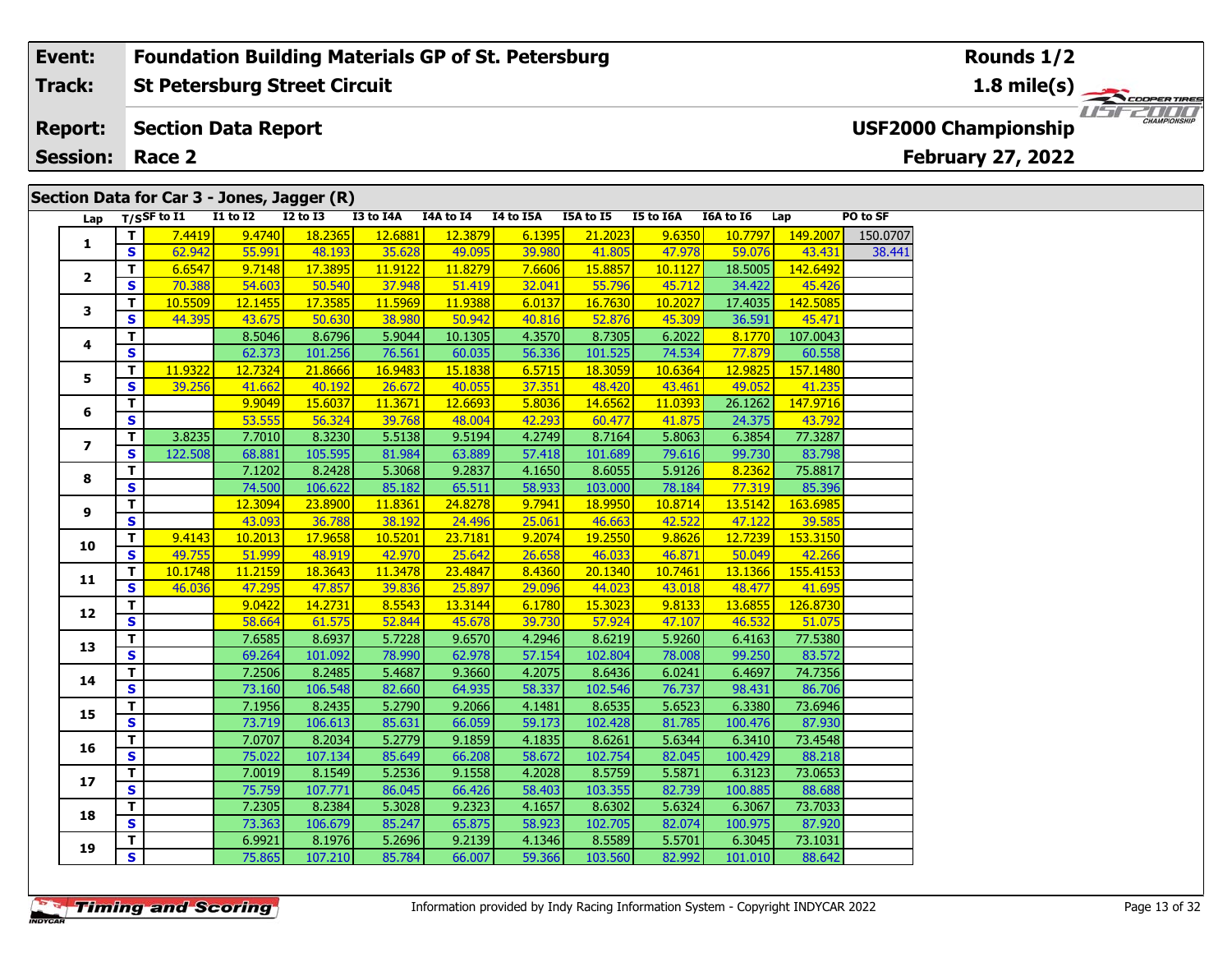#### **Event:Foundation Building Materials GP of St. Petersburg**

#### **St Petersburg Street Circuit Track:**

#### **Section Data Report Report:**

**Session: Race 2**

# **Section Data for Car 3 - Jones, Jagger (R)**

| Lap            |              | T/SSF to I1 | <b>I1 to I2</b> | <b>I2 to I3</b> | I3 to I4A | I4A to I4 | I4 to I5A | I5A to I5 | I5 to I6A | <b>I6A to I6</b> | Lap      | PO to SF |
|----------------|--------------|-------------|-----------------|-----------------|-----------|-----------|-----------|-----------|-----------|------------------|----------|----------|
|                | $\mathbf{T}$ | 7.4419      | 9.4740          | 18.2365         | 12.6881   | 12.3879   | 6.1395    | 21.2023   | 9.6350    | 10.7797          | 149.2007 | 150.0707 |
| $\mathbf{1}$   | $\mathbf{s}$ | 62.942      | 55.991          | 48.193          | 35.628    | 49.095    | 39.980    | 41.805    | 47.978    | 59.076           | 43.431   | 38.441   |
|                | T            | 6.6547      | 9.7148          | 17.3895         | 11.9122   | 11.8279   | 7.6606    | 15.8857   | 10.1127   | 18.5005          | 142.6492 |          |
| $\mathbf{2}$   | S            | 70.388      | 54.603          | 50.540          | 37.948    | 51.419    | 32.041    | 55.796    | 45.712    | 34.422           | 45.426   |          |
|                | т            | 10.5509     | 12.1455         | 17.3585         | 11.5969   | 11.9388   | 6.0137    | 16.7630   | 10.2027   | 17.4035          | 142.5085 |          |
| 3              | S            | 44.395      | 43.675          | 50.630          | 38.980    | 50.942    | 40.816    | 52.876    | 45.309    | 36.591           | 45.471   |          |
|                | T            |             | 8.5046          | 8.6796          | 5.9044    | 10.1305   | 4.3570    | 8.7305    | 6.2022    | 8.1770           | 107.0043 |          |
| 4              | $\mathbf{s}$ |             | 62.373          | 101.256         | 76.561    | 60.035    | 56.336    | 101.525   | 74.534    | 77.879           | 60.558   |          |
| 5              | т            | 11.9322     | 12.7324         | 21.8666         | 16.9483   | 15.1838   | 6.5715    | 18.3059   | 10.6364   | 12.9825          | 157.1480 |          |
|                | S            | 39.256      | 41.662          | 40.192          | 26.672    | 40.055    | 37.351    | 48.420    | 43.461    | 49.052           | 41.235   |          |
| 6              | T            |             | 9.9049          | 15.6037         | 11.3671   | 12.6693   | 5.8036    | 14.6562   | 11.0393   | 26.1262          | 147.9716 |          |
|                | $\mathbf{s}$ |             | 53.555          | 56.324          | 39.768    | 48.004    | 42.293    | 60.477    | 41.875    | 24.375           | 43.792   |          |
| $\overline{ }$ | т            | 3.8235      | 7.7010          | 8.3230          | 5.5138    | 9.5194    | 4.2749    | 8.7164    | 5.8063    | 6.3854           | 77.3287  |          |
|                | $\mathbf{s}$ | 122.508     | 68.881          | 105.595         | 81.984    | 63.889    | 57.418    | 101.689   | 79.616    | 99.730           | 83.798   |          |
| 8              | $\mathbf{T}$ |             | 7.1202          | 8.2428          | 5.3068    | 9.2837    | 4.1650    | 8.6055    | 5.9126    | 8.2362           | 75.8817  |          |
|                | $\mathbf{s}$ |             | 74.500          | 106.622         | 85.182    | 65.511    | 58.933    | 103.000   | 78.184    | 77.319           | 85.396   |          |
| 9              | т            |             | 12.3094         | 23.8900         | 11.8361   | 24.8278   | 9.7941    | 18.9950   | 10.8714   | 13.5142          | 163.6985 |          |
|                | S            |             | 43.093          | 36.788          | 38.192    | 24.496    | 25.061    | 46.663    | 42.522    | 47.122           | 39.585   |          |
| 10             | т            | 9.4143      | 10.2013         | 17.9658         | 10.5201   | 23.7181   | 9.2074    | 19.2550   | 9.8626    | 12.7239          | 153.3150 |          |
|                | S            | 49.755      | 51.999          | 48.919          | 42.970    | 25.642    | 26.658    | 46.033    | 46.871    | 50.049           | 42.266   |          |
| 11             | т            | 10.1748     | 11.2159         | 18.3643         | 11.3478   | 23.4847   | 8.4360    | 20.1340   | 10.7461   | 13.1366          | 155.4153 |          |
|                | S            | 46.036      | 47.295          | 47.857          | 39.836    | 25.897    | 29.096    | 44.023    | 43.018    | 48.477           | 41.695   |          |
| 12             | T            |             | 9.0422          | 14.2731         | 8.5543    | 13.3144   | 6.1780    | 15.3023   | 9.8133    | 13.6855          | 126.8730 |          |
|                | $\mathbf{s}$ |             | 58.664          | 61.575          | 52.844    | 45.678    | 39.730    | 57.924    | 47.107    | 46.532           | 51.075   |          |
| 13             | T            |             | 7.6585          | 8.6937          | 5.7228    | 9.6570    | 4.2946    | 8.6219    | 5.9260    | 6.4163           | 77.5380  |          |
|                | S            |             | 69.264          | 101.092         | 78.990    | 62.978    | 57.154    | 102.804   | 78.008    | 99.250           | 83.572   |          |
| 14             | T.           |             | 7.2506          | 8.2485          | 5.4687    | 9.3660    | 4.2075    | 8.6436    | 6.0241    | 6.4697           | 74.7356  |          |
|                | $\mathbf{s}$ |             | 73.160          | 106.548         | 82.660    | 64.935    | 58.337    | 102.546   | 76.737    | 98.431           | 86.706   |          |
| 15             | $\mathbf T$  |             | 7.1956          | 8.2435          | 5.2790    | 9.2066    | 4.1481    | 8.6535    | 5.6523    | 6.3380           | 73.6946  |          |
|                | $\mathbf{s}$ |             | 73.719          | 106.613         | 85.631    | 66.059    | 59.173    | 102.428   | 81.785    | 100.476          | 87.930   |          |
| 16             | T            |             | 7.0707          | 8.2034          | 5.2779    | 9.1859    | 4.1835    | 8.6261    | 5.6344    | 6.3410           | 73.4548  |          |
|                | $\mathbf{s}$ |             | 75.022          | 107.134         | 85.649    | 66.208    | 58.672    | 102.754   | 82.045    | 100.429          | 88.218   |          |
| 17             | T.           |             | 7.0019          | 8.1549          | 5.2536    | 9.1558    | 4.2028    | 8.5759    | 5.5871    | 6.3123           | 73.0653  |          |
|                | $\mathbf{s}$ |             | 75.759          | 107.771         | 86.045    | 66.426    | 58.403    | 103.355   | 82.739    | 100.885          | 88.688   |          |
| 18             | T.           |             | 7.2305          | 8.2384          | 5.3028    | 9.2323    | 4.1657    | 8.6302    | 5.6324    | 6.3067           | 73.7033  |          |
|                | $\mathbf{s}$ |             | 73.363          | 106.679         | 85.247    | 65.875    | 58.923    | 102.705   | 82.074    | 100.975          | 87.920   |          |
| 19             | T            |             | 6.9921          | 8.1976          | 5.2696    | 9.2139    | 4.1346    | 8.5589    | 5.5701    | 6.3045           | 73.1031  |          |
|                | $\mathbf{s}$ |             | 75.865          | 107.210         | 85.784    | 66.007    | 59.366    | 103.560   | 82.992    | 101.010          | 88.642   |          |

**Rounds 1/2**

**1.8 mile(s)**

**February 27, 2022**

**USF2000 Championship**

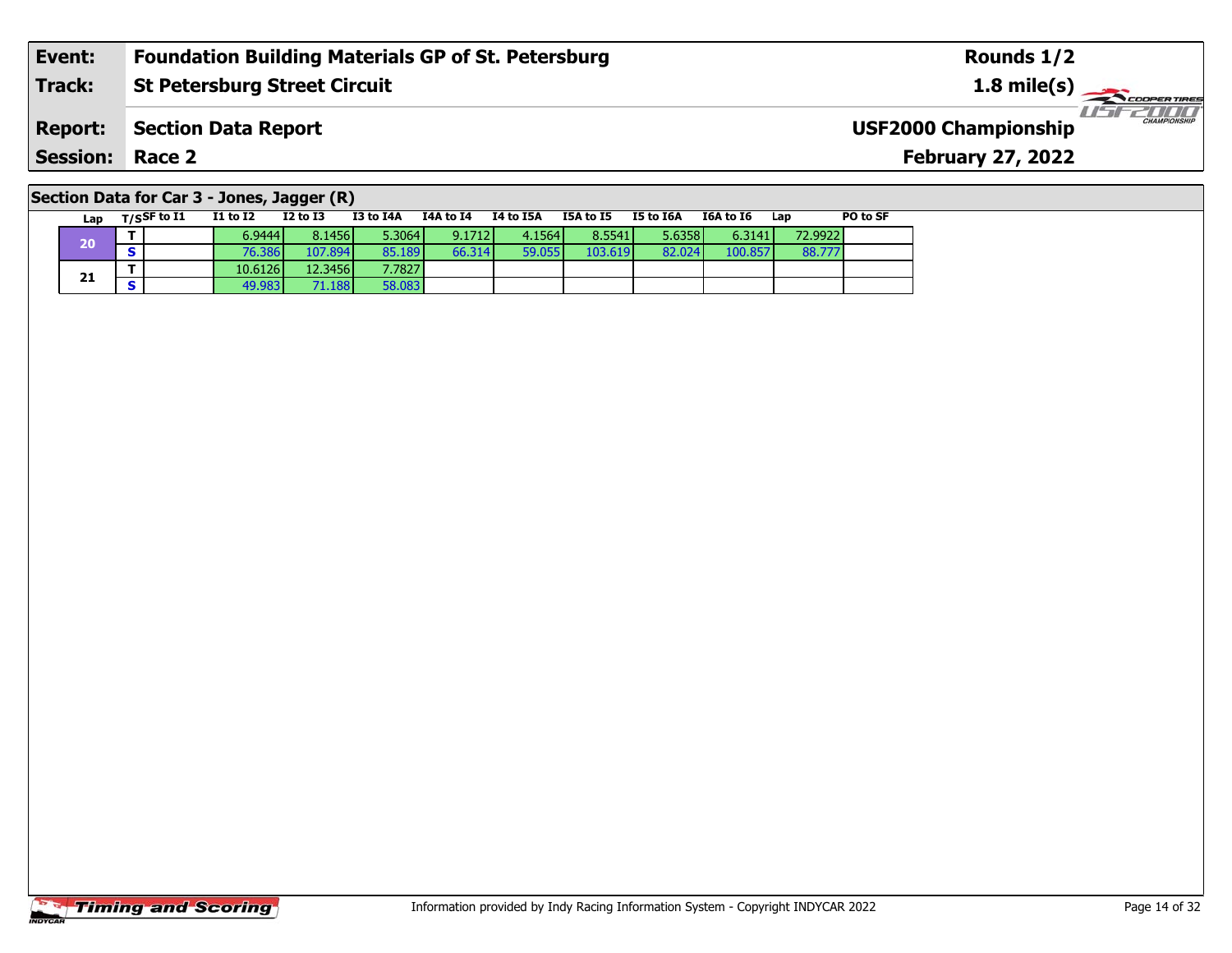#### **Event: Foundation Building Materials GP of St. Petersburg Rounds 1/2St Petersburg Street Circuit 1.8 mile(s) Track:** THE COOPERTIRES **Report: Section Data Report USF2000 Championship February 27, 2022 Session: Race 2**

### **Section Data for Car 3 - Jones, Jagger (R)**

|    | Lap | $T/S$ SF to $I1$ | <b>I1 to I2</b> | $I2$ to $I3$ | I3 to I4A | I4A to I4 | I4 to I5A | I5A to I5 | I5 to I6A | <b>I6A to I6</b> | Lap     | PO to SF |
|----|-----|------------------|-----------------|--------------|-----------|-----------|-----------|-----------|-----------|------------------|---------|----------|
|    | 20  |                  | 6.9444          | 8.1456       | 5.3064    | 9.1712    | 4.1564    | 8.5541    | 5.6358    | 6.3141           | 72,9922 |          |
|    |     |                  | 76.386          | 107.894      | 85.189    | 66.314    | 59.055    | 103.619   | 82.024    | 100.857          | 88.777  |          |
|    |     |                  | 10.6126         | 12.3456      | 7,7827    |           |           |           |           |                  |         |          |
| 21 |     |                  | 49.983          | 71.188       | 58.083    |           |           |           |           |                  |         |          |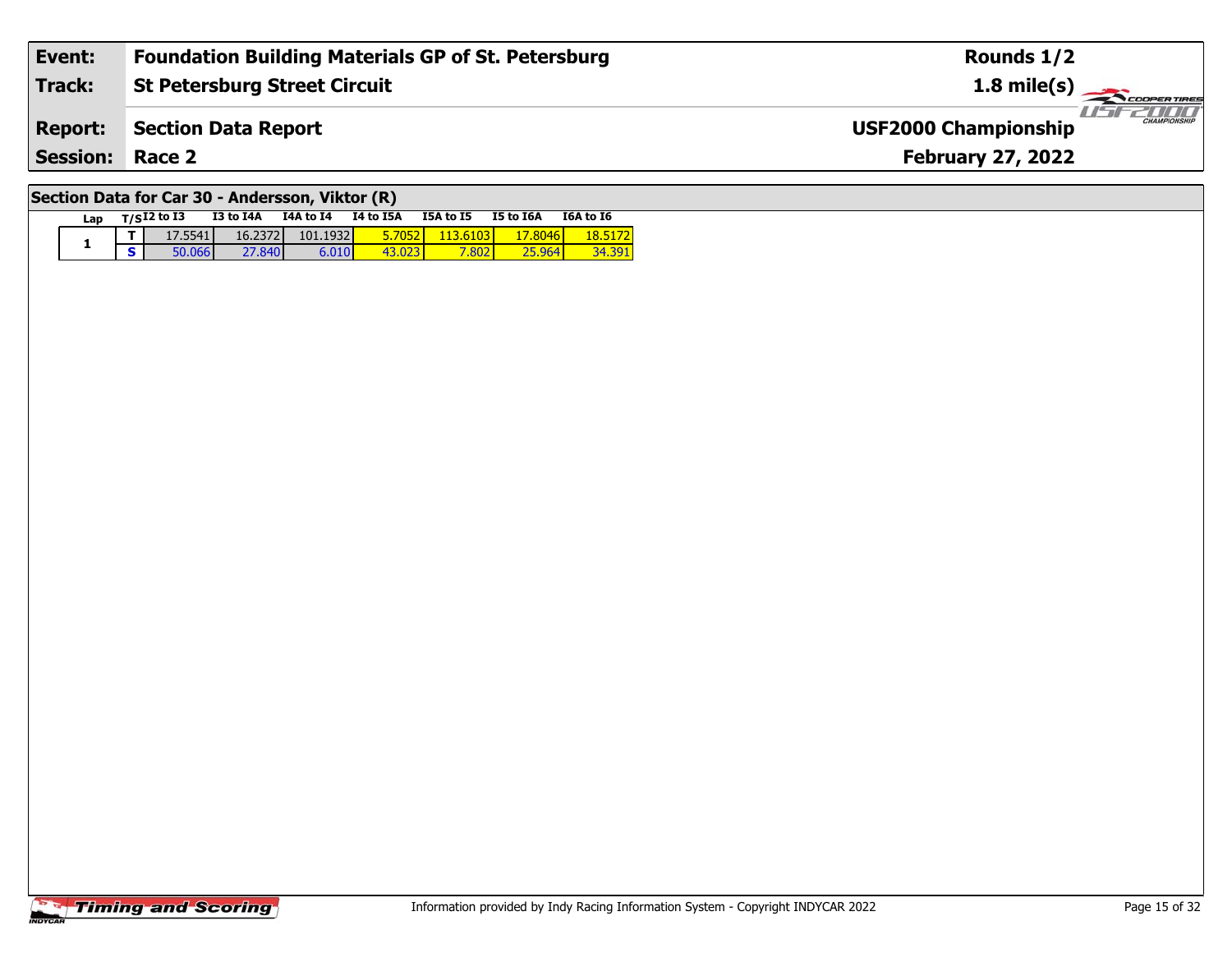| Event:          | <b>Foundation Building Materials GP of St. Petersburg</b> | Rounds 1/2                                         |
|-----------------|-----------------------------------------------------------|----------------------------------------------------|
| Track:          | <b>St Petersburg Street Circuit</b>                       | $1.8 \text{ mile(s)}$                              |
| <b>Report:</b>  | Section Data Report                                       | <b>CHAMPIONSHIP</b><br><b>USF2000 Championship</b> |
| <b>Session:</b> | Race 2                                                    | <b>February 27, 2022</b>                           |
|                 |                                                           |                                                    |

# **Section Data for Car 30 - Andersson, Viktor (R)**

| Lap | $T/SI2$ to I3 | I3 to I4A | <b>I4A to I4</b> | I4 to I5A | <b>I5A to I5</b> | <b>I5 to I6A</b> | <b>I6A to 16</b> |
|-----|---------------|-----------|------------------|-----------|------------------|------------------|------------------|
|     | 17.5541       | 16.2372   | 101.1932         | 705       |                  | 8046             |                  |
|     | 50.066        | 27.8401   | 6.010            |           | .802             |                  |                  |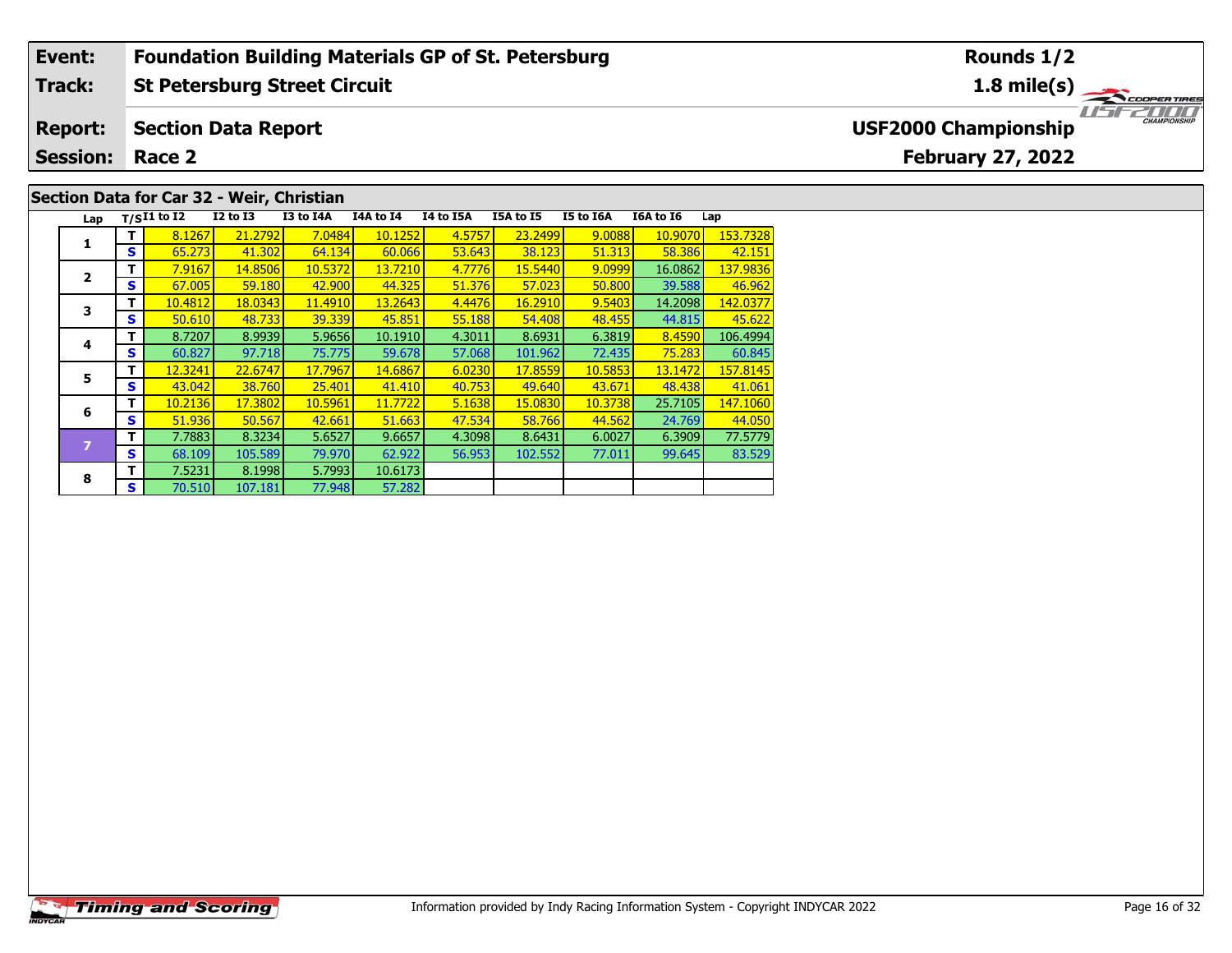### **Event: Foundation Building Materials GP of St. Petersburg Rounds 1/2St Petersburg Street Circuit 1.8 mile(s) Track:** THE COOPER TIRES **Report: Section Data Report USF2000 Championship February 27, 2022 Session: Race 2 Section Data for Car 32 - Weir, Christian**

| Lap            |   | $T/SI1$ to I2 | $I2$ to $I3$ | I3 to I4A | I4A to I4 | I4 to I5A | I5A to I5 | I5 to I6A | <b>I6A to I6</b> | Lap      |
|----------------|---|---------------|--------------|-----------|-----------|-----------|-----------|-----------|------------------|----------|
|                | т | 8.1267        | 21.2792      | 7.0484    | 10.1252   | 4.5757    | 23.2499   | 9.0088    | 10.9070          | 153.7328 |
| 1              | S | 65.273        | 41.302       | 64.134    | 60.066    | 53.643    | 38.123    | 51.313    | 58.386           | 42.151   |
|                | т | 7.9167        | 14.8506      | 10.5372   | 13.7210   | 4.7776    | 15.5440   | 9.0999    | 16.0862          | 137.9836 |
| $\overline{2}$ | s | 67.005        | 59.180       | 42,900    | 44.325    | 51.376    | 57.023    | 50.800    | 39.588           | 46.962   |
| 3              | т | 10.4812       | 18.0343      | 11.4910   | 13.2643   | 4.4476    | 16.2910   | 9.5403    | 14.2098          | 142,0377 |
|                | S | 50.610        | 48.733       | 39.339    | 45.851    | 55.188    | 54.408    | 48.455    | 44.815           | 45.622   |
| 4              | т | 8.7207        | 8.9939       | 5.9656    | 10.1910   | 4.3011    | 8.6931    | 6.3819    | 8.4590           | 106.4994 |
|                | S | 60.827        | 97.718       | 75.775    | 59.678    | 57.068    | 101.962   | 72.435    | 75.283           | 60.845   |
| 5              | т | 12.3241       | 22.6747      | 17.7967   | 14.6867   | 6.0230    | 17.8559   | 10.5853   | 13.1472          | 157.8145 |
|                | S | 43.042        | 38.760       | 25,401    | 41.410    | 40.753    | 49.640    | 43.671    | 48.438           | 41.061   |
| 6              | т | 10.2136       | 17.3802      | 10.5961   | 11.7722   | 5.1638    | 15.0830   | 10.3738   | 25.7105          | 147.1060 |
|                | S | 51.936        | 50.567       | 42.661    | 51.663    | 47.534    | 58.766    | 44.562    | 24.769           | 44.050   |
| 7              | т | 7.7883        | 8.3234       | 5.6527    | 9.6657    | 4.3098    | 8.6431    | 6.0027    | 6.3909           | 77.5779  |
|                | S | 68.109        | 105.589      | 79.970    | 62.922    | 56.953    | 102.552   | 77.011    | 99.645           | 83.529   |
| 8              | т | 7.5231        | 8.1998       | 5.7993    | 10.6173   |           |           |           |                  |          |
|                | S | 70.510        | 107.181      | 77.948    | 57.282    |           |           |           |                  |          |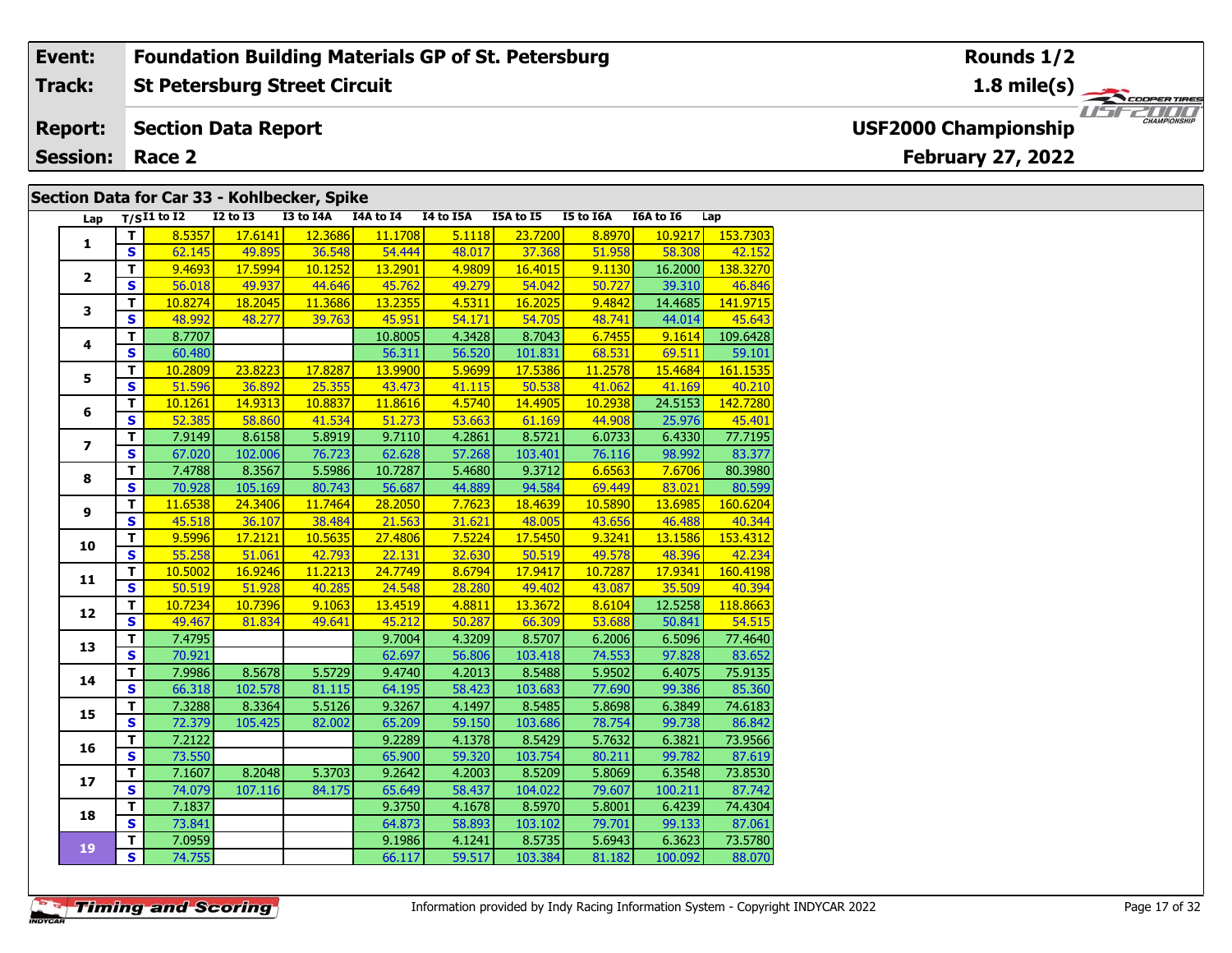### **Event: Foundation Building Materials GP of St. Petersburg Rounds 1/2St Petersburg Street Circuit 1.8 mile(s) Track:** THE COOPER TIRES **USF2000 Championship Report: Section Data Report February 27, 2022 Session: Race 2 Section Data for Car 33 - Kohlbecker, Spike**

| Lap                      |                         | $T/SI1$ to $I2$ | $\overline{12}$ to $\overline{13}$ | I3 to I4A | I4A to I4 | I4 to I5A | I5A to I5 | <b>I5 to I6A</b> | <b>I6A to I6</b> | Lap      |
|--------------------------|-------------------------|-----------------|------------------------------------|-----------|-----------|-----------|-----------|------------------|------------------|----------|
| 1                        | $\mathbf{T}$            | 8.5357          | 17.6141                            | 12.3686   | 11.1708   | 5.1118    | 23.7200   | 8.8970           | 10.9217          | 153.7303 |
|                          | S                       | 62.145          | 49.895                             | 36.548    | 54.444    | 48.017    | 37.368    | 51.958           | 58.308           | 42.152   |
|                          | T                       | 9.4693          | 17.5994                            | 10.1252   | 13.2901   | 4.9809    | 16.4015   | 9.1130           | 16.2000          | 138.3270 |
| $\overline{2}$           | $\overline{\mathbf{s}}$ | 56.018          | 49.937                             | 44.646    | 45.762    | 49.279    | 54.042    | 50.727           | 39.310           | 46.846   |
|                          | T                       | 10.8274         | 18.2045                            | 11.3686   | 13.2355   | 4.5311    | 16.2025   | 9.4842           | 14.4685          | 141.9715 |
| 3                        | $\overline{\mathbf{s}}$ | 48.992          | 48.277                             | 39.763    | 45.951    | 54.171    | 54.705    | 48.741           | 44.014           | 45.643   |
|                          | $\overline{\mathsf{T}}$ | 8.7707          |                                    |           | 10.8005   | 4.3428    | 8.7043    | 6.7455           | 9.1614           | 109.6428 |
| 4                        | S                       | 60.480          |                                    |           | 56.311    | 56.520    | 101.831   | 68.531           | 69.511           | 59.101   |
|                          | T.                      | 10.2809         | 23.8223                            | 17.8287   | 13.9900   | 5.9699    | 17.5386   | 11.2578          | 15.4684          | 161.1535 |
| 5                        | <b>S</b>                | 51.596          | 36.892                             | 25.355    | 43.473    | 41.115    | 50.538    | 41.062           | 41.169           | 40.210   |
|                          | $\mathbf{T}$            | 10.1261         | 14.9313                            | 10.8837   | 11.8616   | 4.5740    | 14.4905   | 10.2938          | 24.5153          | 142.7280 |
| 6                        | S                       | 52.385          | 58.860                             | 41.534    | 51.273    | 53.663    | 61.169    | 44.908           | 25.976           | 45.401   |
| $\overline{\phantom{a}}$ | $\overline{\mathsf{r}}$ | 7.9149          | 8.6158                             | 5.8919    | 9.7110    | 4.2861    | 8.5721    | 6.0733           | 6.4330           | 77.7195  |
|                          | S                       | 67.020          | 102.006                            | 76.723    | 62.628    | 57.268    | 103.401   | 76.116           | 98.992           | 83.377   |
| 8                        | T                       | 7.4788          | 8.3567                             | 5.5986    | 10.7287   | 5.4680    | 9.3712    | 6.6563           | 7.6706           | 80.3980  |
|                          | S                       | 70.928          | 105.169                            | 80.743    | 56.687    | 44.889    | 94.584    | 69.449           | 83.021           | 80.599   |
| 9                        | T.                      | 11.6538         | 24.3406                            | 11.7464   | 28.2050   | 7.7623    | 18.4639   | 10.5890          | 13.6985          | 160.6204 |
|                          | $\overline{\mathbf{s}}$ | 45.518          | 36.107                             | 38.484    | 21.563    | 31.621    | 48.005    | 43.656           | 46.488           | 40.344   |
| 10                       | T.                      | 9.5996          | 17.2121                            | 10.5635   | 27.4806   | 7.5224    | 17.5450   | 9.3241           | 13.1586          | 153.4312 |
|                          | <b>S</b>                | 55.258          | 51.061                             | 42.793    | 22.131    | 32.630    | 50.519    | 49.578           | 48.396           | 42.234   |
| 11                       | $\overline{\mathbf{T}}$ | 10.5002         | 16.9246                            | 11.2213   | 24.7749   | 8.6794    | 17.9417   | 10.7287          | 17.9341          | 160.4198 |
|                          | S                       | 50.519          | 51.928                             | 40.285    | 24.548    | 28.280    | 49.402    | 43.087           | 35.509           | 40.394   |
| 12                       | $\overline{\mathsf{T}}$ | 10.7234         | 10.7396                            | 9.1063    | 13.4519   | 4.8811    | 13.3672   | 8.6104           | 12.5258          | 118.8663 |
|                          | $\overline{\mathbf{s}}$ | 49.467          | 81.834                             | 49.641    | 45.212    | 50.287    | 66.309    | 53.688           | 50.841           | 54.515   |
| 13                       | $\overline{\mathbf{T}}$ | 7.4795          |                                    |           | 9.7004    | 4.3209    | 8.5707    | 6.2006           | 6.5096           | 77.4640  |
|                          | S                       | 70.921          |                                    |           | 62.697    | 56.806    | 103.418   | 74.553           | 97.828           | 83.652   |
| 14                       | T                       | 7.9986          | 8.5678                             | 5.5729    | 9.4740    | 4.2013    | 8.5488    | 5.9502           | 6.4075           | 75.9135  |
|                          | S.                      | 66.318          | 102.578                            | 81.115    | 64.195    | 58.423    | 103.683   | 77.690           | 99.386           | 85.360   |
| 15                       | T                       | 7.3288          | 8.3364                             | 5.5126    | 9.3267    | 4.1497    | 8.5485    | 5.8698           | 6.3849           | 74.6183  |
|                          | S                       | 72.379          | 105.425                            | 82.002    | 65.209    | 59.150    | 103.686   | 78.754           | 99.738           | 86.842   |
| 16                       | T                       | 7.2122          |                                    |           | 9.2289    | 4.1378    | 8.5429    | 5.7632           | 6.3821           | 73.9566  |
|                          | S                       | 73.550          |                                    |           | 65.900    | 59.320    | 103.754   | 80.211           | 99.782           | 87.619   |
| 17                       | $\mathbf{T}$            | 7.1607          | 8.2048                             | 5.3703    | 9.2642    | 4.2003    | 8.5209    | 5.8069           | 6.3548           | 73.8530  |
|                          | $\overline{\mathbf{s}}$ | 74.079          | 107.116                            | 84.175    | 65.649    | 58.437    | 104.022   | 79.607           | 100.211          | 87.742   |
| 18                       | T                       | 7.1837          |                                    |           | 9.3750    | 4.1678    | 8.5970    | 5.8001           | 6.4239           | 74.4304  |
|                          | S                       | 73.841          |                                    |           | 64.873    | 58.893    | 103.102   | 79.701           | 99.133           | 87.061   |
| 19                       | T.                      | 7.0959          |                                    |           | 9.1986    | 4.1241    | 8.5735    | 5.6943           | 6.3623           | 73.5780  |
|                          | $\overline{\mathbf{s}}$ | 74.755          |                                    |           | 66.117    | 59.517    | 103.384   | 81.182           | 100.092          | 88.070   |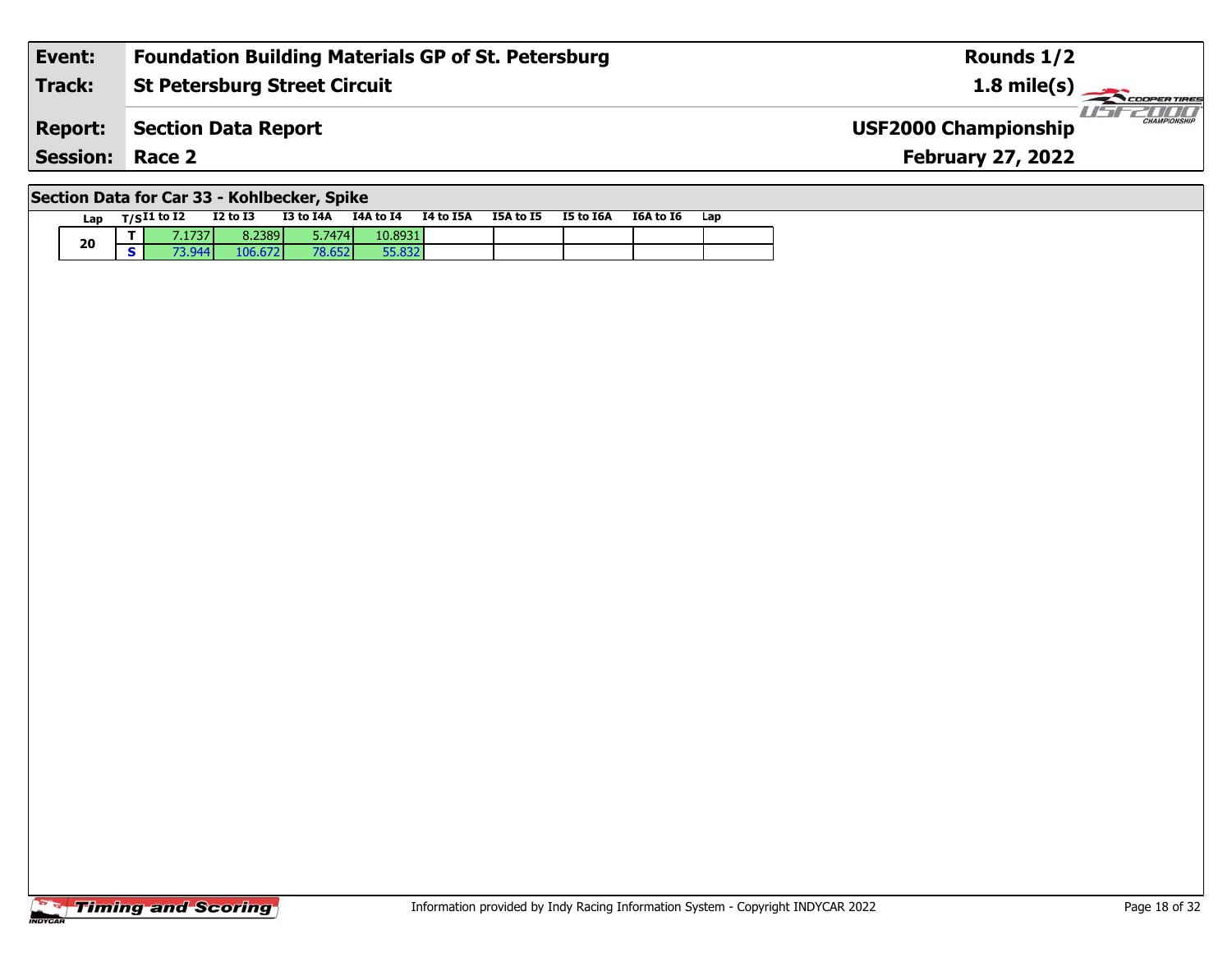| Event:                 | <b>Foundation Building Materials GP of St. Petersburg</b> | Rounds 1/2                                         |
|------------------------|-----------------------------------------------------------|----------------------------------------------------|
| Track:                 | <b>St Petersburg Street Circuit</b>                       | $1.8 \text{ mile(s)}$                              |
| <b>Report:</b>         | Section Data Report                                       | <b>CHAMPIONSHIP</b><br><b>USF2000 Championship</b> |
| <b>Session: Race 2</b> |                                                           | <b>February 27, 2022</b>                           |
|                        |                                                           |                                                    |

# **Section Data for Car 33 - Kohlbecker, Spike**

| Lan | $T/SI1$ to $I2$ | $I2$ to $I3$ | I3 to I4A | I4A to I4 | I4 to I5A | I5A to I5 | I5 to I6A | I6A to I6 | Lap |
|-----|-----------------|--------------|-----------|-----------|-----------|-----------|-----------|-----------|-----|
| 20  | 7.1737          | 8.2389       | 5.7474    | 10.8931.  |           |           |           |           |     |
|     | 73.944          | 106.672      | 78.652    | 55.832    |           |           |           |           |     |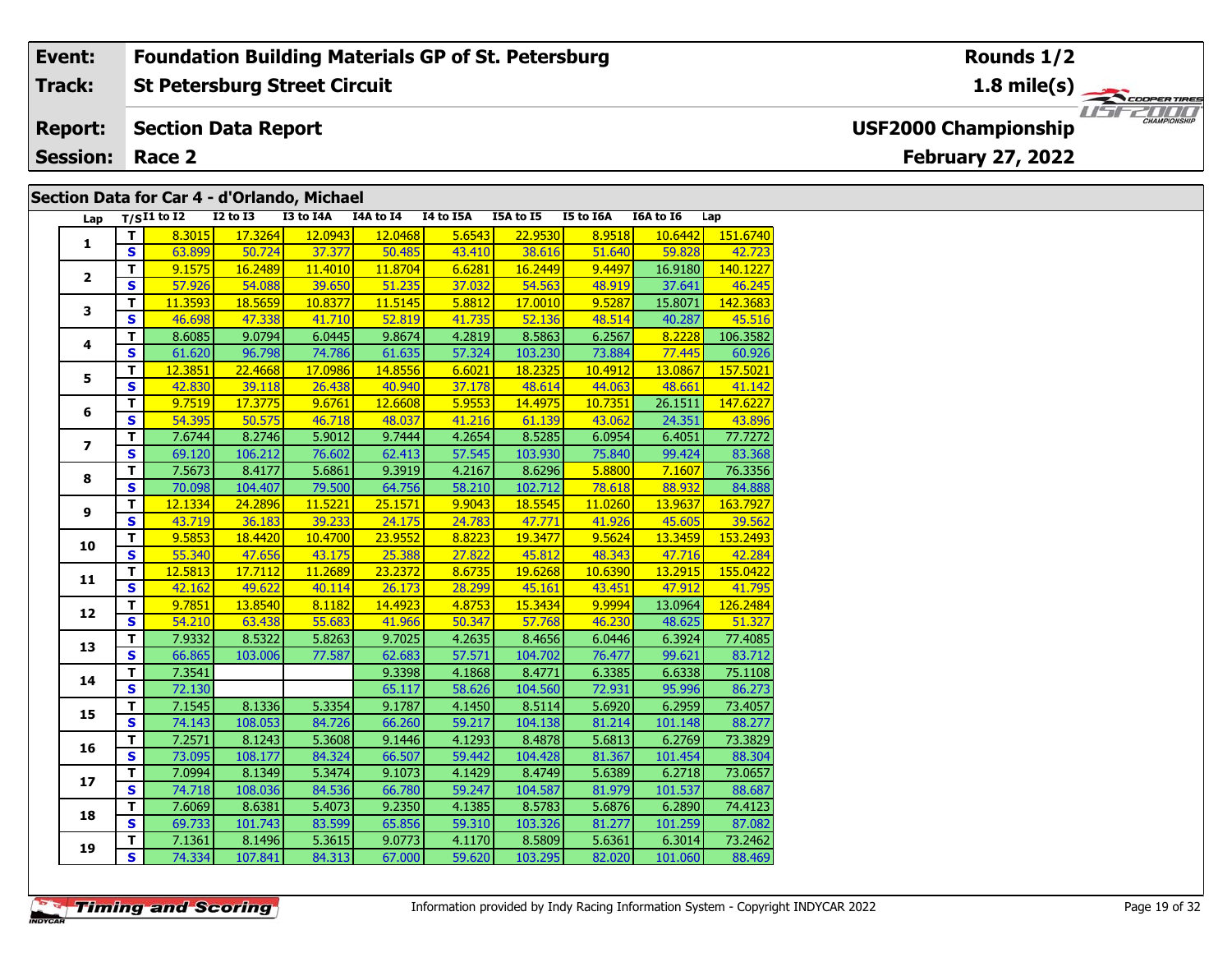### **Event: Foundation Building Materials GP of St. Petersburg Rounds 1/2St Petersburg Street Circuit 1.8 mile(s) Track: COOPER TIRES Section Data Report USF2000 Championship Report: February 27, 2022 Session: Race 2 Section Data for Car 4 - d'Orlando, Michael**

| 12.0943<br>5.6543<br>T.<br>8.3015<br>17.3264<br>12.0468<br>22.9530<br>8.9518<br>10.6442<br>$\mathbf{1}$<br><b>S</b><br>37.377<br>63.899<br>50.724<br>50.485<br>43.410<br>38.616<br>51.640<br>59.828<br>9.1575<br>16.2489<br>11.4010<br>6.6281<br>16.2449<br>9.4497<br>T.<br>11.8704<br>16.9180<br>$\overline{2}$<br>$\overline{\mathbf{s}}$<br>57.926<br>54.088<br>39.650<br>51.235<br>37.032<br>54.563<br>48.919<br>37.641<br>T<br>18.5659<br>10.8377<br>11.5145<br>5.8812<br>11.3593<br>17.0010<br>9.5287<br>15.8071<br>3<br>S<br>46.698<br>47.338<br>41.710<br>52.819<br>41.735<br>52.136<br>48.514<br>40.287<br>4.2819<br>T<br>9.0794<br>6.0445<br>9.8674<br>8.5863<br>6.2567<br>8.6085<br>8.2228<br>4<br>$\mathbf{s}$<br>61.635<br>61.620<br>96.798<br>74.786<br>57.324<br>103.230<br>73.884<br>77.445<br>T<br>12.3851<br>22.4668<br>17.0986<br>14.8556<br>6.6021<br>18.2325<br>10.4912<br>13.0867<br>5<br>S.<br>40.940<br>37.178<br>44.063<br>42.830<br>39.118<br>26.438<br>48.614<br>48.661<br>$\overline{\mathbf{T}}$<br>9.7519<br>17.3775<br>9.6761<br>12.6608<br>5.9553<br>10.7351<br>14.4975<br>26.1511<br>6<br>50.575<br>46.718<br>S.<br>54.395<br>41.216<br>43.062<br>48.037<br>61.139<br>24.351<br>$\overline{\mathsf{r}}$<br>8.2746<br>5.9012<br>9.7444<br>77.7272<br>7.6744<br>4.2654<br>8.5285<br>6.0954<br>6.4051<br>$\overline{ }$<br>$\overline{\mathbf{s}}$<br>106.212<br>76.602<br>62.413<br>57.545<br>103.930<br>75.840<br>69.120<br>99.424<br>$\overline{\mathsf{r}}$<br>7.5673<br>8.4177<br>9.3919<br>4.2167<br>5.6861<br>8.6296<br>5.8800<br>7.1607<br>8<br>S<br>70.098<br>104.407<br>79.500<br>64.756<br>58.210<br>102.712<br>78.618<br>88.932<br>T<br>24.2896<br>11.5221<br>25.1571<br>9.9043<br>18.5545<br>11.0260<br>13.9637<br>12.1334<br>9<br>S.<br>36.183<br>39.233<br>24.175<br>24.783<br>41.926<br>43.719<br>47.771<br>45.605<br>T<br>9.5853<br>18.4420<br>10.4700<br>23.9552<br>8.8223<br>19.3477<br>9.5624<br>13.3459<br>10<br>25.388<br>45.812<br>S.<br>55.340<br>47.656<br>43.175<br>27.822<br>48.343<br>47.716<br>$\mathbf{T}$<br>12.5813<br>17.7112<br>23.2372<br>8.6735<br>19.6268<br>13.2915<br>11.2689<br>10.6390<br>11<br>49.622<br>S<br>42.162<br>40.114<br>26.173<br>28.299<br>45.161<br>43.451<br>47.912<br>$\overline{\mathsf{r}}$<br>15.3434<br>9.7851<br>13.8540<br>8.1182<br>14.4923<br>4.8753<br>9.9994<br>13.0964<br>12<br>$\overline{\mathbf{s}}$<br>54.210<br>55.683<br>63.438<br>41.966<br>50.347<br>57.768<br>46.230<br>48.625<br>$\overline{\mathsf{T}}$<br>7.9332<br>8.5322<br>5.8263<br>9.7025<br>4.2635<br>8.4656<br>6.0446<br>6.3924<br>13<br>$\overline{\mathbf{s}}$<br>57.571<br>99.621<br>77.587<br>62.683<br>76.477<br>66.865<br>103.006<br>104.702<br>T<br>7.3541<br>9.3398<br>4.1868<br>8.4771<br>6.3385<br>6.6338<br>14<br>$\overline{\mathbf{s}}$<br>72.130<br>65.117<br>58.626<br>72.931<br>95.996<br>104.560<br>5.3354<br>T<br>8.1336<br>7.1545<br>9.1787<br>4.1450<br>8.5114<br>5.6920<br>6.2959<br>15<br>$\overline{\mathbf{s}}$<br>108.053<br>59.217<br>84.726<br>66.260<br>81.214<br>74.143<br>104.138<br>101.148<br>7.2571<br>8.1243<br>4.1293<br>T<br>5.3608<br>9.1446<br>8.4878<br>5.6813<br>6.2769<br>16<br>$\overline{\mathbf{s}}$<br>73.095<br>108.177<br>84.324<br>66.507<br>59.442<br>104.428<br>81.367<br>101.454<br>T<br>5.3474<br>7.0994<br>8.1349<br>9.1073<br>4.1429<br>8.4749<br>5.6389<br>6.2718<br>17<br>$\overline{\mathbf{s}}$<br>101.537<br>74.718<br>108.036<br>84.536<br>66.780<br>59.247<br>104.587<br>81.979<br>$\overline{\mathbf{T}}$<br>9.2350<br>7.6069<br>8.6381<br>5.4073<br>4.1385<br>8.5783<br>5.6876<br>6.2890<br>18<br>$\overline{\mathbf{s}}$<br>83.599<br>65.856<br>59.310<br>69.733<br>101.743<br>103.326<br>81.277<br>101.259<br>т<br>9.0773<br>7.1361<br>8.1496<br>5.3615<br>4.1170<br>8.5809<br>5.6361<br>6.3014<br>19<br>$\overline{\mathbf{s}}$<br>107.841<br>84.313<br>59.620<br>103.295<br>74.334<br>67.000<br>82.020<br>101.060 | Lap | $T/SI1$ to $I2$ | $I2$ to $I3$ | I3 to I4A | I4A to I4 | I4 to I5A | I5A to I5 | I5 to I6A | I6A to I6 | Lap      |
|----------------------------------------------------------------------------------------------------------------------------------------------------------------------------------------------------------------------------------------------------------------------------------------------------------------------------------------------------------------------------------------------------------------------------------------------------------------------------------------------------------------------------------------------------------------------------------------------------------------------------------------------------------------------------------------------------------------------------------------------------------------------------------------------------------------------------------------------------------------------------------------------------------------------------------------------------------------------------------------------------------------------------------------------------------------------------------------------------------------------------------------------------------------------------------------------------------------------------------------------------------------------------------------------------------------------------------------------------------------------------------------------------------------------------------------------------------------------------------------------------------------------------------------------------------------------------------------------------------------------------------------------------------------------------------------------------------------------------------------------------------------------------------------------------------------------------------------------------------------------------------------------------------------------------------------------------------------------------------------------------------------------------------------------------------------------------------------------------------------------------------------------------------------------------------------------------------------------------------------------------------------------------------------------------------------------------------------------------------------------------------------------------------------------------------------------------------------------------------------------------------------------------------------------------------------------------------------------------------------------------------------------------------------------------------------------------------------------------------------------------------------------------------------------------------------------------------------------------------------------------------------------------------------------------------------------------------------------------------------------------------------------------------------------------------------------------------------------------------------------------------------------------------------------------------------------------------------------------------------------------------------------------------------------------------------------------------------------------------------------------------------------------------------------------------------------------------------------------------------------------------------------------------------------------------------------------------------------------------------------------------------------------------------------------------------------------------------------------------------------------------------------------------------------------------------------------------------------------------------------------------------------------------------------------------------------------------|-----|-----------------|--------------|-----------|-----------|-----------|-----------|-----------|-----------|----------|
|                                                                                                                                                                                                                                                                                                                                                                                                                                                                                                                                                                                                                                                                                                                                                                                                                                                                                                                                                                                                                                                                                                                                                                                                                                                                                                                                                                                                                                                                                                                                                                                                                                                                                                                                                                                                                                                                                                                                                                                                                                                                                                                                                                                                                                                                                                                                                                                                                                                                                                                                                                                                                                                                                                                                                                                                                                                                                                                                                                                                                                                                                                                                                                                                                                                                                                                                                                                                                                                                                                                                                                                                                                                                                                                                                                                                                                                                                                                                                          |     |                 |              |           |           |           |           |           |           | 151.6740 |
|                                                                                                                                                                                                                                                                                                                                                                                                                                                                                                                                                                                                                                                                                                                                                                                                                                                                                                                                                                                                                                                                                                                                                                                                                                                                                                                                                                                                                                                                                                                                                                                                                                                                                                                                                                                                                                                                                                                                                                                                                                                                                                                                                                                                                                                                                                                                                                                                                                                                                                                                                                                                                                                                                                                                                                                                                                                                                                                                                                                                                                                                                                                                                                                                                                                                                                                                                                                                                                                                                                                                                                                                                                                                                                                                                                                                                                                                                                                                                          |     |                 |              |           |           |           |           |           |           | 42.723   |
|                                                                                                                                                                                                                                                                                                                                                                                                                                                                                                                                                                                                                                                                                                                                                                                                                                                                                                                                                                                                                                                                                                                                                                                                                                                                                                                                                                                                                                                                                                                                                                                                                                                                                                                                                                                                                                                                                                                                                                                                                                                                                                                                                                                                                                                                                                                                                                                                                                                                                                                                                                                                                                                                                                                                                                                                                                                                                                                                                                                                                                                                                                                                                                                                                                                                                                                                                                                                                                                                                                                                                                                                                                                                                                                                                                                                                                                                                                                                                          |     |                 |              |           |           |           |           |           |           | 140.1227 |
|                                                                                                                                                                                                                                                                                                                                                                                                                                                                                                                                                                                                                                                                                                                                                                                                                                                                                                                                                                                                                                                                                                                                                                                                                                                                                                                                                                                                                                                                                                                                                                                                                                                                                                                                                                                                                                                                                                                                                                                                                                                                                                                                                                                                                                                                                                                                                                                                                                                                                                                                                                                                                                                                                                                                                                                                                                                                                                                                                                                                                                                                                                                                                                                                                                                                                                                                                                                                                                                                                                                                                                                                                                                                                                                                                                                                                                                                                                                                                          |     |                 |              |           |           |           |           |           |           | 46.245   |
|                                                                                                                                                                                                                                                                                                                                                                                                                                                                                                                                                                                                                                                                                                                                                                                                                                                                                                                                                                                                                                                                                                                                                                                                                                                                                                                                                                                                                                                                                                                                                                                                                                                                                                                                                                                                                                                                                                                                                                                                                                                                                                                                                                                                                                                                                                                                                                                                                                                                                                                                                                                                                                                                                                                                                                                                                                                                                                                                                                                                                                                                                                                                                                                                                                                                                                                                                                                                                                                                                                                                                                                                                                                                                                                                                                                                                                                                                                                                                          |     |                 |              |           |           |           |           |           |           | 142.3683 |
|                                                                                                                                                                                                                                                                                                                                                                                                                                                                                                                                                                                                                                                                                                                                                                                                                                                                                                                                                                                                                                                                                                                                                                                                                                                                                                                                                                                                                                                                                                                                                                                                                                                                                                                                                                                                                                                                                                                                                                                                                                                                                                                                                                                                                                                                                                                                                                                                                                                                                                                                                                                                                                                                                                                                                                                                                                                                                                                                                                                                                                                                                                                                                                                                                                                                                                                                                                                                                                                                                                                                                                                                                                                                                                                                                                                                                                                                                                                                                          |     |                 |              |           |           |           |           |           |           | 45.516   |
|                                                                                                                                                                                                                                                                                                                                                                                                                                                                                                                                                                                                                                                                                                                                                                                                                                                                                                                                                                                                                                                                                                                                                                                                                                                                                                                                                                                                                                                                                                                                                                                                                                                                                                                                                                                                                                                                                                                                                                                                                                                                                                                                                                                                                                                                                                                                                                                                                                                                                                                                                                                                                                                                                                                                                                                                                                                                                                                                                                                                                                                                                                                                                                                                                                                                                                                                                                                                                                                                                                                                                                                                                                                                                                                                                                                                                                                                                                                                                          |     |                 |              |           |           |           |           |           |           | 106.3582 |
|                                                                                                                                                                                                                                                                                                                                                                                                                                                                                                                                                                                                                                                                                                                                                                                                                                                                                                                                                                                                                                                                                                                                                                                                                                                                                                                                                                                                                                                                                                                                                                                                                                                                                                                                                                                                                                                                                                                                                                                                                                                                                                                                                                                                                                                                                                                                                                                                                                                                                                                                                                                                                                                                                                                                                                                                                                                                                                                                                                                                                                                                                                                                                                                                                                                                                                                                                                                                                                                                                                                                                                                                                                                                                                                                                                                                                                                                                                                                                          |     |                 |              |           |           |           |           |           |           | 60.926   |
|                                                                                                                                                                                                                                                                                                                                                                                                                                                                                                                                                                                                                                                                                                                                                                                                                                                                                                                                                                                                                                                                                                                                                                                                                                                                                                                                                                                                                                                                                                                                                                                                                                                                                                                                                                                                                                                                                                                                                                                                                                                                                                                                                                                                                                                                                                                                                                                                                                                                                                                                                                                                                                                                                                                                                                                                                                                                                                                                                                                                                                                                                                                                                                                                                                                                                                                                                                                                                                                                                                                                                                                                                                                                                                                                                                                                                                                                                                                                                          |     |                 |              |           |           |           |           |           |           | 157.5021 |
|                                                                                                                                                                                                                                                                                                                                                                                                                                                                                                                                                                                                                                                                                                                                                                                                                                                                                                                                                                                                                                                                                                                                                                                                                                                                                                                                                                                                                                                                                                                                                                                                                                                                                                                                                                                                                                                                                                                                                                                                                                                                                                                                                                                                                                                                                                                                                                                                                                                                                                                                                                                                                                                                                                                                                                                                                                                                                                                                                                                                                                                                                                                                                                                                                                                                                                                                                                                                                                                                                                                                                                                                                                                                                                                                                                                                                                                                                                                                                          |     |                 |              |           |           |           |           |           |           | 41.142   |
|                                                                                                                                                                                                                                                                                                                                                                                                                                                                                                                                                                                                                                                                                                                                                                                                                                                                                                                                                                                                                                                                                                                                                                                                                                                                                                                                                                                                                                                                                                                                                                                                                                                                                                                                                                                                                                                                                                                                                                                                                                                                                                                                                                                                                                                                                                                                                                                                                                                                                                                                                                                                                                                                                                                                                                                                                                                                                                                                                                                                                                                                                                                                                                                                                                                                                                                                                                                                                                                                                                                                                                                                                                                                                                                                                                                                                                                                                                                                                          |     |                 |              |           |           |           |           |           |           | 147.6227 |
|                                                                                                                                                                                                                                                                                                                                                                                                                                                                                                                                                                                                                                                                                                                                                                                                                                                                                                                                                                                                                                                                                                                                                                                                                                                                                                                                                                                                                                                                                                                                                                                                                                                                                                                                                                                                                                                                                                                                                                                                                                                                                                                                                                                                                                                                                                                                                                                                                                                                                                                                                                                                                                                                                                                                                                                                                                                                                                                                                                                                                                                                                                                                                                                                                                                                                                                                                                                                                                                                                                                                                                                                                                                                                                                                                                                                                                                                                                                                                          |     |                 |              |           |           |           |           |           |           | 43.896   |
|                                                                                                                                                                                                                                                                                                                                                                                                                                                                                                                                                                                                                                                                                                                                                                                                                                                                                                                                                                                                                                                                                                                                                                                                                                                                                                                                                                                                                                                                                                                                                                                                                                                                                                                                                                                                                                                                                                                                                                                                                                                                                                                                                                                                                                                                                                                                                                                                                                                                                                                                                                                                                                                                                                                                                                                                                                                                                                                                                                                                                                                                                                                                                                                                                                                                                                                                                                                                                                                                                                                                                                                                                                                                                                                                                                                                                                                                                                                                                          |     |                 |              |           |           |           |           |           |           |          |
|                                                                                                                                                                                                                                                                                                                                                                                                                                                                                                                                                                                                                                                                                                                                                                                                                                                                                                                                                                                                                                                                                                                                                                                                                                                                                                                                                                                                                                                                                                                                                                                                                                                                                                                                                                                                                                                                                                                                                                                                                                                                                                                                                                                                                                                                                                                                                                                                                                                                                                                                                                                                                                                                                                                                                                                                                                                                                                                                                                                                                                                                                                                                                                                                                                                                                                                                                                                                                                                                                                                                                                                                                                                                                                                                                                                                                                                                                                                                                          |     |                 |              |           |           |           |           |           |           | 83.368   |
|                                                                                                                                                                                                                                                                                                                                                                                                                                                                                                                                                                                                                                                                                                                                                                                                                                                                                                                                                                                                                                                                                                                                                                                                                                                                                                                                                                                                                                                                                                                                                                                                                                                                                                                                                                                                                                                                                                                                                                                                                                                                                                                                                                                                                                                                                                                                                                                                                                                                                                                                                                                                                                                                                                                                                                                                                                                                                                                                                                                                                                                                                                                                                                                                                                                                                                                                                                                                                                                                                                                                                                                                                                                                                                                                                                                                                                                                                                                                                          |     |                 |              |           |           |           |           |           |           | 76.3356  |
|                                                                                                                                                                                                                                                                                                                                                                                                                                                                                                                                                                                                                                                                                                                                                                                                                                                                                                                                                                                                                                                                                                                                                                                                                                                                                                                                                                                                                                                                                                                                                                                                                                                                                                                                                                                                                                                                                                                                                                                                                                                                                                                                                                                                                                                                                                                                                                                                                                                                                                                                                                                                                                                                                                                                                                                                                                                                                                                                                                                                                                                                                                                                                                                                                                                                                                                                                                                                                                                                                                                                                                                                                                                                                                                                                                                                                                                                                                                                                          |     |                 |              |           |           |           |           |           |           | 84.888   |
|                                                                                                                                                                                                                                                                                                                                                                                                                                                                                                                                                                                                                                                                                                                                                                                                                                                                                                                                                                                                                                                                                                                                                                                                                                                                                                                                                                                                                                                                                                                                                                                                                                                                                                                                                                                                                                                                                                                                                                                                                                                                                                                                                                                                                                                                                                                                                                                                                                                                                                                                                                                                                                                                                                                                                                                                                                                                                                                                                                                                                                                                                                                                                                                                                                                                                                                                                                                                                                                                                                                                                                                                                                                                                                                                                                                                                                                                                                                                                          |     |                 |              |           |           |           |           |           |           | 163.7927 |
|                                                                                                                                                                                                                                                                                                                                                                                                                                                                                                                                                                                                                                                                                                                                                                                                                                                                                                                                                                                                                                                                                                                                                                                                                                                                                                                                                                                                                                                                                                                                                                                                                                                                                                                                                                                                                                                                                                                                                                                                                                                                                                                                                                                                                                                                                                                                                                                                                                                                                                                                                                                                                                                                                                                                                                                                                                                                                                                                                                                                                                                                                                                                                                                                                                                                                                                                                                                                                                                                                                                                                                                                                                                                                                                                                                                                                                                                                                                                                          |     |                 |              |           |           |           |           |           |           | 39.562   |
|                                                                                                                                                                                                                                                                                                                                                                                                                                                                                                                                                                                                                                                                                                                                                                                                                                                                                                                                                                                                                                                                                                                                                                                                                                                                                                                                                                                                                                                                                                                                                                                                                                                                                                                                                                                                                                                                                                                                                                                                                                                                                                                                                                                                                                                                                                                                                                                                                                                                                                                                                                                                                                                                                                                                                                                                                                                                                                                                                                                                                                                                                                                                                                                                                                                                                                                                                                                                                                                                                                                                                                                                                                                                                                                                                                                                                                                                                                                                                          |     |                 |              |           |           |           |           |           |           | 153.2493 |
|                                                                                                                                                                                                                                                                                                                                                                                                                                                                                                                                                                                                                                                                                                                                                                                                                                                                                                                                                                                                                                                                                                                                                                                                                                                                                                                                                                                                                                                                                                                                                                                                                                                                                                                                                                                                                                                                                                                                                                                                                                                                                                                                                                                                                                                                                                                                                                                                                                                                                                                                                                                                                                                                                                                                                                                                                                                                                                                                                                                                                                                                                                                                                                                                                                                                                                                                                                                                                                                                                                                                                                                                                                                                                                                                                                                                                                                                                                                                                          |     |                 |              |           |           |           |           |           |           | 42.284   |
|                                                                                                                                                                                                                                                                                                                                                                                                                                                                                                                                                                                                                                                                                                                                                                                                                                                                                                                                                                                                                                                                                                                                                                                                                                                                                                                                                                                                                                                                                                                                                                                                                                                                                                                                                                                                                                                                                                                                                                                                                                                                                                                                                                                                                                                                                                                                                                                                                                                                                                                                                                                                                                                                                                                                                                                                                                                                                                                                                                                                                                                                                                                                                                                                                                                                                                                                                                                                                                                                                                                                                                                                                                                                                                                                                                                                                                                                                                                                                          |     |                 |              |           |           |           |           |           |           | 155.0422 |
|                                                                                                                                                                                                                                                                                                                                                                                                                                                                                                                                                                                                                                                                                                                                                                                                                                                                                                                                                                                                                                                                                                                                                                                                                                                                                                                                                                                                                                                                                                                                                                                                                                                                                                                                                                                                                                                                                                                                                                                                                                                                                                                                                                                                                                                                                                                                                                                                                                                                                                                                                                                                                                                                                                                                                                                                                                                                                                                                                                                                                                                                                                                                                                                                                                                                                                                                                                                                                                                                                                                                                                                                                                                                                                                                                                                                                                                                                                                                                          |     |                 |              |           |           |           |           |           |           | 41.795   |
|                                                                                                                                                                                                                                                                                                                                                                                                                                                                                                                                                                                                                                                                                                                                                                                                                                                                                                                                                                                                                                                                                                                                                                                                                                                                                                                                                                                                                                                                                                                                                                                                                                                                                                                                                                                                                                                                                                                                                                                                                                                                                                                                                                                                                                                                                                                                                                                                                                                                                                                                                                                                                                                                                                                                                                                                                                                                                                                                                                                                                                                                                                                                                                                                                                                                                                                                                                                                                                                                                                                                                                                                                                                                                                                                                                                                                                                                                                                                                          |     |                 |              |           |           |           |           |           |           | 126.2484 |
|                                                                                                                                                                                                                                                                                                                                                                                                                                                                                                                                                                                                                                                                                                                                                                                                                                                                                                                                                                                                                                                                                                                                                                                                                                                                                                                                                                                                                                                                                                                                                                                                                                                                                                                                                                                                                                                                                                                                                                                                                                                                                                                                                                                                                                                                                                                                                                                                                                                                                                                                                                                                                                                                                                                                                                                                                                                                                                                                                                                                                                                                                                                                                                                                                                                                                                                                                                                                                                                                                                                                                                                                                                                                                                                                                                                                                                                                                                                                                          |     |                 |              |           |           |           |           |           |           | 51.327   |
|                                                                                                                                                                                                                                                                                                                                                                                                                                                                                                                                                                                                                                                                                                                                                                                                                                                                                                                                                                                                                                                                                                                                                                                                                                                                                                                                                                                                                                                                                                                                                                                                                                                                                                                                                                                                                                                                                                                                                                                                                                                                                                                                                                                                                                                                                                                                                                                                                                                                                                                                                                                                                                                                                                                                                                                                                                                                                                                                                                                                                                                                                                                                                                                                                                                                                                                                                                                                                                                                                                                                                                                                                                                                                                                                                                                                                                                                                                                                                          |     |                 |              |           |           |           |           |           |           | 77.4085  |
|                                                                                                                                                                                                                                                                                                                                                                                                                                                                                                                                                                                                                                                                                                                                                                                                                                                                                                                                                                                                                                                                                                                                                                                                                                                                                                                                                                                                                                                                                                                                                                                                                                                                                                                                                                                                                                                                                                                                                                                                                                                                                                                                                                                                                                                                                                                                                                                                                                                                                                                                                                                                                                                                                                                                                                                                                                                                                                                                                                                                                                                                                                                                                                                                                                                                                                                                                                                                                                                                                                                                                                                                                                                                                                                                                                                                                                                                                                                                                          |     |                 |              |           |           |           |           |           |           | 83.712   |
|                                                                                                                                                                                                                                                                                                                                                                                                                                                                                                                                                                                                                                                                                                                                                                                                                                                                                                                                                                                                                                                                                                                                                                                                                                                                                                                                                                                                                                                                                                                                                                                                                                                                                                                                                                                                                                                                                                                                                                                                                                                                                                                                                                                                                                                                                                                                                                                                                                                                                                                                                                                                                                                                                                                                                                                                                                                                                                                                                                                                                                                                                                                                                                                                                                                                                                                                                                                                                                                                                                                                                                                                                                                                                                                                                                                                                                                                                                                                                          |     |                 |              |           |           |           |           |           |           | 75.1108  |
|                                                                                                                                                                                                                                                                                                                                                                                                                                                                                                                                                                                                                                                                                                                                                                                                                                                                                                                                                                                                                                                                                                                                                                                                                                                                                                                                                                                                                                                                                                                                                                                                                                                                                                                                                                                                                                                                                                                                                                                                                                                                                                                                                                                                                                                                                                                                                                                                                                                                                                                                                                                                                                                                                                                                                                                                                                                                                                                                                                                                                                                                                                                                                                                                                                                                                                                                                                                                                                                                                                                                                                                                                                                                                                                                                                                                                                                                                                                                                          |     |                 |              |           |           |           |           |           |           | 86.273   |
|                                                                                                                                                                                                                                                                                                                                                                                                                                                                                                                                                                                                                                                                                                                                                                                                                                                                                                                                                                                                                                                                                                                                                                                                                                                                                                                                                                                                                                                                                                                                                                                                                                                                                                                                                                                                                                                                                                                                                                                                                                                                                                                                                                                                                                                                                                                                                                                                                                                                                                                                                                                                                                                                                                                                                                                                                                                                                                                                                                                                                                                                                                                                                                                                                                                                                                                                                                                                                                                                                                                                                                                                                                                                                                                                                                                                                                                                                                                                                          |     |                 |              |           |           |           |           |           |           | 73.4057  |
|                                                                                                                                                                                                                                                                                                                                                                                                                                                                                                                                                                                                                                                                                                                                                                                                                                                                                                                                                                                                                                                                                                                                                                                                                                                                                                                                                                                                                                                                                                                                                                                                                                                                                                                                                                                                                                                                                                                                                                                                                                                                                                                                                                                                                                                                                                                                                                                                                                                                                                                                                                                                                                                                                                                                                                                                                                                                                                                                                                                                                                                                                                                                                                                                                                                                                                                                                                                                                                                                                                                                                                                                                                                                                                                                                                                                                                                                                                                                                          |     |                 |              |           |           |           |           |           |           | 88.277   |
|                                                                                                                                                                                                                                                                                                                                                                                                                                                                                                                                                                                                                                                                                                                                                                                                                                                                                                                                                                                                                                                                                                                                                                                                                                                                                                                                                                                                                                                                                                                                                                                                                                                                                                                                                                                                                                                                                                                                                                                                                                                                                                                                                                                                                                                                                                                                                                                                                                                                                                                                                                                                                                                                                                                                                                                                                                                                                                                                                                                                                                                                                                                                                                                                                                                                                                                                                                                                                                                                                                                                                                                                                                                                                                                                                                                                                                                                                                                                                          |     |                 |              |           |           |           |           |           |           | 73.3829  |
|                                                                                                                                                                                                                                                                                                                                                                                                                                                                                                                                                                                                                                                                                                                                                                                                                                                                                                                                                                                                                                                                                                                                                                                                                                                                                                                                                                                                                                                                                                                                                                                                                                                                                                                                                                                                                                                                                                                                                                                                                                                                                                                                                                                                                                                                                                                                                                                                                                                                                                                                                                                                                                                                                                                                                                                                                                                                                                                                                                                                                                                                                                                                                                                                                                                                                                                                                                                                                                                                                                                                                                                                                                                                                                                                                                                                                                                                                                                                                          |     |                 |              |           |           |           |           |           |           | 88.304   |
|                                                                                                                                                                                                                                                                                                                                                                                                                                                                                                                                                                                                                                                                                                                                                                                                                                                                                                                                                                                                                                                                                                                                                                                                                                                                                                                                                                                                                                                                                                                                                                                                                                                                                                                                                                                                                                                                                                                                                                                                                                                                                                                                                                                                                                                                                                                                                                                                                                                                                                                                                                                                                                                                                                                                                                                                                                                                                                                                                                                                                                                                                                                                                                                                                                                                                                                                                                                                                                                                                                                                                                                                                                                                                                                                                                                                                                                                                                                                                          |     |                 |              |           |           |           |           |           |           | 73.0657  |
|                                                                                                                                                                                                                                                                                                                                                                                                                                                                                                                                                                                                                                                                                                                                                                                                                                                                                                                                                                                                                                                                                                                                                                                                                                                                                                                                                                                                                                                                                                                                                                                                                                                                                                                                                                                                                                                                                                                                                                                                                                                                                                                                                                                                                                                                                                                                                                                                                                                                                                                                                                                                                                                                                                                                                                                                                                                                                                                                                                                                                                                                                                                                                                                                                                                                                                                                                                                                                                                                                                                                                                                                                                                                                                                                                                                                                                                                                                                                                          |     |                 |              |           |           |           |           |           |           | 88.687   |
|                                                                                                                                                                                                                                                                                                                                                                                                                                                                                                                                                                                                                                                                                                                                                                                                                                                                                                                                                                                                                                                                                                                                                                                                                                                                                                                                                                                                                                                                                                                                                                                                                                                                                                                                                                                                                                                                                                                                                                                                                                                                                                                                                                                                                                                                                                                                                                                                                                                                                                                                                                                                                                                                                                                                                                                                                                                                                                                                                                                                                                                                                                                                                                                                                                                                                                                                                                                                                                                                                                                                                                                                                                                                                                                                                                                                                                                                                                                                                          |     |                 |              |           |           |           |           |           |           | 74.4123  |
|                                                                                                                                                                                                                                                                                                                                                                                                                                                                                                                                                                                                                                                                                                                                                                                                                                                                                                                                                                                                                                                                                                                                                                                                                                                                                                                                                                                                                                                                                                                                                                                                                                                                                                                                                                                                                                                                                                                                                                                                                                                                                                                                                                                                                                                                                                                                                                                                                                                                                                                                                                                                                                                                                                                                                                                                                                                                                                                                                                                                                                                                                                                                                                                                                                                                                                                                                                                                                                                                                                                                                                                                                                                                                                                                                                                                                                                                                                                                                          |     |                 |              |           |           |           |           |           |           | 87.082   |
|                                                                                                                                                                                                                                                                                                                                                                                                                                                                                                                                                                                                                                                                                                                                                                                                                                                                                                                                                                                                                                                                                                                                                                                                                                                                                                                                                                                                                                                                                                                                                                                                                                                                                                                                                                                                                                                                                                                                                                                                                                                                                                                                                                                                                                                                                                                                                                                                                                                                                                                                                                                                                                                                                                                                                                                                                                                                                                                                                                                                                                                                                                                                                                                                                                                                                                                                                                                                                                                                                                                                                                                                                                                                                                                                                                                                                                                                                                                                                          |     |                 |              |           |           |           |           |           |           | 73.2462  |
|                                                                                                                                                                                                                                                                                                                                                                                                                                                                                                                                                                                                                                                                                                                                                                                                                                                                                                                                                                                                                                                                                                                                                                                                                                                                                                                                                                                                                                                                                                                                                                                                                                                                                                                                                                                                                                                                                                                                                                                                                                                                                                                                                                                                                                                                                                                                                                                                                                                                                                                                                                                                                                                                                                                                                                                                                                                                                                                                                                                                                                                                                                                                                                                                                                                                                                                                                                                                                                                                                                                                                                                                                                                                                                                                                                                                                                                                                                                                                          |     |                 |              |           |           |           |           |           |           | 88.469   |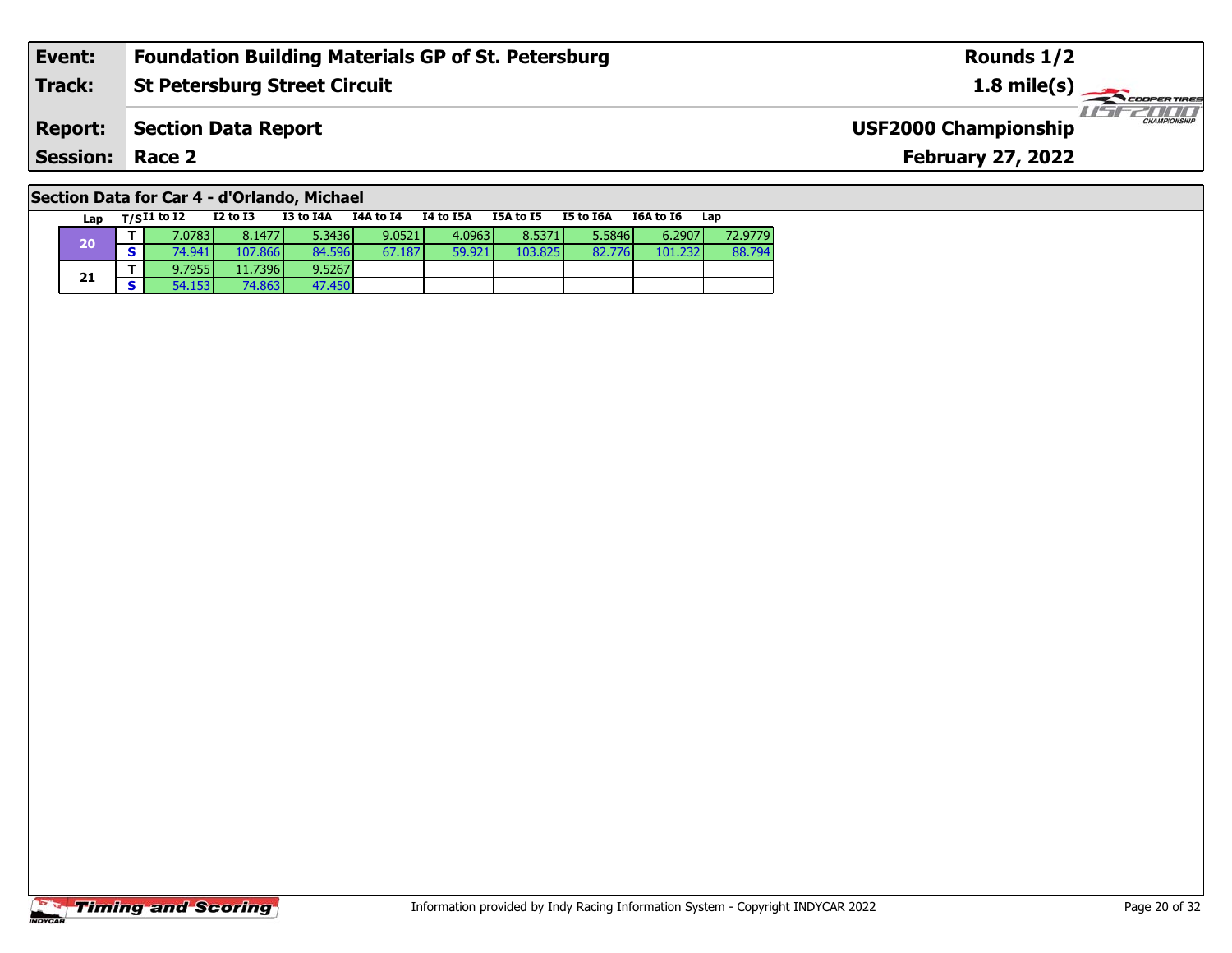| Event:                 | <b>Foundation Building Materials GP of St. Petersburg</b> | Rounds 1/2                                         |
|------------------------|-----------------------------------------------------------|----------------------------------------------------|
| Track:                 | <b>St Petersburg Street Circuit</b>                       | $1.8 \text{ mile(s)}$                              |
| <b>Report:</b>         | Section Data Report                                       | <b>CHAMPIONSHIP</b><br><b>USF2000 Championship</b> |
| <b>Session: Race 2</b> |                                                           | <b>February 27, 2022</b>                           |
|                        |                                                           |                                                    |

# **Section Data for Car 4 - d'Orlando, Michael**

| Lap |            | $T/SI1$ to $I2$ | $I2$ to $I3$ | I3 to I4A | I4A to I4 | I4 to I5A | I5A to I5 | I5 to I6A | <b>I6A to I6</b> | Lap     |
|-----|------------|-----------------|--------------|-----------|-----------|-----------|-----------|-----------|------------------|---------|
| 20  |            | 7.0783 l        | 8.1477       | 5.3436    | 9.0521    | 4.0963    | 8.5371    | 5.5846    | 6.2907           | 72,9779 |
|     |            | 74.941          | 107.866      | 84.596    | 67.187    | 59.921    | 103.825   | 82.776    | 101.232          | 88.794  |
|     |            | 9.7955          | 11.7396      | 9.5267    |           |           |           |           |                  |         |
| 21  | $\epsilon$ | 54.153          | 74.863       | 47.450    |           |           |           |           |                  |         |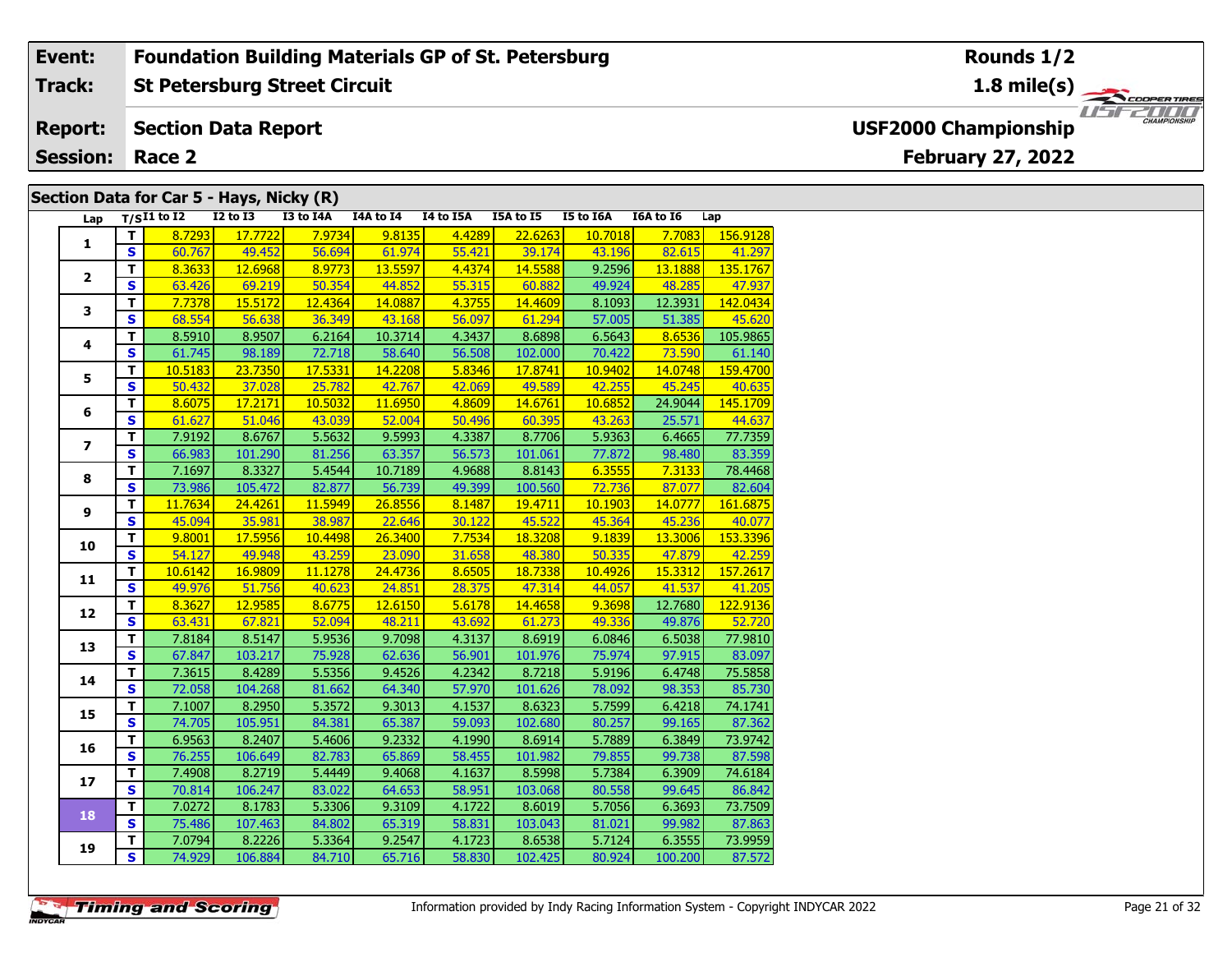### **Event: Foundation Building Materials GP of St. Petersburg Rounds 1/2St Petersburg Street Circuit 1.8 mile(s) Track:** THE COOPER TIRES **USF2000 Championship Report: Section Data Report February 27, 2022 Session: Race 2 Section Data for Car 5 - Hays, Nicky (R) Lap T/SI1 to I2 I2 to I3 I3 to I4A I4A to I4 I4 to I5A I5A to I5 I5 to I6A I6A to I6 Lap**

| Lap                      |                         | $T/SI1$ to I2 | <b>I2 to I3</b> | I3 to I4A | I4A to I4 | I4 to I5A | I5A to I5 | I5 to I6A | I6A to I6 | Lap      |
|--------------------------|-------------------------|---------------|-----------------|-----------|-----------|-----------|-----------|-----------|-----------|----------|
|                          | T.                      | 8.7293        | 17.7722         | 7.9734    | 9.8135    | 4.4289    | 22.6263   | 10.7018   | 7.7083    | 156.9128 |
| $\mathbf{1}$             | S                       | 60.767        | 49.452          | 56.694    | 61.974    | 55.421    | 39.174    | 43.196    | 82.615    | 41.297   |
|                          | T                       | 8.3633        | 12.6968         | 8.9773    | 13.5597   | 4.4374    | 14.5588   | 9.2596    | 13.1888   | 135.1767 |
| $\overline{2}$           | $\mathbf{s}$            | 63.426        | 69.219          | 50.354    | 44.852    | 55.315    | 60.882    | 49.924    | 48.285    | 47.937   |
|                          | T                       | 7.7378        | 15.5172         | 12.4364   | 14.0887   | 4.3755    | 14.4609   | 8.1093    | 12.3931   | 142.0434 |
| 3                        | S                       | 68.554        | 56.638          | 36.349    | 43.168    | 56.097    | 61.294    | 57.005    | 51.385    | 45.620   |
|                          | T                       | 8.5910        | 8.9507          | 6.2164    | 10.3714   | 4.3437    | 8.6898    | 6.5643    | 8.6536    | 105.9865 |
| 4                        | $\overline{\mathbf{s}}$ | 61.745        | 98.189          | 72.718    | 58.640    | 56.508    | 102.000   | 70.422    | 73.590    | 61.140   |
| 5                        | т                       | 10.5183       | 23.7350         | 17.5331   | 14.2208   | 5.8346    | 17.8741   | 10.9402   | 14.0748   | 159.4700 |
|                          | $\mathbf{s}$            | 50.432        | 37.028          | 25.782    | 42.767    | 42.069    | 49.589    | 42.255    | 45.245    | 40.635   |
|                          | $\overline{\mathsf{r}}$ | 8.6075        | 17.2171         | 10.5032   | 11.6950   | 4.8609    | 14.6761   | 10.6852   | 24.9044   | 145.1709 |
| 6                        | $\mathbf{s}$            | 61.627        | 51.046          | 43.039    | 52.004    | 50.496    | 60.395    | 43.263    | 25.571    | 44.637   |
|                          | $\mathbf{T}$            | 7.9192        | 8.6767          | 5.5632    | 9.5993    | 4.3387    | 8.7706    | 5.9363    | 6.4665    | 77.7359  |
| $\overline{\phantom{a}}$ | $\overline{\mathbf{s}}$ | 66.983        | 101.290         | 81.256    | 63.357    | 56.573    | 101.061   | 77.872    | 98.480    | 83.359   |
|                          | $\mathbf T$             | 7.1697        | 8.3327          | 5.4544    | 10.7189   | 4.9688    | 8.8143    | 6.3555    | 7.3133    | 78.4468  |
| 8                        | $\mathbf{s}$            | 73.986        | 105.472         | 82.877    | 56.739    | 49.399    | 100.560   | 72.736    | 87.077    | 82.604   |
|                          | T                       | 11.7634       | 24.4261         | 11.5949   | 26.8556   | 8.1487    | 19.4711   | 10.1903   | 14.0777   | 161.6875 |
| 9                        | S                       | 45.094        | 35.981          | 38.987    | 22.646    | 30.122    | 45.522    | 45.364    | 45.236    | 40.077   |
|                          | T                       | 9.8001        | 17.5956         | 10.4498   | 26.3400   | 7.7534    | 18.3208   | 9.1839    | 13.3006   | 153.3396 |
| 10                       | $\overline{\mathbf{s}}$ | 54.127        | 49.948          | 43.259    | 23.090    | 31.658    | 48.380    | 50.335    | 47.879    | 42.259   |
|                          | $\mathbf T$             | 10.6142       | 16.9809         | 11.1278   | 24.4736   | 8.6505    | 18.7338   | 10.4926   | 15.3312   | 157.2617 |
| 11                       | $\overline{\mathbf{s}}$ | 49.976        | 51.756          | 40.623    | 24.851    | 28.375    | 47.314    | 44.057    | 41.537    | 41.205   |
|                          | Ŧ                       | 8.3627        | 12.9585         | 8.6775    | 12.6150   | 5.6178    | 14.4658   | 9.3698    | 12.7680   | 122.9136 |
| 12                       | $\overline{\mathbf{s}}$ | 63.431        | 67.821          | 52.094    | 48.211    | 43.692    | 61.273    | 49.336    | 49.876    | 52.720   |
| 13                       | $\overline{\mathbf{T}}$ | 7.8184        | 8.5147          | 5.9536    | 9.7098    | 4.3137    | 8.6919    | 6.0846    | 6.5038    | 77.9810  |
|                          | $\overline{\mathbf{s}}$ | 67.847        | 103.217         | 75.928    | 62.636    | 56.901    | 101.976   | 75.974    | 97.915    | 83.097   |
| 14                       | $\mathbf T$             | 7.3615        | 8.4289          | 5.5356    | 9.4526    | 4.2342    | 8.7218    | 5.9196    | 6.4748    | 75.5858  |
|                          | S                       | 72.058        | 104.268         | 81.662    | 64.340    | 57.970    | 101.626   | 78.092    | 98.353    | 85.730   |
| 15                       | T                       | 7.1007        | 8.2950          | 5.3572    | 9.3013    | 4.1537    | 8.6323    | 5.7599    | 6.4218    | 74.1741  |
|                          | $\mathbf{s}$            | 74.705        | 105.951         | 84.381    | 65.387    | 59.093    | 102.680   | 80.257    | 99.165    | 87.362   |
| 16                       | T                       | 6.9563        | 8.2407          | 5.4606    | 9.2332    | 4.1990    | 8.6914    | 5.7889    | 6.3849    | 73.9742  |
|                          | $\overline{\mathbf{s}}$ | 76.255        | 106.649         | 82.783    | 65.869    | 58.455    | 101.982   | 79.855    | 99.738    | 87.598   |
| 17                       | T                       | 7.4908        | 8.2719          | 5.4449    | 9.4068    | 4.1637    | 8.5998    | 5.7384    | 6.3909    | 74.6184  |
|                          | $\overline{\mathbf{s}}$ | 70.814        | 106.247         | 83.022    | 64.653    | 58.951    | 103.068   | 80.558    | 99.645    | 86.842   |
| 18                       | $\mathbf T$             | 7.0272        | 8.1783          | 5.3306    | 9.3109    | 4.1722    | 8.6019    | 5.7056    | 6.3693    | 73.7509  |
|                          | $\mathbf{s}$            | 75.486        | 107.463         | 84.802    | 65.319    | 58.831    | 103.043   | 81.021    | 99.982    | 87.863   |
| 19                       | $\overline{\mathbf{T}}$ | 7.0794        | 8.2226          | 5.3364    | 9.2547    | 4.1723    | 8.6538    | 5.7124    | 6.3555    | 73.9959  |
|                          | $\overline{\mathbf{s}}$ | 74.929        | 106.884         | 84.710    | 65.716    | 58.830    | 102.425   | 80.924    | 100.200   | 87.572   |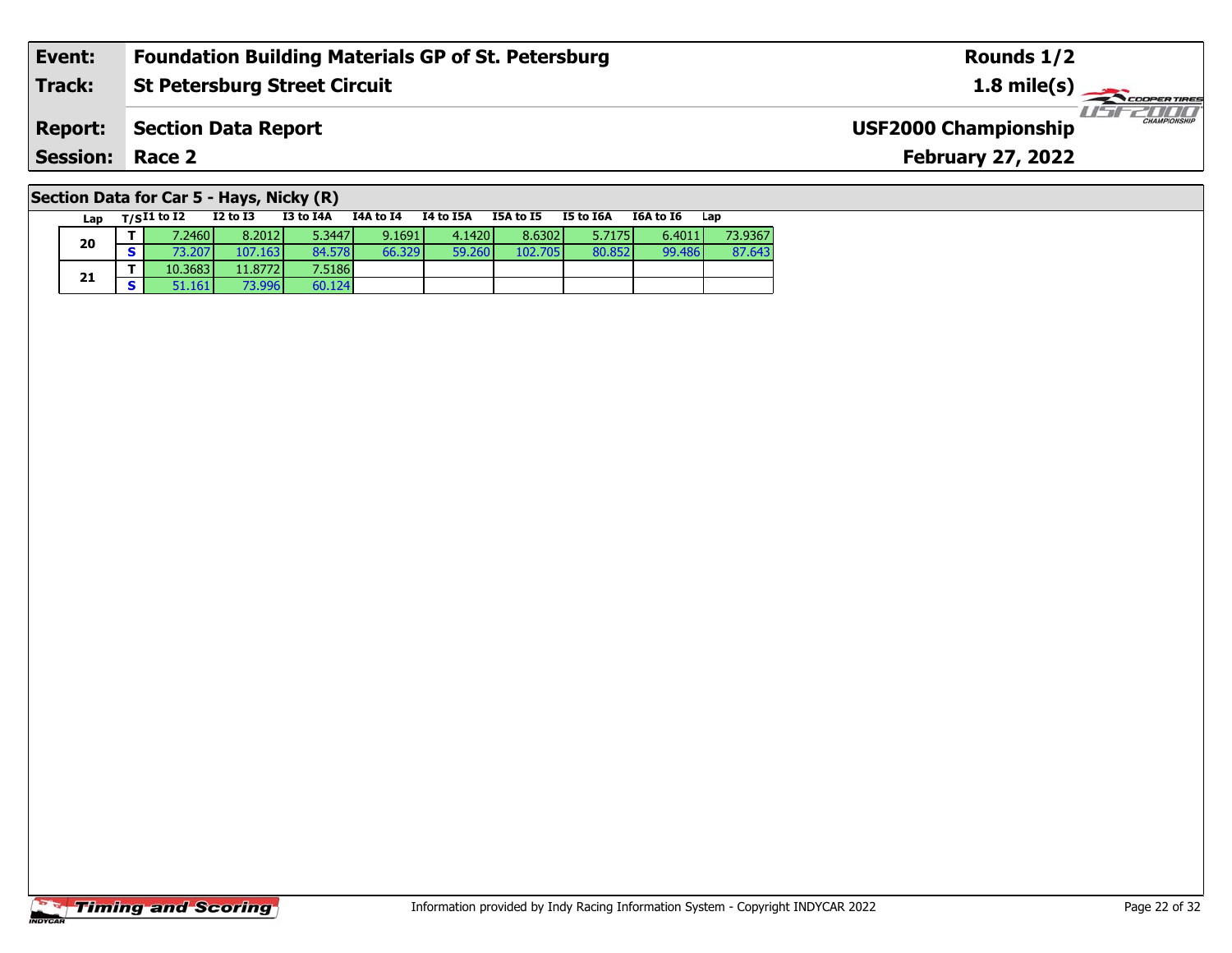| Event:                 | <b>Foundation Building Materials GP of St. Petersburg</b> | Rounds 1/2                                  |
|------------------------|-----------------------------------------------------------|---------------------------------------------|
| Track:                 | <b>St Petersburg Street Circuit</b>                       | $1.8 \text{ mile(s)}$                       |
| <b>Report:</b>         | Section Data Report                                       | CHAMPIONSHIP<br><b>USF2000 Championship</b> |
| <b>Session: Race 2</b> |                                                           | <b>February 27, 2022</b>                    |
| .                      | --- - ---                                                 |                                             |

### **Section Data for Car 5 - Hays, Nicky (R)**

| Lan | $T/SI1$ to $I2$ | $I2$ to $I3$ | I3 to I4A | I4A to I4 | I4 to I5A | I5A to I5 | I5 to I6A | I6A to I6 | Lap     |
|-----|-----------------|--------------|-----------|-----------|-----------|-----------|-----------|-----------|---------|
| 20  | 7.2460          | 8.2012       | 5.3447    | 9.1691    | 4.1420    | 8.6302    | 5.7175    | 6.4011    | 73.9367 |
|     | 73.207          | 107.163      | 84.578    | 66.329    | 59.260    | 102.705   | 80.852    | 99.486    | 87.643  |
|     | 10.3683         | 11.8772      | 7.5186    |           |           |           |           |           |         |
| 21  | 51.161          | 73.996       | 60.124    |           |           |           |           |           |         |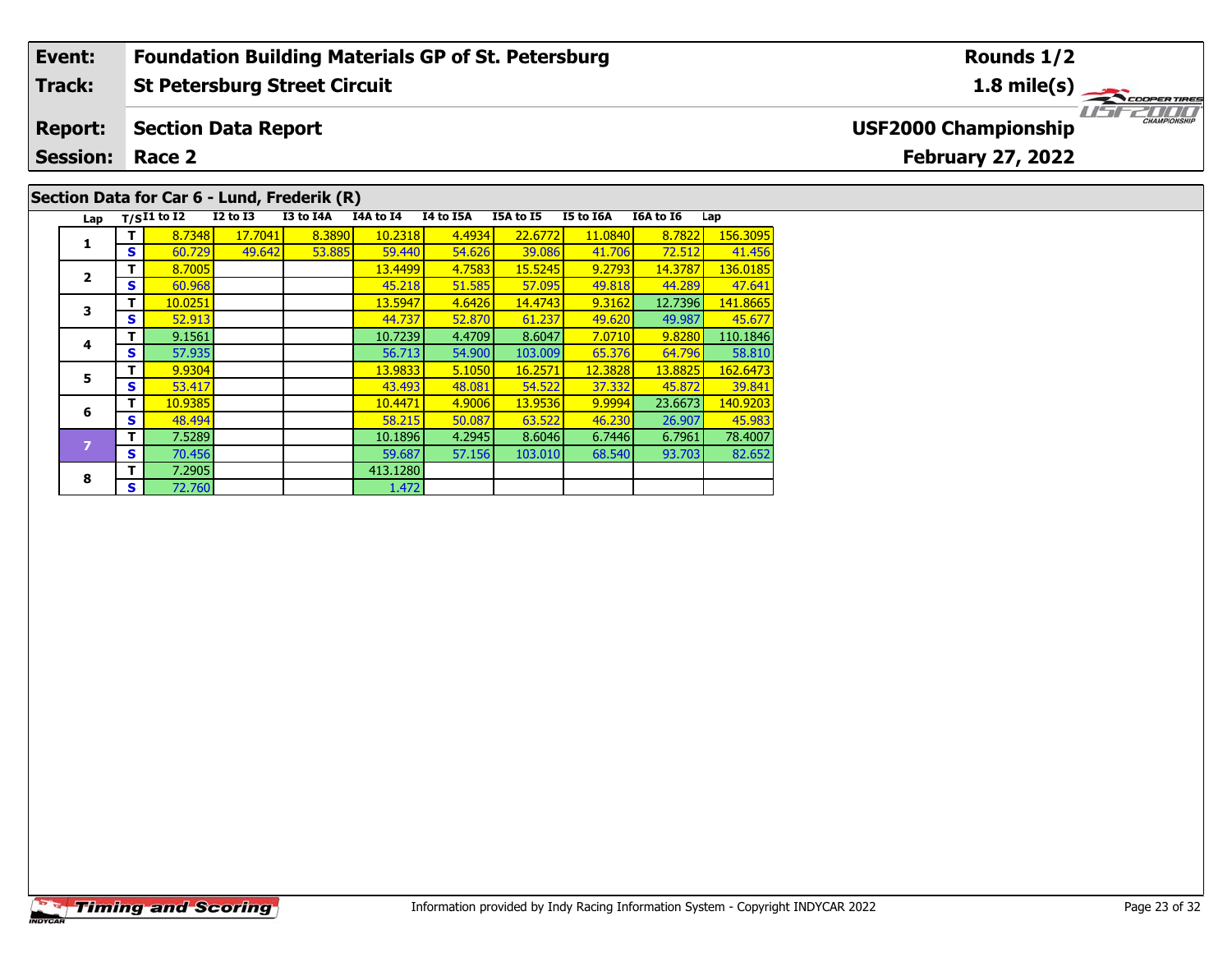### **Event: Foundation Building Materials GP of St. Petersburg Rounds 1/2Track:St Petersburg Street Circuit 1.8 mile(s)** 11515211111 **Report: Section Data Report USF2000 Championship February 27, 2022 Session: Race 2Section Data for Car 6 - Lund, Frederik (R) Lap T/SI1 to I2 I2 to I3 I3 to I4A I4A to I4 I4 to I5A I5A to I5 I5 to I6A I6A to I6 Lap <sup>T</sup>** 8.7348 17.7041 8.3890 10.2318 4.4934 22.6772 11.0840 8.7822 156.3095 **<sup>S</sup>** 60.729 49.642 53.885 59.440 54.626 39.086 41.706 72.512 41.456**1**

58.810

**<sup>T</sup>** 8.7005 13.4499 4.7583 15.5245 9.2793 14.3787 136.0185 **<sup>S</sup>** 60.968 45.218 51.585 57.095 49.818 44.289 47.641

**<sup>T</sup>** 10.0251 13.5947 4.6426 14.4743 9.3162 12.7396 141.8665 **<sup>S</sup>** 52.913 44.737 52.870 61.237 49.620 49.987 45.677

**T** 9.1561 10.7239 4.4709 8.6047 7.0710 9.8280 110.1846<br>IS 57.935 58.810 56.713 54.900 103.009 65.376 64.796 58.810

**<sup>T</sup>** 9.9304 13.9833 5.1050 16.2571 12.3828 13.8825 162.6473 **<sup>S</sup>** 53.417 43.493 48.081 54.522 37.332 45.872 39.841

**<sup>T</sup>** 10.9385 10.4471 4.9006 13.9536 9.9994 23.6673 140.9203 **<sup>S</sup>** 48.494 58.215 50.087 63.522 46.230 26.907 45.983

**<sup>T</sup>** 7.5289 10.1896 4.2945 8.6046 6.7446 6.7961 78.4007 **<sup>S</sup>** 70.456 59.687 57.156 103.010 68.540 93.703 82.652

**2**

**3**

**4**

**5**

**6**

**8**

**R T** 7.2905 413.1280<br> **S** 72.760 1.472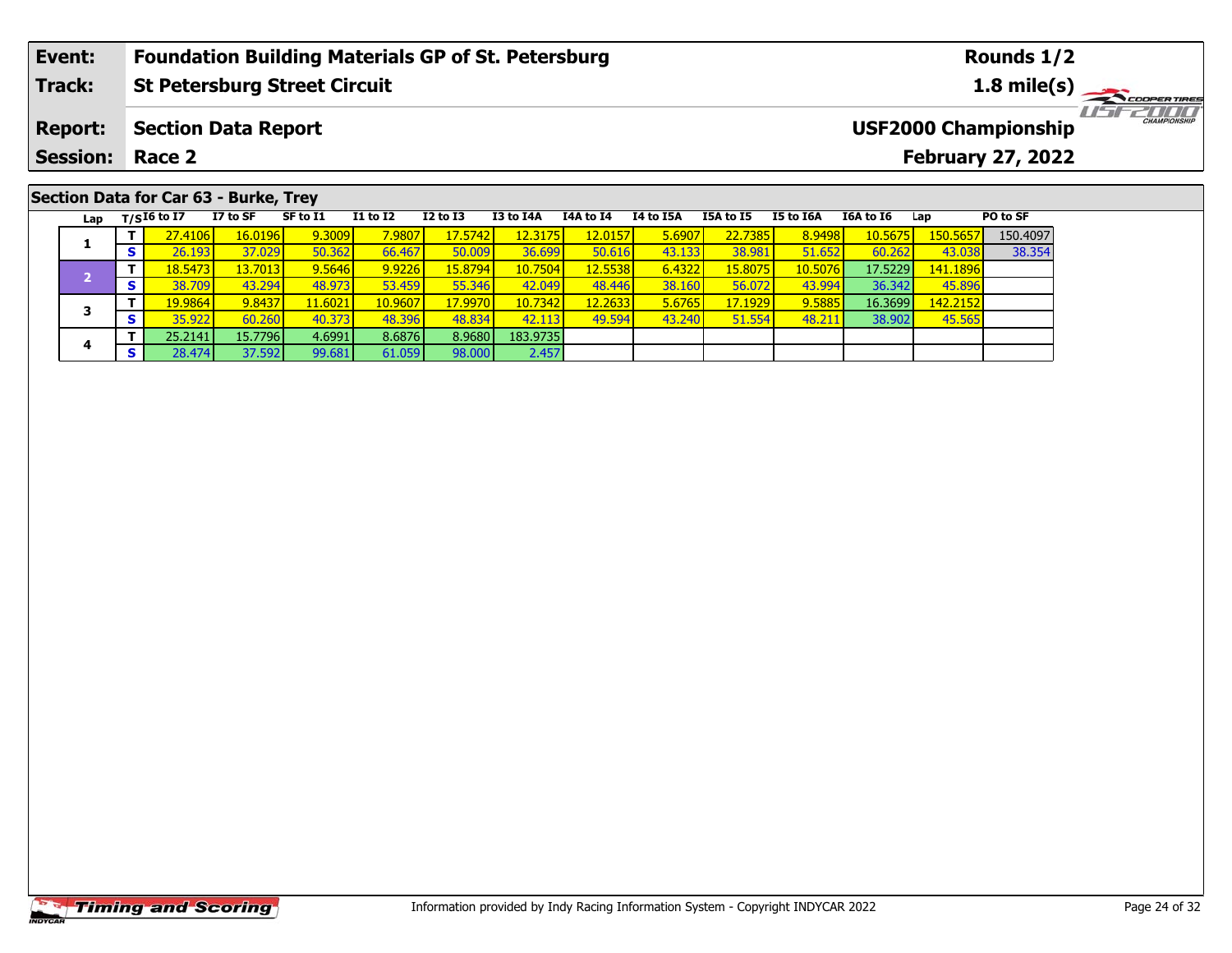#### **Event:Foundation Building Materials GP of St. Petersburg**

#### **St Petersburg Street Circuit Track:**

#### **Section Data Report Report:**

**Session: Race 2**

# **Section Data for Car 63 - Burke, Trey**

| Lap |   | $T/SI6$ to I7 | I7 to SF | SF to I1 | <b>I1 to I2</b>  | $I2$ to $I3$ | I3 to I4A        | I4A to I4 | I4 to I5A | <b>I5A to I5</b> | I5 to I6A | I6A to I6 | Lap               | PO to SF |
|-----|---|---------------|----------|----------|------------------|--------------|------------------|-----------|-----------|------------------|-----------|-----------|-------------------|----------|
|     |   | 27.4106       | 16.0196  | 9.3009   | 7.9807           | 17.5742      | 12.3175 <b> </b> | 12.0157   | 5.6907    | 22.7385          | 8.9498    | 10.5675   | 150.5657          | 150.4097 |
|     | S | 26.193        | 37.029   | 50.362   | 66.467           | 50.009       | 36.699           | 50.616    | 43.133    | 38.981           | 51.652    | 60.262    | 43.038            | 38.354   |
|     |   | 18.5473       | 13.7013  | 9.5646   | 9.9226           | 15.8794      | 10.7504          | 12.5538   | 6.4322    | 15.8075          | 10.5076   | 17.5229   | 141.1896 <b>1</b> |          |
|     | S | 38.709        | 43.294   | 48.973   | 53.459           | 55.346       | 42.049           | 48.446    | 38.160    | 56.072           | 43.994    | 36.342    | 45.896            |          |
|     |   | 19.9864       | 9.8437   | 11.6021  | 10.9607 <b> </b> | 17.9970      | 10.7342          | 12.2633   | 5.6765    | 17.1929          | 9.5885    | 16.3699   | 142.2152 <b>1</b> |          |
|     | s | 35.922        | 60.260   | 40.373   | 48.396           | 48.834       | 42.113           | 49.594    | 43.240    | 51.554           | 48.211    | 38.902    | 45.565            |          |
|     |   | 25.2141       | 15.7796  | 4.6991   | 8.6876           | 8.9680       | 183.9735         |           |           |                  |           |           |                   |          |
| 4   | S | 28.474        | 37.592   | 99.681   | 61.059           | 98.000       | 2.457            |           |           |                  |           |           |                   |          |

**Rounds 1/2**

**1.8 mile(s)**

**February 27, 2022**

**USF2000 Championship**

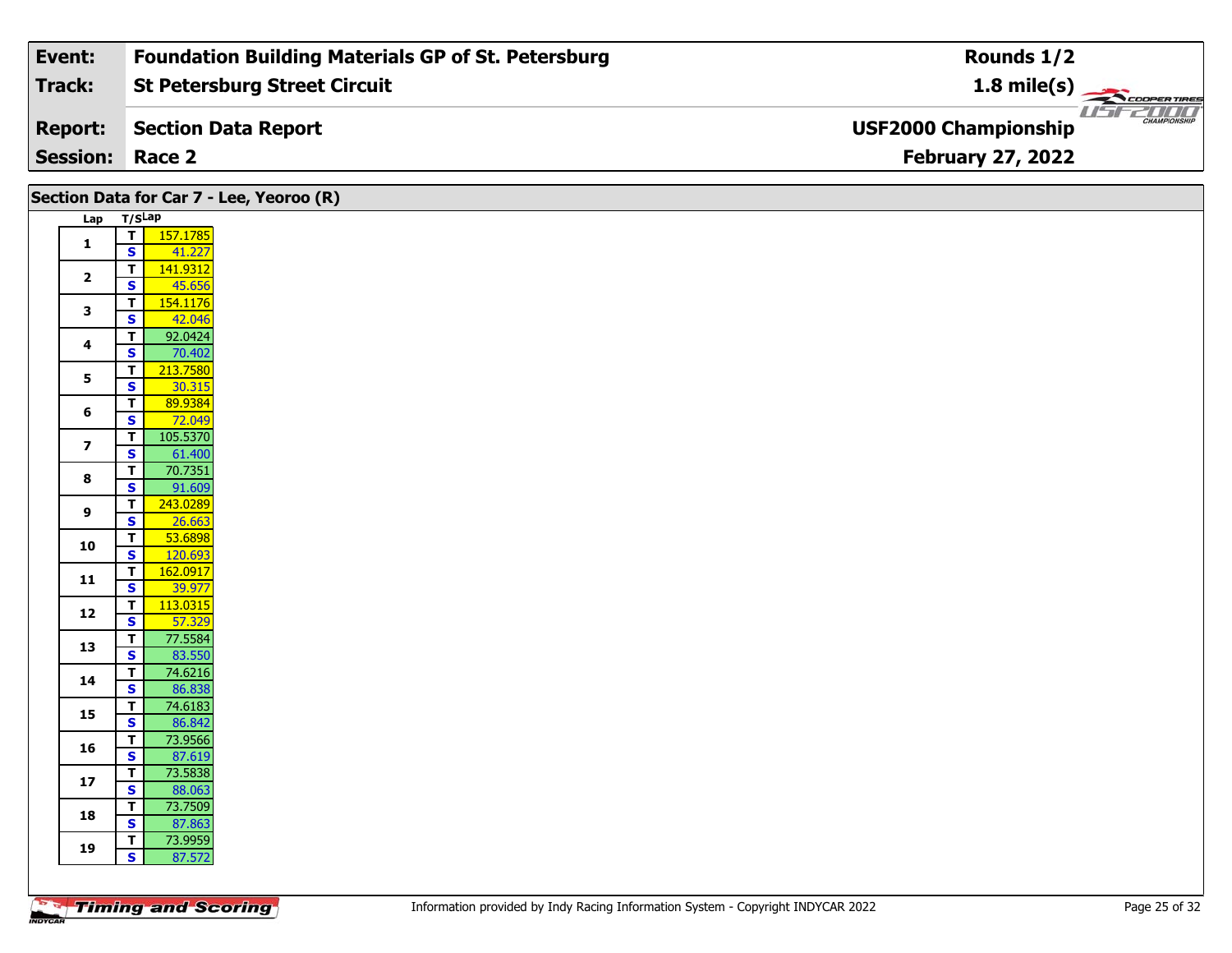| Event:                 | <b>Foundation Building Materials GP of St. Petersburg</b> | Rounds 1/2                                         |
|------------------------|-----------------------------------------------------------|----------------------------------------------------|
| <b>Track:</b>          | <b>St Petersburg Street Circuit</b>                       | $1.8 \text{ mile(s)}$                              |
| <b>Report:</b>         | Section Data Report                                       | <b>CHAMPIONSHIP</b><br><b>USF2000 Championship</b> |
| <b>Session: Race 2</b> |                                                           | <b>February 27, 2022</b>                           |

### **Lap T/SLap 1 <sup>T</sup>** 157.1785 **<sup>S</sup>** 41.227**T** 141.9312 **2**45.656 **3T** 154.1176<br>**S** 42.046 92.0424 **4 <sup>T</sup>** 92.0424 **<sup>S</sup>** 70.402 **5T** 213.7580 **6 <sup>T</sup>** 89.9384 **<sup>S</sup>** 72.049**T** 105.5370 **7** $\frac{61.400}{70.7351}$ **8 <sup>T</sup>** 70.7351 **<sup>S</sup>** 91.609 **9 <sup>T</sup>** 243.0289 **<sup>S</sup>** 26.663 **10 <sup>T</sup>** 53.6898 **<sup>S</sup>** 120.693**T** 162.0917<br>**S** 39.977 **11**39.977 **12T** 113.0315<br>**S** 57.329 **13T** 77.5584<br>**S** 83.550 83.550 **144 S**  $\begin{array}{|c|c|c|} \hline \textbf{5} & \textbf{74.6216} \\ \hline \textbf{5} & \textbf{86.838} \\ \hline \end{array}$ **15T** 74.6183<br>**S** 86.842 73.9566 **16 <sup>T</sup>** 73.9566 **<sup>S</sup>** 87.619**17T** 73.5838<br>**S** 88.063 88.063 **18T** 73.7509<br>**S** 87.863 87.863 **19 <sup>T</sup>** 73.9959 **<sup>S</sup>** 87.572 **Section Data for Car 7 - Lee, Yeoroo (R)**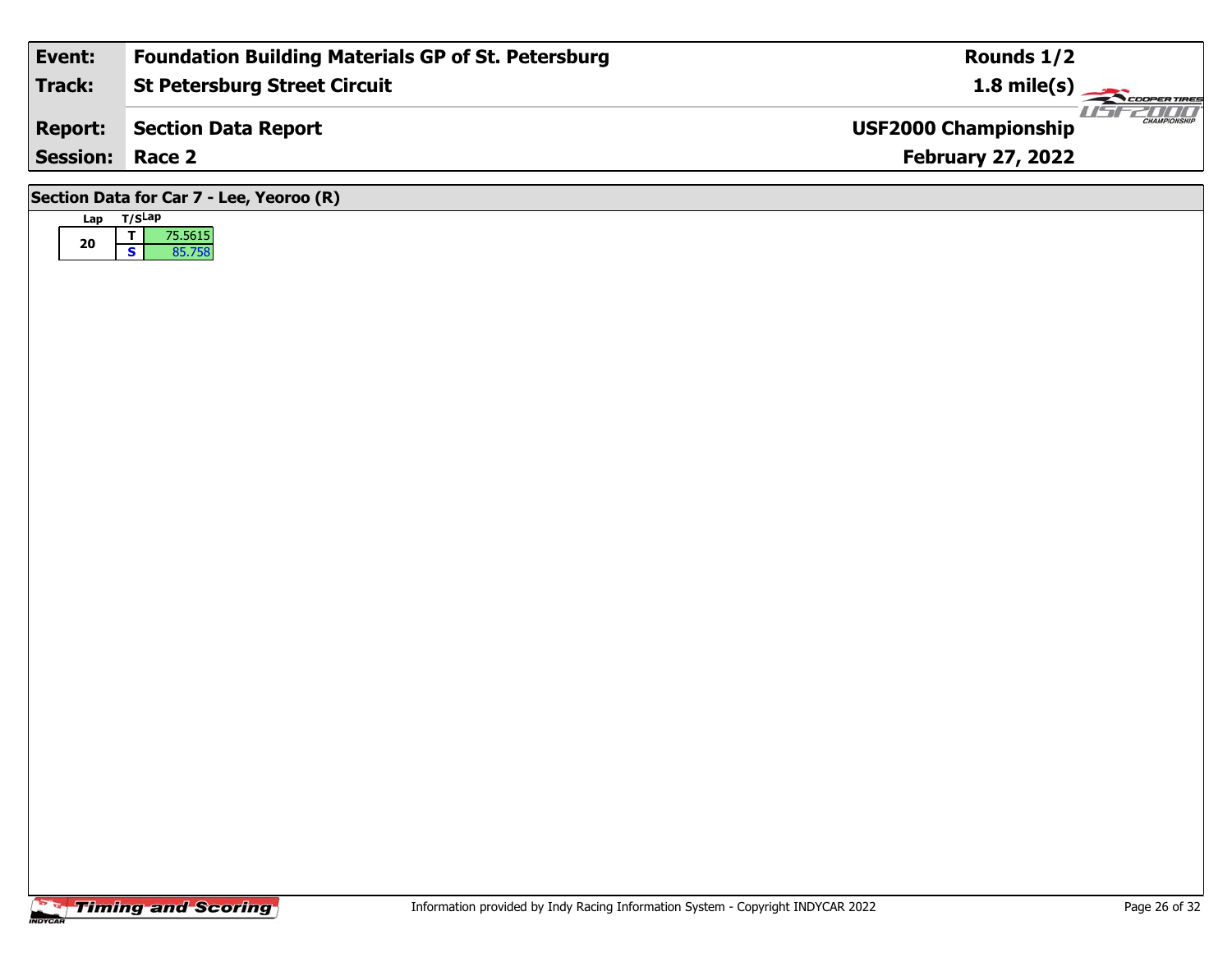| Event:                                   | <b>Foundation Building Materials GP of St. Petersburg</b> | Rounds 1/2                                 |  |  |  |  |  |  |  |
|------------------------------------------|-----------------------------------------------------------|--------------------------------------------|--|--|--|--|--|--|--|
| <b>Track:</b>                            | St Petersburg Street Circuit                              | $1.8 \text{ mile(s)}$                      |  |  |  |  |  |  |  |
| <b>Report:</b>                           | Section Data Report                                       | CHAMPIONSHI<br><b>USF2000 Championship</b> |  |  |  |  |  |  |  |
| <b>Session: Race 2</b>                   |                                                           | <b>February 27, 2022</b>                   |  |  |  |  |  |  |  |
| Section Data for Car 7 - Lee, Yeoroo (R) |                                                           |                                            |  |  |  |  |  |  |  |

| Lap | T/SLap |         |
|-----|--------|---------|
|     |        | 75.5615 |
| 20  | c      | 85.758  |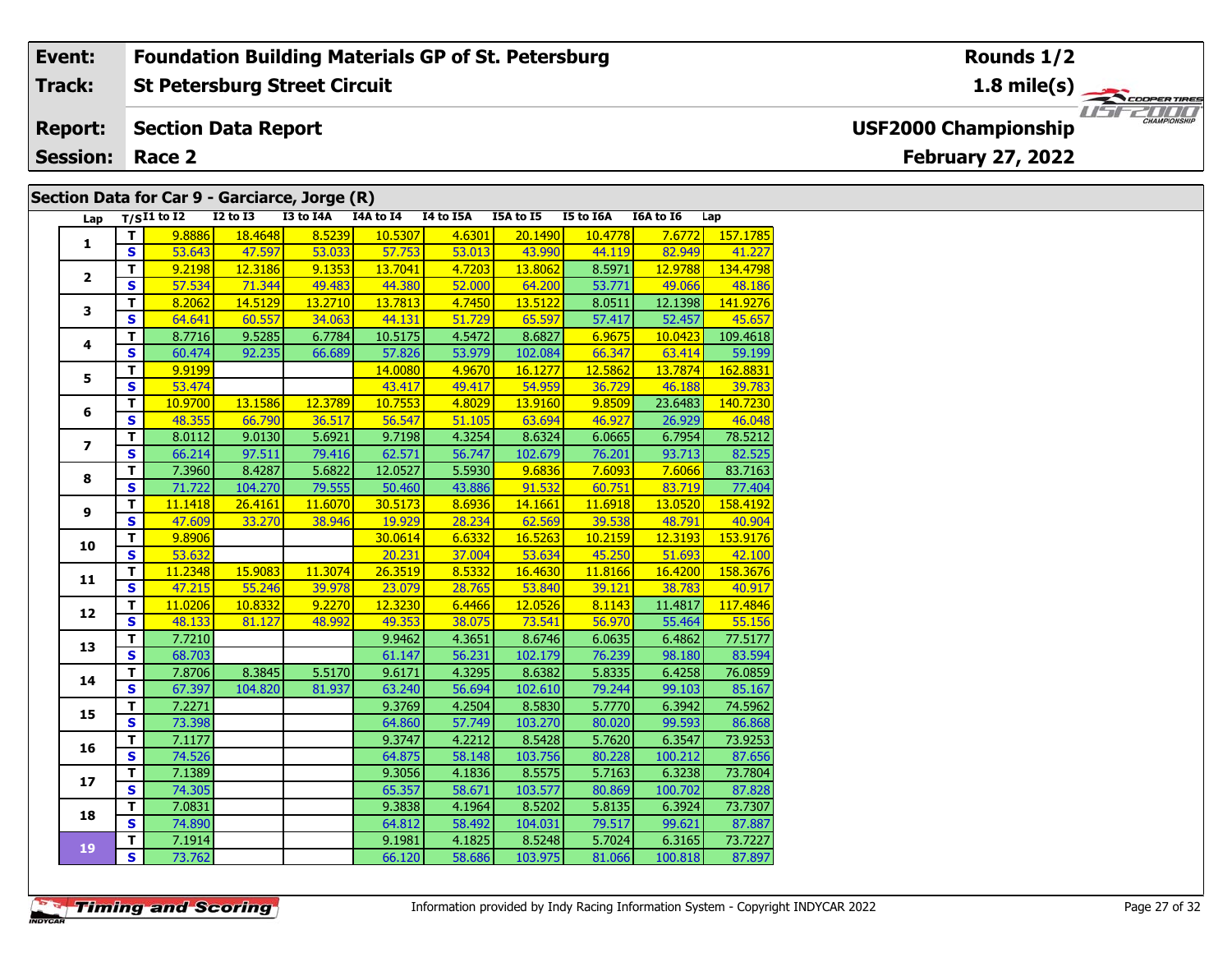### **Event: Foundation Building Materials GP of St. Petersburg Rounds 1/2St Petersburg Street Circuit 1.8 mile(s) Track:** THE COOPER TIRES **USF2000 Championship Report: Section Data Report February 27, 2022 Session: Race 2 Section Data for Car 9 - Garciarce, Jorge (R) Lap T/SI1 to I2 I2 to I3 I3 to I4A I4A to I4 I4 to I5A I5A to I5 I5 to I6A I6A to I6 Lap**

| Lap                     |                         | $T/SI1$ to $I2$ | <b>I2 to I3</b> | <b>I3 to I4A</b> | I4A to I4 | I4 to I5A | I5A to I5 | <b>I5 to I6A</b> | I6A to I6 | Lap      |
|-------------------------|-------------------------|-----------------|-----------------|------------------|-----------|-----------|-----------|------------------|-----------|----------|
|                         | т                       | 9.8886          | 18.4648         | 8.5239           | 10.5307   | 4.6301    | 20.1490   | 10.4778          | 7.6772    | 157.1785 |
| $\mathbf{1}$            | $\overline{\mathbf{s}}$ | 53.643          | 47.597          | 53.033           | 57.753    | 53.013    | 43.990    | 44.119           | 82.949    | 41.227   |
|                         | T                       | 9.2198          | 12.3186         | 9.1353           | 13.7041   | 4.7203    | 13.8062   | 8.5971           | 12.9788   | 134.4798 |
| $\overline{\mathbf{2}}$ | S                       | 57.534          | 71.344          | 49.483           | 44.380    | 52.000    | 64.200    | 53.771           | 49.066    | 48.186   |
| 3                       | т                       | 8.2062          | 14.5129         | 13.2710          | 13.7813   | 4.7450    | 13.5122   | 8.0511           | 12.1398   | 141.9276 |
|                         | S.                      | 64.641          | 60.557          | 34.063           | 44.131    | 51.729    | 65.597    | 57.417           | 52.457    | 45.657   |
| 4                       | т                       | 8.7716          | 9.5285          | 6.7784           | 10.5175   | 4.5472    | 8.6827    | 6.9675           | 10.0423   | 109.4618 |
|                         | S                       | 60.474          | 92.235          | 66.689           | 57.826    | 53.979    | 102.084   | 66.347           | 63.414    | 59.199   |
| 5                       | T                       | 9.9199          |                 |                  | 14.0080   | 4.9670    | 16.1277   | 12.5862          | 13.7874   | 162.8831 |
|                         | S                       | 53.474          |                 |                  | 43.417    | 49.417    | 54.959    | 36.729           | 46.188    | 39.783   |
| 6                       | T.                      | 10.9700         | 13.1586         | 12.3789          | 10.7553   | 4.8029    | 13.9160   | 9.8509           | 23.6483   | 140.7230 |
|                         | S                       | 48.355          | 66.790          | 36.517           | 56.547    | 51.105    | 63.694    | 46.927           | 26.929    | 46.048   |
| $\overline{\mathbf{z}}$ | T                       | 8.0112          | 9.0130          | 5.6921           | 9.7198    | 4.3254    | 8.6324    | 6.0665           | 6.7954    | 78.5212  |
|                         | S                       | 66.214          | 97.511          | 79.416           | 62.571    | 56.747    | 102.679   | 76.201           | 93.713    | 82.525   |
| 8                       | T                       | 7.3960          | 8.4287          | 5.6822           | 12.0527   | 5.5930    | 9.6836    | 7.6093           | 7.6066    | 83.7163  |
|                         | S                       | 71.722          | 104.270         | 79.555           | 50.460    | 43.886    | 91.532    | 60.751           | 83.719    | 77.404   |
| 9                       | T.                      | 11.1418         | 26.4161         | 11.6070          | 30.5173   | 8.6936    | 14.1661   | 11.6918          | 13.0520   | 158.4192 |
|                         | S                       | 47.609          | 33.270          | 38.946           | 19.929    | 28.234    | 62.569    | 39.538           | 48.791    | 40.904   |
| 10                      | T.                      | 9.8906          |                 |                  | 30.0614   | 6.6332    | 16.5263   | 10.2159          | 12.3193   | 153.9176 |
|                         | S.                      | 53.632          |                 |                  | 20.231    | 37.004    | 53.634    | 45.250           | 51.693    | 42.100   |
| 11                      | т                       | 11.2348         | 15.9083         | 11.3074          | 26.3519   | 8.5332    | 16.4630   | 11.8166          | 16.4200   | 158.3676 |
|                         | $\mathbf{s}$            | 47.215          | 55.246          | 39.978           | 23.079    | 28.765    | 53.840    | 39.121           | 38.783    | 40.917   |
| 12                      | T                       | 11.0206         | 10.8332         | 9.2270           | 12.3230   | 6.4466    | 12.0526   | 8.1143           | 11.4817   | 117.4846 |
|                         | S                       | 48.133          | 81.127          | 48.992           | 49.353    | 38.075    | 73.541    | 56.970           | 55.464    | 55.156   |
| 13                      | $\overline{\mathsf{r}}$ | 7.7210          |                 |                  | 9.9462    | 4.3651    | 8.6746    | 6.0635           | 6.4862    | 77.5177  |
|                         | $\overline{\mathbf{s}}$ | 68.703          |                 |                  | 61.147    | 56.231    | 102.179   | 76.239           | 98.180    | 83.594   |
| 14                      | T                       | 7.8706          | 8.3845          | 5.5170           | 9.6171    | 4.3295    | 8.6382    | 5.8335           | 6.4258    | 76.0859  |
|                         | S                       | 67.397          | 104.820         | 81.937           | 63.240    | 56.694    | 102.610   | 79.244           | 99.103    | 85.167   |
| 15                      | т                       | 7.2271          |                 |                  | 9.3769    | 4.2504    | 8.5830    | 5.7770           | 6.3942    | 74.5962  |
|                         | S                       | 73.398          |                 |                  | 64.860    | 57.749    | 103.270   | 80.020           | 99.593    | 86.868   |
| 16                      | T                       | 7.1177          |                 |                  | 9.3747    | 4.2212    | 8.5428    | 5.7620           | 6.3547    | 73.9253  |
|                         | S                       | 74.526          |                 |                  | 64.875    | 58.148    | 103.756   | 80.228           | 100.212   | 87.656   |
| 17                      | т                       | 7.1389          |                 |                  | 9.3056    | 4.1836    | 8.5575    | 5.7163           | 6.3238    | 73.7804  |
|                         | $\overline{\mathbf{s}}$ | 74.305          |                 |                  | 65.357    | 58.671    | 103.577   | 80.869           | 100.702   | 87.828   |
| 18                      | т                       | 7.0831          |                 |                  | 9.3838    | 4.1964    | 8.5202    | 5.8135           | 6.3924    | 73.7307  |
|                         | $\overline{\mathbf{s}}$ | 74.890          |                 |                  | 64.812    | 58.492    | 104.031   | 79.517           | 99.621    | 87.887   |
| 19                      | T                       | 7.1914          |                 |                  | 9.1981    | 4.1825    | 8.5248    | 5.7024           | 6.3165    | 73.7227  |
|                         | $\overline{\mathbf{s}}$ | 73.762          |                 |                  | 66.120    | 58.686    | 103.975   | 81.066           | 100.818   | 87.897   |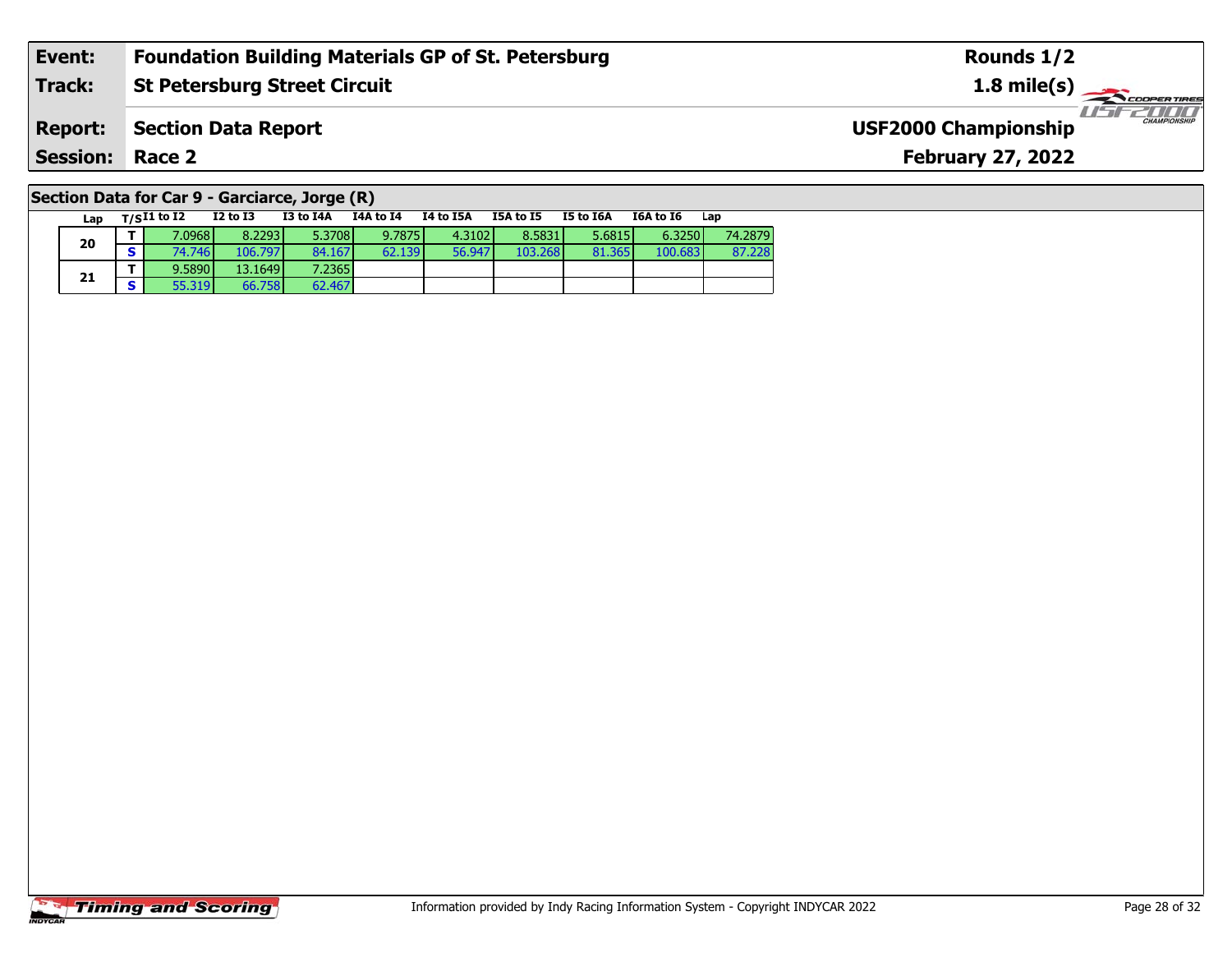| Event:                 | <b>Foundation Building Materials GP of St. Petersburg</b> | Rounds 1/2                                   |
|------------------------|-----------------------------------------------------------|----------------------------------------------|
| Track:                 | <b>St Petersburg Street Circuit</b>                       | $1.8 \text{ mile(s)}$                        |
| <b>Report:</b>         | Section Data Report                                       | $\frac{1}{1}$<br><b>USF2000 Championship</b> |
| <b>Session: Race 2</b> |                                                           | <b>February 27, 2022</b>                     |
|                        |                                                           |                                              |

# **Section Data for Car 9 - Garciarce, Jorge (R)**

|  | Lap | $T/SI1$ to $I2$ | $I2$ to $I3$ | I3 to I4A | I4A to I4 | I4 to I5A | I5A to I5 | I5 to I6A | <b>I6A to I6</b> | Lan     |
|--|-----|-----------------|--------------|-----------|-----------|-----------|-----------|-----------|------------------|---------|
|  | 20  | 7.0968          | 8.2293       | 5.3708    | 9.7875    | 4.3102    | 8.5831    | 5.6815    | 6.3250           | 74.2879 |
|  |     | 74.746          | 106.797      | 84.167    | 62.139    | 56.947    | 103.268   | 81.365    | 100.683          | 87.228  |
|  | 21  | 9.5890          | 13.1649      | 7.23651   |           |           |           |           |                  |         |
|  |     | 55.319          | 66.758       | 62.467    |           |           |           |           |                  |         |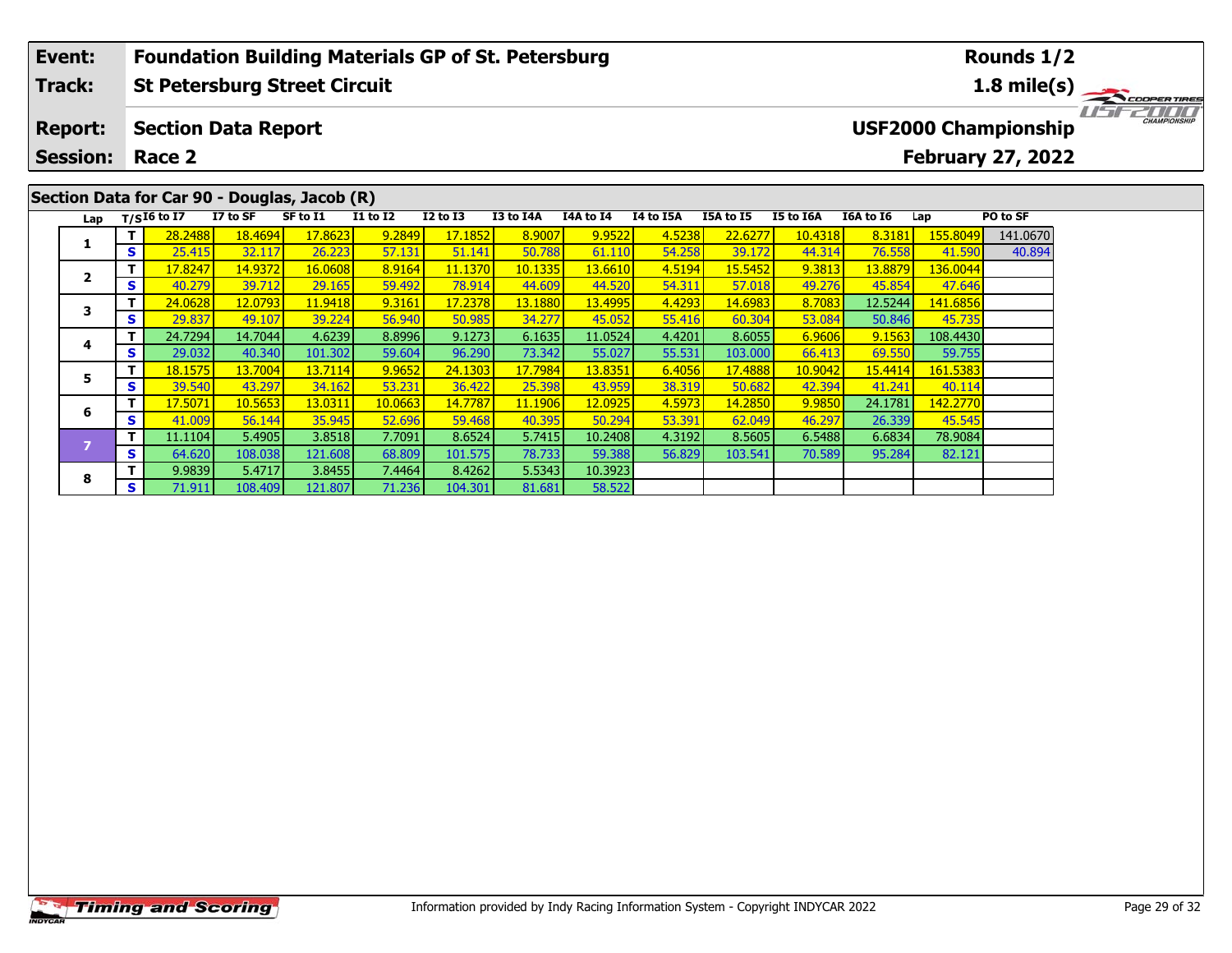### **Event: Foundation Building Materials GP of St. Petersburg Rounds 1/2Track:St Petersburg Street Circuit 1.8 mile(s)** 11515211111 **Report: Section Data Report USF2000 Championship February 27, 2022 Session: Race 2Section Data for Car 90 - Douglas, Jacob (R) Lap T/SI6 to I7 I7 to SF SF to I1 I1 to I2 I2 to I3 I3 to I4A I4A to I4 I4 to I5A I5A to I5 I5 to I6A I6A to I6 Lap PO to SF <sup>T</sup>** 28.2488 18.4694 17.8623 9.2849 17.1852 8.9007 9.9522 4.5238 22.6277 10.4318 8.3181 155.8049 141.0670 **<sup>S</sup>** 25.415 32.117 26.223 57.131 51.141 50.788 61.110 54.258 39.172 44.314 76.558 41.590 40.894**1 <sup>T</sup>** 17.8247 14.9372 16.0608 8.9164 11.1370 10.1335 13.6610 4.5194 15.5452 9.3813 13.8879 136.0044 **<sup>S</sup>** 40.279 39.712 29.165 59.492 78.914 44.609 44.520 54.311 57.018 49.276 45.854 47.646**2**

**<sup>T</sup>** 24.0628 12.0793 11.9418 9.3161 17.2378 13.1880 13.4995 4.4293 14.6983 8.7083 12.5244 141.6856 **<sup>S</sup>** 29.837 49.107 39.224 56.940 50.985 34.277 45.052 55.416 60.304 53.084 50.846 45.735

**<sup>T</sup>** 24.7294 14.7044 4.6239 8.8996 9.1273 6.1635 11.0524 4.4201 8.6055 6.9606 9.1563 108.4430 **<sup>S</sup>** 29.032 40.340 101.302 59.604 96.290 73.342 55.027 55.531 103.000 66.413 69.550 59.755

**<sup>T</sup>** 18.1575 13.7004 13.7114 9.9652 24.1303 17.7984 13.8351 6.4056 17.4888 10.9042 15.4414 161.5383 **<sup>S</sup>** 39.540 43.297 34.162 53.231 36.422 25.398 43.959 38.319 50.682 42.394 41.241 40.114

**<sup>T</sup>** 17.5071 10.5653 13.0311 10.0663 14.7787 11.1906 12.0925 4.5973 14.2850 9.9850 24.1781 142.2770 **<sup>S</sup>** 41.009 56.144 35.945 52.696 59.468 40.395 50.294 53.391 62.049 46.297 26.339 45.545

**<sup>T</sup>** 11.1104 5.4905 3.8518 7.7091 8.6524 5.7415 10.2408 4.3192 8.5605 6.5488 6.6834 78.9084 **<sup>S</sup>** 64.620 108.038 121.608 68.809 101.575 78.733 59.388 56.829 103.541 70.589 95.284 82.121

**<sup>T</sup>** 9.9839 5.4717 3.8455 7.4464 8.4262 5.5343 10.3923 **<sup>S</sup>** 71.911 108.409 121.807 71.236 104.301 81.681 58.522

**3**

**4**

**5**

**6**

**8**

59.755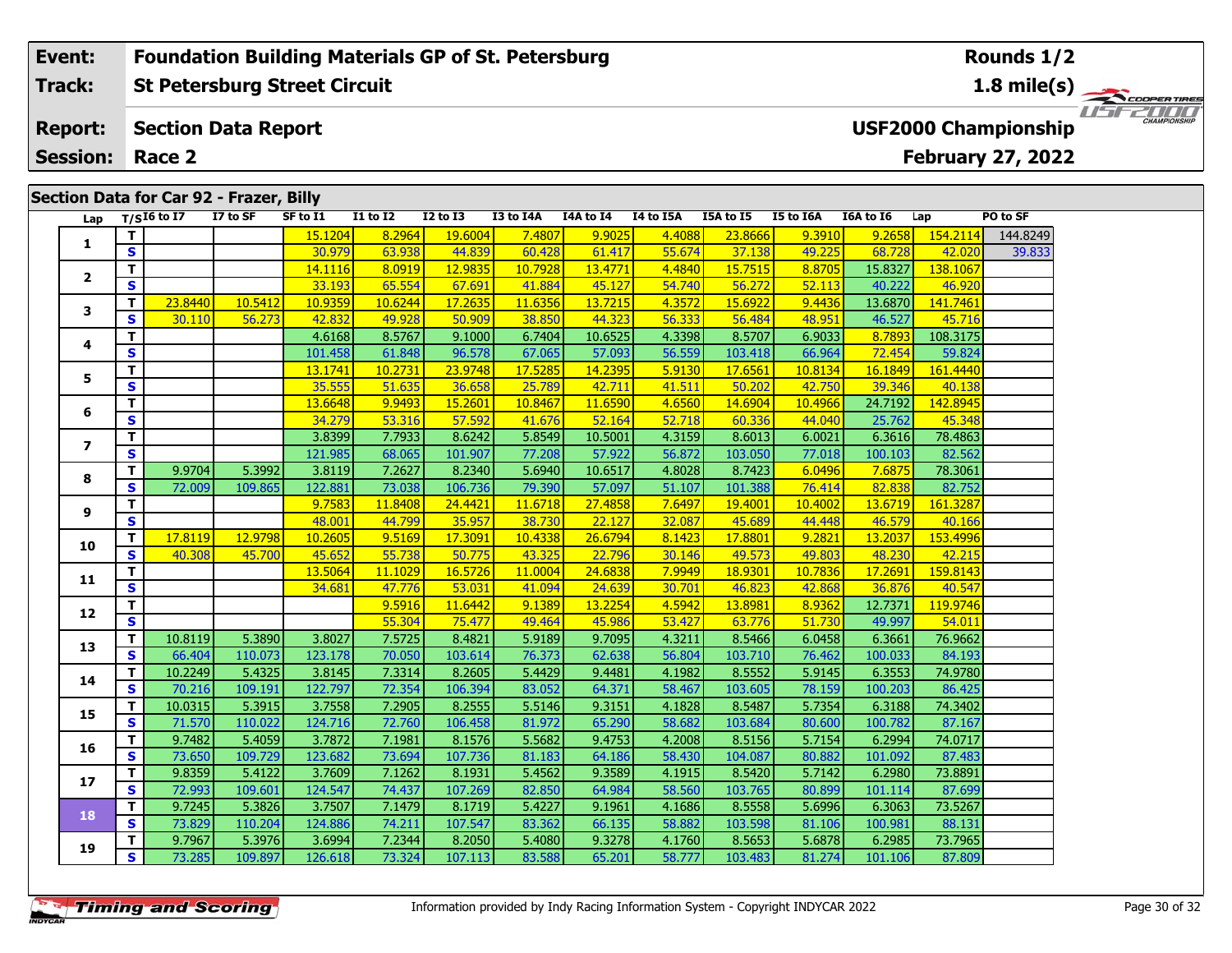### **St Petersburg Street Circuit Event: Foundation Building Materials GP of St. Petersburg Track:**

#### **Section Data Report Report:**

**Session: Race 2**

# **Section Data for Car 92 - Frazer, Billy**

| Lap            |                         | $T/SI6$ to I7 | I7 to SF | SF to I1 | <b>I1 to I2</b> | <b>I2 to I3</b> | I3 to I4A | I4A to I4 | I4 to I5A | I5A to I5 | <b>I5 to I6A</b> | I6A to I6 | Lap      | PO to SF |
|----------------|-------------------------|---------------|----------|----------|-----------------|-----------------|-----------|-----------|-----------|-----------|------------------|-----------|----------|----------|
|                | T                       |               |          | 15.1204  | 8.2964          | 19.6004         | 7.4807    | 9.9025    | 4.4088    | 23.8666   | 9.3910           | 9.2658    | 154.2114 | 144.8249 |
| 1              | $\overline{\mathbf{s}}$ |               |          | 30.979   | 63.938          | 44.839          | 60.428    | 61.417    | 55.674    | 37.138    | 49.225           | 68.728    | 42.020   | 39.833   |
|                | T.                      |               |          | 14.1116  | 8.0919          | 12.9835         | 10.7928   | 13.4771   | 4.4840    | 15.7515   | 8.8705           | 15.8327   | 138.1067 |          |
| $\mathbf{2}$   | S                       |               |          | 33.193   | 65.554          | 67.691          | 41.884    | 45.127    | 54.740    | 56.272    | 52.113           | 40.222    | 46.920   |          |
|                | T.                      | 23,8440       | 10.5412  | 10.9359  | 10.6244         | 17.2635         | 11.6356   | 13.7215   | 4.3572    | 15.6922   | 9.4436           | 13.6870   | 141.7461 |          |
| 3              | S.                      | 30.110        | 56.273   | 42.832   | 49.928          | 50.909          | 38.850    | 44.323    | 56.333    | 56.484    | 48.951           | 46.527    | 45.716   |          |
|                | T.                      |               |          | 4.6168   | 8.5767          | 9.1000          | 6.7404    | 10.6525   | 4.3398    | 8.5707    | 6.9033           | 8.7893    | 108.3175 |          |
| 4              | S                       |               |          | 101.458  | 61.848          | 96.578          | 67.065    | 57.093    | 56.559    | 103.418   | 66.964           | 72.454    | 59.824   |          |
| 5.             | T                       |               |          | 13.1741  | 10.2731         | 23.9748         | 17.5285   | 14.2395   | 5.9130    | 17.6561   | 10.8134          | 16.1849   | 161.4440 |          |
|                | S                       |               |          | 35.555   | 51.635          | 36.658          | 25.789    | 42.711    | 41.511    | 50.202    | 42.750           | 39.346    | 40.138   |          |
| 6              | T                       |               |          | 13.6648  | 9.9493          | 15.2601         | 10.8467   | 11.6590   | 4.6560    | 14.6904   | 10.4966          | 24.7192   | 142.8945 |          |
|                | S                       |               |          | 34.279   | 53.316          | 57.592          | 41.676    | 52.164    | 52.718    | 60.336    | 44.040           | 25.762    | 45.348   |          |
| $\overline{ }$ | T                       |               |          | 3.8399   | 7.7933          | 8.6242          | 5.8549    | 10.5001   | 4.3159    | 8.6013    | 6.0021           | 6.3616    | 78.4863  |          |
|                | S                       |               |          | 121.985  | 68.065          | 101.907         | 77.208    | 57.922    | 56.872    | 103.050   | 77.018           | 100.103   | 82.562   |          |
| 8              | $\overline{\mathbf{T}}$ | 9.9704        | 5.3992   | 3.8119   | 7.2627          | 8.2340          | 5.6940    | 10.6517   | 4.8028    | 8.7423    | 6.0496           | 7.6875    | 78.3061  |          |
|                | S                       | 72.009        | 109.865  | 122.881  | 73.038          | 106.736         | 79.390    | 57.097    | 51.107    | 101.388   | 76.414           | 82.838    | 82.752   |          |
| 9              | T.                      |               |          | 9.7583   | 11.8408         | 24.4421         | 11.6718   | 27.4858   | 7.6497    | 19.4001   | 10,4002          | 13.6719   | 161.3287 |          |
|                | S                       |               |          | 48.001   | 44.799          | 35.957          | 38.730    | 22.127    | 32.087    | 45.689    | 44.448           | 46.579    | 40.166   |          |
| 10             | T.                      | 17.8119       | 12.9798  | 10.2605  | 9.5169          | 17.3091         | 10.4338   | 26.6794   | 8.1423    | 17.8801   | 9.2821           | 13.2037   | 153.4996 |          |
|                | S                       | 40.308        | 45.700   | 45.652   | 55.738          | 50.775          | 43.325    | 22.796    | 30.146    | 49.573    | 49.803           | 48.230    | 42.215   |          |
| 11             | T                       |               |          | 13.5064  | 11.1029         | 16.5726         | 11.0004   | 24.6838   | 7.9949    | 18.9301   | 10.7836          | 17.2691   | 159.8143 |          |
|                | S                       |               |          | 34.681   | 47.776          | 53.031          | 41.094    | 24.639    | 30.701    | 46.823    | 42.868           | 36.876    | 40.547   |          |
| 12             | T                       |               |          |          | 9.5916          | 11.6442         | 9.1389    | 13.2254   | 4.5942    | 13.8981   | 8.9362           | 12.7371   | 119.9746 |          |
|                | $\overline{\mathbf{s}}$ |               |          |          | 55.304          | 75.477          | 49.464    | 45.986    | 53.427    | 63.776    | 51.730           | 49.997    | 54.011   |          |
| 13             | T.                      | 10.8119       | 5.3890   | 3.8027   | 7.5725          | 8.4821          | 5.9189    | 9.7095    | 4.3211    | 8.5466    | 6.0458           | 6.3661    | 76.9662  |          |
|                | S.                      | 66.404        | 110.073  | 123.178  | 70.050          | 103.614         | 76.373    | 62.638    | 56.804    | 103.710   | 76.462           | 100.033   | 84.193   |          |
| 14             | T.                      | 10.2249       | 5.4325   | 3.8145   | 7.3314          | 8.2605          | 5.4429    | 9.4481    | 4.1982    | 8.5552    | 5.9145           | 6.3553    | 74.9780  |          |
|                | S                       | 70.216        | 109.191  | 122.797  | 72.354          | 106.394         | 83.052    | 64.371    | 58.467    | 103.605   | 78.159           | 100.203   | 86.425   |          |
| 15             | T.                      | 10.0315       | 5.3915   | 3.7558   | 7.2905          | 8.2555          | 5.5146    | 9.3151    | 4.1828    | 8.5487    | 5.7354           | 6.3188    | 74.3402  |          |
|                | S                       | 71.570        | 110.022  | 124.716  | 72.760          | 106.458         | 81.972    | 65.290    | 58.682    | 103.684   | 80.600           | 100.782   | 87.167   |          |
| 16             | T.                      | 9.7482        | 5.4059   | 3.7872   | 7.1981          | 8.1576          | 5.5682    | 9.4753    | 4.2008    | 8.5156    | 5.7154           | 6.2994    | 74.0717  |          |
|                | S.                      | 73.650        | 109.729  | 123.682  | 73.694          | 107.736         | 81.183    | 64.186    | 58.430    | 104.087   | 80.882           | 101.092   | 87.483   |          |
| 17             | T.                      | 9.8359        | 5.4122   | 3.7609   | 7.1262          | 8.1931          | 5.4562    | 9.3589    | 4.1915    | 8.5420    | 5.7142           | 6.2980    | 73.8891  |          |
|                | S                       | 72.993        | 109.601  | 124.547  | 74.437          | 107.269         | 82.850    | 64.984    | 58.560    | 103.765   | 80.899           | 101.114   | 87.699   |          |
| 18             | T.                      | 9.7245        | 5.3826   | 3.7507   | 7.1479          | 8.1719          | 5.4227    | 9.1961    | 4.1686    | 8.5558    | 5.6996           | 6.3063    | 73.5267  |          |
|                | S.                      | 73.829        | 110.204  | 124.886  | 74.211          | 107.547         | 83.362    | 66.135    | 58.882    | 103.598   | 81.106           | 100.981   | 88.131   |          |
|                | T.                      | 9.7967        | 5.3976   | 3.6994   | 7.2344          | 8.2050          | 5.4080    | 9.3278    | 4.1760    | 8.5653    | 5.6878           | 6.2985    | 73.7965  |          |
| 19             | S.                      | 73.285        | 109.897  | 126.618  | 73.324          | 107.113         | 83.588    | 65.201    | 58.777    | 103.483   | 81.274           | 101.106   | 87.809   |          |



**1.8 mile(s)**

**February 27, 2022**

**USF2000 Championship**

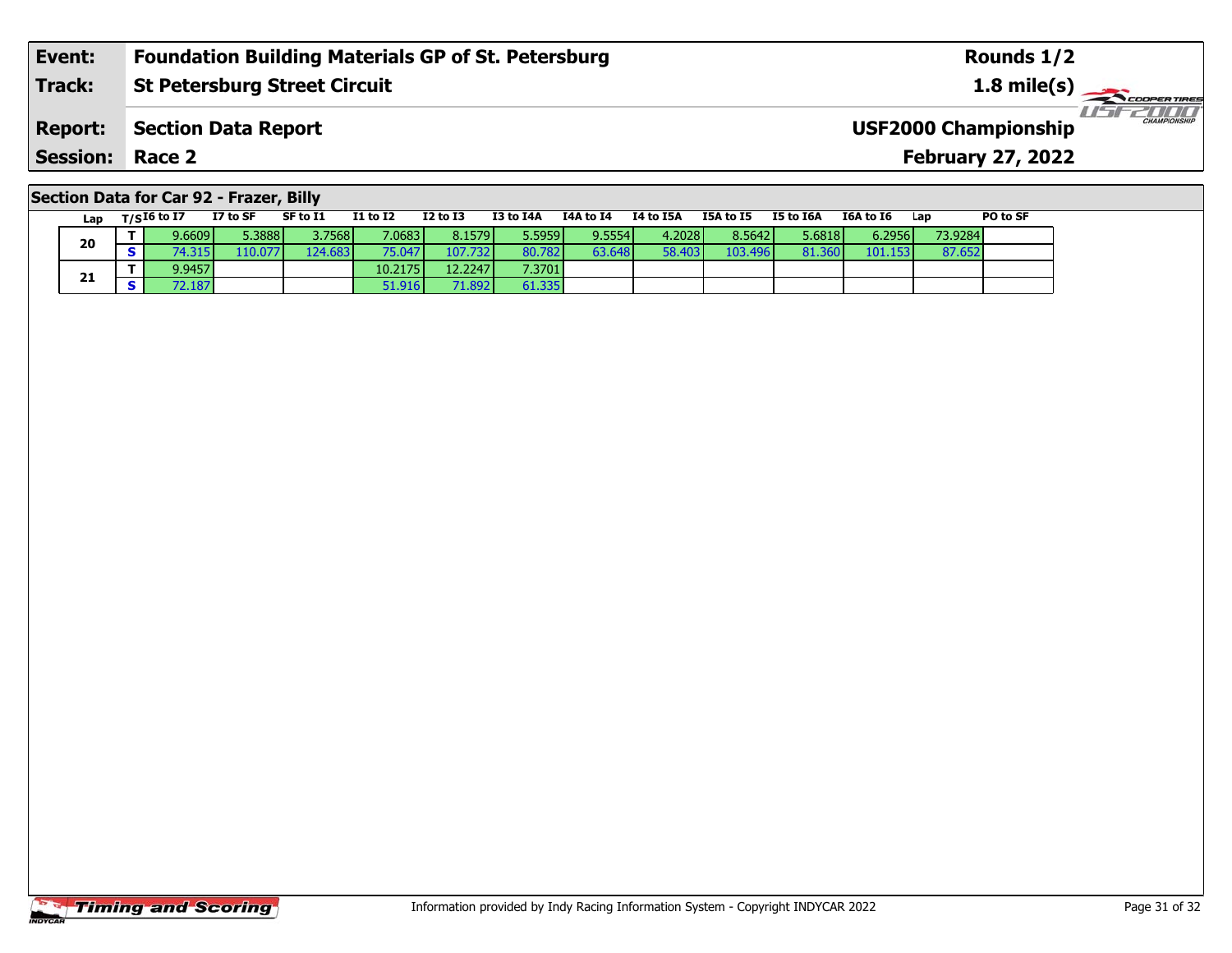| Event:                 | <b>Foundation Building Materials GP of St. Petersburg</b> | Rounds 1/2                                         |
|------------------------|-----------------------------------------------------------|----------------------------------------------------|
| Track:                 | <b>St Petersburg Street Circuit</b>                       | $1.8 \text{ mile(s)}$                              |
| <b>Report:</b>         | <b>Section Data Report</b>                                | <b>CHAMPIONSHIP</b><br><b>USF2000 Championship</b> |
| <b>Session: Race 2</b> |                                                           | <b>February 27, 2022</b>                           |
|                        |                                                           |                                                    |

# **Section Data for Car 92 - Frazer, Billy**

|  | Lap | T/SI6 to I7 | I7 to SF | SF to I1 | <b>I1 to I2</b> | $I2$ to $I3$ | I3 to I4A | I4A to I4 | I4 to I5A | I5A to I5 | <b>I5 to I6A</b> | I6A to I6 | Lap      | PO to SF |
|--|-----|-------------|----------|----------|-----------------|--------------|-----------|-----------|-----------|-----------|------------------|-----------|----------|----------|
|  | 20  | 9.6609      | 5.3888   | 3.7568   | 7.0683          | 8.1579       | 5.59591   | 9.5554    | 4.2028    | 8.5642    | 5.6818           | 6.2956    | 73.92841 |          |
|  |     | 74.315 L    | 10.077   | 124.6831 | 75.047          | 107.7321     | 80.782    | 63.648    | 58.403    | 103.496   | 81.360           | 101.153   | 87.652   |          |
|  | 21  | 9.9457      |          |          | 10.2175 l       | 12.22471     | 7.37011   |           |           |           |                  |           |          |          |
|  |     | 72.187      |          |          | 51.916          | 71.892       | 61.335    |           |           |           |                  |           |          |          |